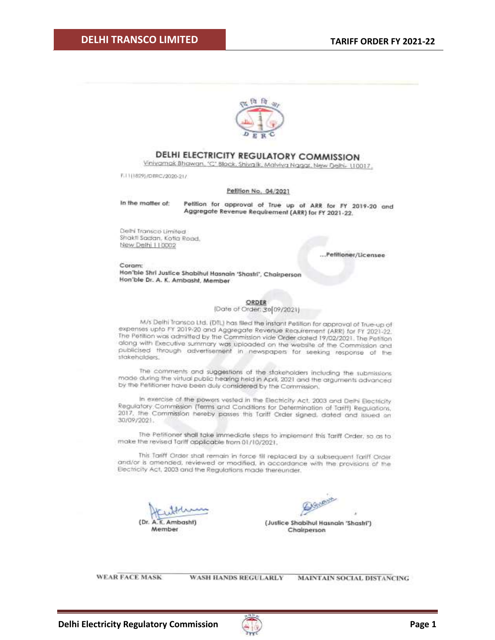

### DELHI ELECTRICITY REGULATORY COMMISSION

Vinivamak Bhawan, 'C' Black, Shivalk, Malviya Nagar, New Delhi- (10017,

F.I.111829)/DERC/2020-21/

#### Pelition No. 04/2021

In the motter of:

Petition for approval of True up of ARR for FY 2019-20 and Aggregate Revenue Requirement (ARR) for FY 2021-22.

Delhi Transco Limited Shakti Sadan, Kotia Road, New Delhi | | 0002

.Petitioner/Licensee

Coram: Hon'ble Shri Justice Shabihul Hasnain 'Shastri', Chairperson Hon'ble Dr. A. K. Ambasht, Member

#### ORDER

[Date of Order: 36 09/2021]

M/s Delhi Transco Ltd. (DTL) has filed the instant Petition for approval of True-up of expenses upto FY 2019-20 and Aggregate Revenue Requirement (ARR) for FY 2021-22. The Petition was admitted by the Commission vide Order dated 19/02/2021. The Petition along with Executive summary was uploaded on the website of the Commission and publicised through advertisement in newspapers for seeking response of the stakeholders.

The comments and suggestions of the stakeholders including the submissions made cluring the virtual public hearing held in April, 2021 and the arguments advanced by the Petitioner have been duly considered by the Commission.

In exercise of the powers vested in the Electricity Act, 2003 and Delhi Electricity Regulatory Commission (Terms and Conditions for Determination of Tariff) Regulations, 2017, the Commission hereby passes this Tariff Order signed, dated and issued an 30/09/2021.

The Petitioner shall take immediate steps to implement this Tariff Order, so as to make the revised Tariff applicable from 01/10/2021.

This Tariff Order shall remain in force fill replaced by a subsequent Tariff Order and/or is amended, reviewed or modified, in accordance with the provisions of the Electricity Act, 2003 and the Regulations made thereunder.

(Dr. A. K. Ambasht) Member

A Sheever

(Justice Shabihul Hasnain 'Shastri') Chairperson

**WEAR FACE MASK** 

WASH HANDS REGULARLY

MAINTAIN SOCIAL DISTANCING

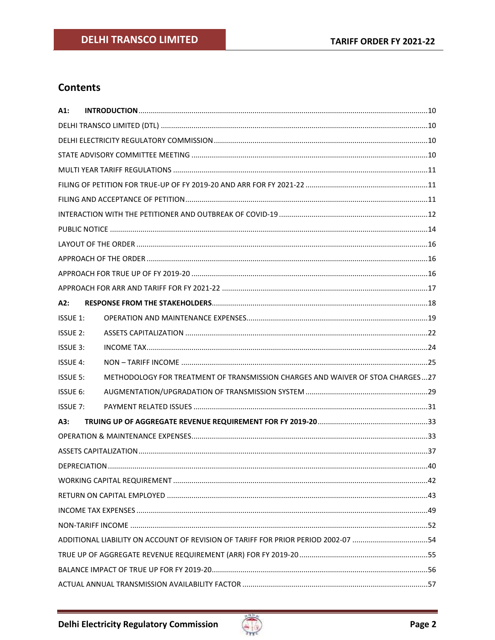# **Contents**

| $A1$ :          |                                                                                   |  |  |  |  |
|-----------------|-----------------------------------------------------------------------------------|--|--|--|--|
|                 |                                                                                   |  |  |  |  |
|                 |                                                                                   |  |  |  |  |
|                 |                                                                                   |  |  |  |  |
|                 |                                                                                   |  |  |  |  |
|                 |                                                                                   |  |  |  |  |
|                 |                                                                                   |  |  |  |  |
|                 |                                                                                   |  |  |  |  |
|                 |                                                                                   |  |  |  |  |
|                 |                                                                                   |  |  |  |  |
|                 |                                                                                   |  |  |  |  |
|                 |                                                                                   |  |  |  |  |
|                 |                                                                                   |  |  |  |  |
| A2:             |                                                                                   |  |  |  |  |
| <b>ISSUE 1:</b> |                                                                                   |  |  |  |  |
| ISSUE 2:        |                                                                                   |  |  |  |  |
| <b>ISSUE 3:</b> |                                                                                   |  |  |  |  |
| <b>ISSUE 4:</b> |                                                                                   |  |  |  |  |
| <b>ISSUE 5:</b> | METHODOLOGY FOR TREATMENT OF TRANSMISSION CHARGES AND WAIVER OF STOA CHARGES  27  |  |  |  |  |
| ISSUE 6:        |                                                                                   |  |  |  |  |
| <b>ISSUE 7:</b> |                                                                                   |  |  |  |  |
| A3:             |                                                                                   |  |  |  |  |
|                 |                                                                                   |  |  |  |  |
|                 |                                                                                   |  |  |  |  |
|                 |                                                                                   |  |  |  |  |
|                 |                                                                                   |  |  |  |  |
|                 |                                                                                   |  |  |  |  |
|                 |                                                                                   |  |  |  |  |
|                 |                                                                                   |  |  |  |  |
|                 | ADDITIONAL LIABILITY ON ACCOUNT OF REVISION OF TARIFF FOR PRIOR PERIOD 2002-07 54 |  |  |  |  |
|                 |                                                                                   |  |  |  |  |
|                 |                                                                                   |  |  |  |  |
|                 |                                                                                   |  |  |  |  |

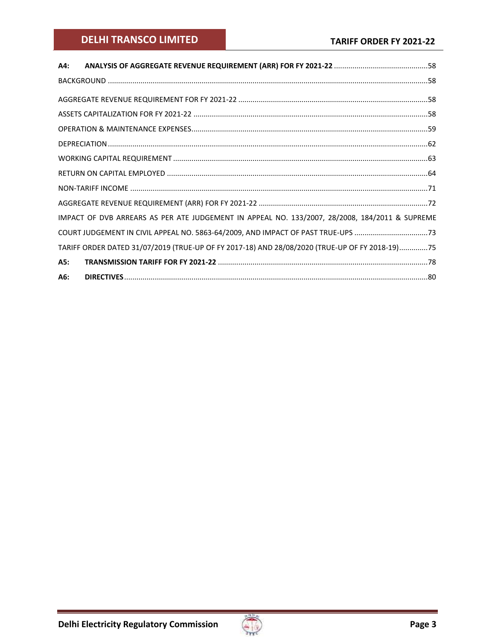# **DELHI TRANSCO LIMITED**

| A4:                                                                                            |  |
|------------------------------------------------------------------------------------------------|--|
|                                                                                                |  |
|                                                                                                |  |
|                                                                                                |  |
|                                                                                                |  |
|                                                                                                |  |
|                                                                                                |  |
|                                                                                                |  |
|                                                                                                |  |
|                                                                                                |  |
|                                                                                                |  |
| IMPACT OF DVB ARREARS AS PER ATE JUDGEMENT IN APPEAL NO. 133/2007, 28/2008, 184/2011 & SUPREME |  |
| COURT JUDGEMENT IN CIVIL APPEAL NO. 5863-64/2009, AND IMPACT OF PAST TRUE-UPS 73               |  |
| TARIFF ORDER DATED 31/07/2019 (TRUE-UP OF FY 2017-18) AND 28/08/2020 (TRUE-UP OF FY 2018-19)75 |  |
| A5:                                                                                            |  |
| A6:                                                                                            |  |

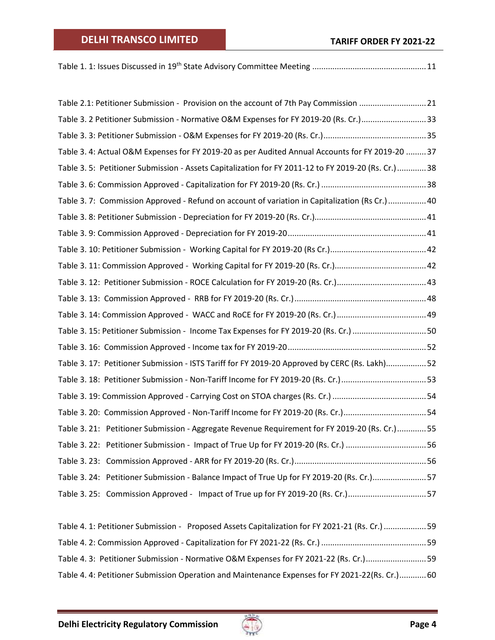|--|--|

| Table 2.1: Petitioner Submission - Provision on the account of 7th Pay Commission 21              |  |
|---------------------------------------------------------------------------------------------------|--|
| Table 3. 2 Petitioner Submission - Normative O&M Expenses for FY 2019-20 (Rs. Cr.)33              |  |
|                                                                                                   |  |
| Table 3. 4: Actual O&M Expenses for FY 2019-20 as per Audited Annual Accounts for FY 2019-20  37  |  |
| Table 3.5: Petitioner Submission - Assets Capitalization for FY 2011-12 to FY 2019-20 (Rs. Cr.)38 |  |
|                                                                                                   |  |
| Table 3.7: Commission Approved - Refund on account of variation in Capitalization (Rs Cr.)  40    |  |
|                                                                                                   |  |
|                                                                                                   |  |
|                                                                                                   |  |
|                                                                                                   |  |
|                                                                                                   |  |
|                                                                                                   |  |
|                                                                                                   |  |
| Table 3. 15: Petitioner Submission - Income Tax Expenses for FY 2019-20 (Rs. Cr.) 50              |  |
|                                                                                                   |  |
| Table 3. 17: Petitioner Submission - ISTS Tariff for FY 2019-20 Approved by CERC (Rs. Lakh)52     |  |
|                                                                                                   |  |
|                                                                                                   |  |
| Table 3. 20: Commission Approved - Non-Tariff Income for FY 2019-20 (Rs. Cr.)54                   |  |
| Table 3. 21: Petitioner Submission - Aggregate Revenue Requirement for FY 2019-20 (Rs. Cr.) 55    |  |
|                                                                                                   |  |
|                                                                                                   |  |
| Table 3. 24: Petitioner Submission - Balance Impact of True Up for FY 2019-20 (Rs. Cr.)57         |  |
| Table 3. 25: Commission Approved - Impact of True up for FY 2019-20 (Rs. Cr.)57                   |  |

| Table 4. 1: Petitioner Submission - Proposed Assets Capitalization for FY 2021-21 (Rs. Cr.)  59 |  |
|-------------------------------------------------------------------------------------------------|--|
|                                                                                                 |  |
| Table 4. 3: Petitioner Submission - Normative O&M Expenses for FY 2021-22 (Rs. Cr.) 59          |  |
| Table 4. 4: Petitioner Submission Operation and Maintenance Expenses for FY 2021-22(Rs. Cr.)60  |  |

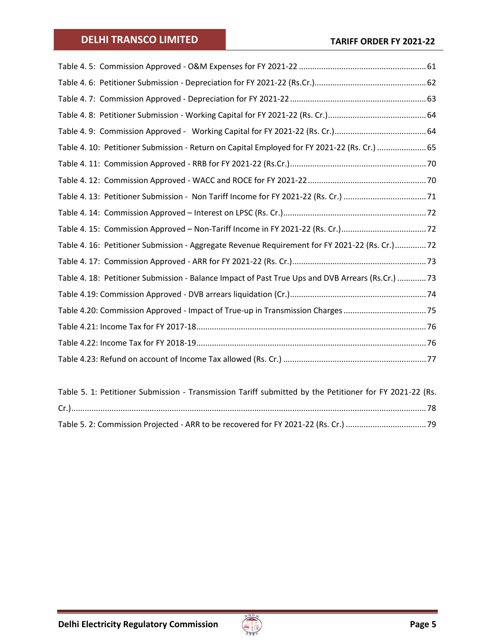| Table 4. 10: Petitioner Submission - Return on Capital Employed for FY 2021-22 (Rs. Cr.)  65            |  |
|---------------------------------------------------------------------------------------------------------|--|
|                                                                                                         |  |
|                                                                                                         |  |
|                                                                                                         |  |
|                                                                                                         |  |
|                                                                                                         |  |
| Table 4. 16: Petitioner Submission - Aggregate Revenue Requirement for FY 2021-22 (Rs. Cr.)72           |  |
|                                                                                                         |  |
| Table 4. 18: Petitioner Submission - Balance Impact of Past True Ups and DVB Arrears (Rs.Cr.)  73       |  |
|                                                                                                         |  |
| Table 4.20: Commission Approved - Impact of True-up in Transmission Charges 75                          |  |
|                                                                                                         |  |
|                                                                                                         |  |
|                                                                                                         |  |
|                                                                                                         |  |
| Table 5. 1: Petitioner Submission - Transmission Tariff submitted by the Petitioner for FY 2021-22 (Rs. |  |

| TWEE OF 1 FULLOLING CONTINUOUS TIMESHOUSE TWILL CONTINUES BY THE FULLOLING TO THE 1991 THE THING |  |  |  |
|--------------------------------------------------------------------------------------------------|--|--|--|
|                                                                                                  |  |  |  |
|                                                                                                  |  |  |  |
|                                                                                                  |  |  |  |

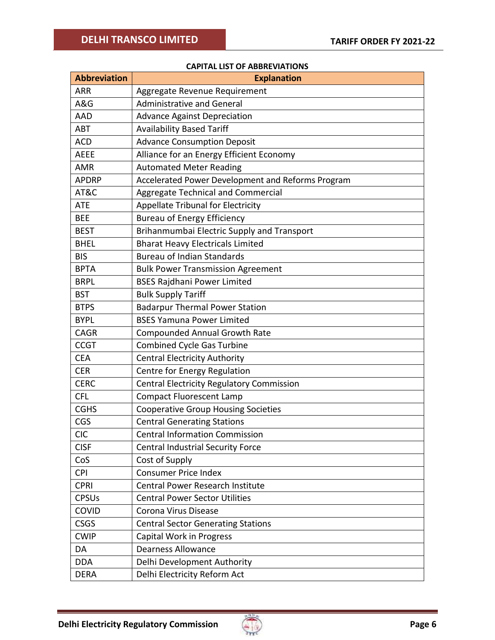#### **CAPITAL LIST OF ABBREVIATIONS**

| <b>Abbreviation</b> | <b>Explanation</b>                                |
|---------------------|---------------------------------------------------|
| ARR                 | Aggregate Revenue Requirement                     |
| A&G                 | <b>Administrative and General</b>                 |
| <b>AAD</b>          | <b>Advance Against Depreciation</b>               |
| <b>ABT</b>          | <b>Availability Based Tariff</b>                  |
| <b>ACD</b>          | <b>Advance Consumption Deposit</b>                |
| <b>AEEE</b>         | Alliance for an Energy Efficient Economy          |
| <b>AMR</b>          | <b>Automated Meter Reading</b>                    |
| <b>APDRP</b>        | Accelerated Power Development and Reforms Program |
| AT&C                | Aggregate Technical and Commercial                |
| <b>ATE</b>          | Appellate Tribunal for Electricity                |
| <b>BEE</b>          | <b>Bureau of Energy Efficiency</b>                |
| <b>BEST</b>         | Brihanmumbai Electric Supply and Transport        |
| <b>BHEL</b>         | <b>Bharat Heavy Electricals Limited</b>           |
| <b>BIS</b>          | <b>Bureau of Indian Standards</b>                 |
| <b>BPTA</b>         | <b>Bulk Power Transmission Agreement</b>          |
| <b>BRPL</b>         | <b>BSES Rajdhani Power Limited</b>                |
| <b>BST</b>          | <b>Bulk Supply Tariff</b>                         |
| <b>BTPS</b>         | <b>Badarpur Thermal Power Station</b>             |
| <b>BYPL</b>         | <b>BSES Yamuna Power Limited</b>                  |
| <b>CAGR</b>         | <b>Compounded Annual Growth Rate</b>              |
| <b>CCGT</b>         | <b>Combined Cycle Gas Turbine</b>                 |
| <b>CEA</b>          | <b>Central Electricity Authority</b>              |
| <b>CER</b>          | Centre for Energy Regulation                      |
| <b>CERC</b>         | Central Electricity Regulatory Commission         |
| <b>CFL</b>          | <b>Compact Fluorescent Lamp</b>                   |
| <b>CGHS</b>         | <b>Cooperative Group Housing Societies</b>        |
| CGS                 | <b>Central Generating Stations</b>                |
| <b>CIC</b>          | <b>Central Information Commission</b>             |
| <b>CISF</b>         | <b>Central Industrial Security Force</b>          |
| CoS                 | Cost of Supply                                    |
| <b>CPI</b>          | <b>Consumer Price Index</b>                       |
| <b>CPRI</b>         | Central Power Research Institute                  |
| <b>CPSUs</b>        | <b>Central Power Sector Utilities</b>             |
| <b>COVID</b>        | Corona Virus Disease                              |
| <b>CSGS</b>         | <b>Central Sector Generating Stations</b>         |
| <b>CWIP</b>         | Capital Work in Progress                          |
| DA                  | <b>Dearness Allowance</b>                         |
| <b>DDA</b>          | Delhi Development Authority                       |
| <b>DERA</b>         | Delhi Electricity Reform Act                      |

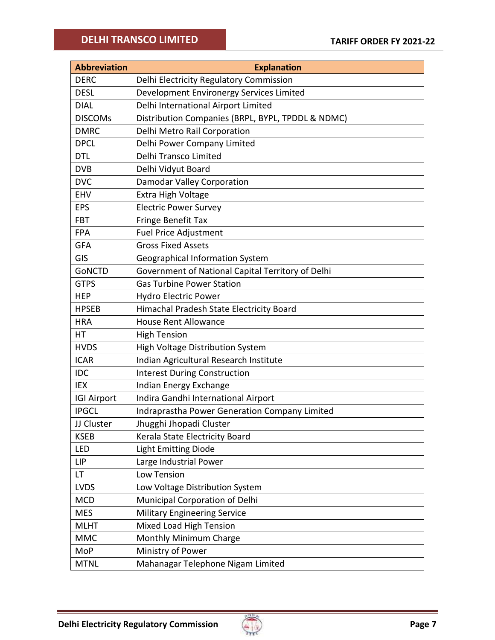| <b>Abbreviation</b> | <b>Explanation</b>                                |
|---------------------|---------------------------------------------------|
| <b>DERC</b>         | Delhi Electricity Regulatory Commission           |
| <b>DESL</b>         | Development Environergy Services Limited          |
| <b>DIAL</b>         | Delhi International Airport Limited               |
| <b>DISCOMS</b>      | Distribution Companies (BRPL, BYPL, TPDDL & NDMC) |
| <b>DMRC</b>         | Delhi Metro Rail Corporation                      |
| <b>DPCL</b>         | Delhi Power Company Limited                       |
| <b>DTL</b>          | Delhi Transco Limited                             |
| <b>DVB</b>          | Delhi Vidyut Board                                |
| <b>DVC</b>          | Damodar Valley Corporation                        |
| <b>EHV</b>          | Extra High Voltage                                |
| <b>EPS</b>          | <b>Electric Power Survey</b>                      |
| <b>FBT</b>          | Fringe Benefit Tax                                |
| <b>FPA</b>          | <b>Fuel Price Adjustment</b>                      |
| <b>GFA</b>          | <b>Gross Fixed Assets</b>                         |
| GIS                 | Geographical Information System                   |
| <b>GONCTD</b>       | Government of National Capital Territory of Delhi |
| <b>GTPS</b>         | <b>Gas Turbine Power Station</b>                  |
| <b>HEP</b>          | <b>Hydro Electric Power</b>                       |
| <b>HPSEB</b>        | Himachal Pradesh State Electricity Board          |
| <b>HRA</b>          | <b>House Rent Allowance</b>                       |
| НT                  | <b>High Tension</b>                               |
| <b>HVDS</b>         | <b>High Voltage Distribution System</b>           |
| <b>ICAR</b>         | Indian Agricultural Research Institute            |
| <b>IDC</b>          | <b>Interest During Construction</b>               |
| IEX                 | Indian Energy Exchange                            |
| <b>IGI Airport</b>  | Indira Gandhi International Airport               |
| <b>IPGCL</b>        | Indraprastha Power Generation Company Limited     |
| JJ Cluster          | Jhugghi Jhopadi Cluster                           |
| <b>KSEB</b>         | Kerala State Electricity Board                    |
| LED                 | <b>Light Emitting Diode</b>                       |
| <b>LIP</b>          | Large Industrial Power                            |
| LT.                 | Low Tension                                       |
| <b>LVDS</b>         | Low Voltage Distribution System                   |
| <b>MCD</b>          | Municipal Corporation of Delhi                    |
| <b>MES</b>          | <b>Military Engineering Service</b>               |
| <b>MLHT</b>         | Mixed Load High Tension                           |
| <b>MMC</b>          | Monthly Minimum Charge                            |
| MoP                 | Ministry of Power                                 |
| <b>MTNL</b>         | Mahanagar Telephone Nigam Limited                 |

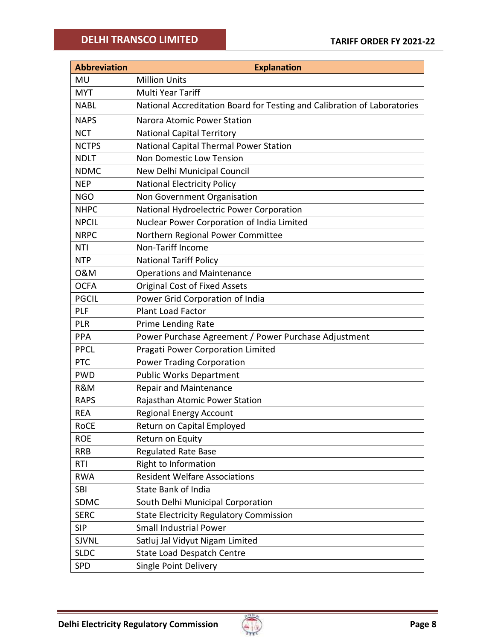| <b>Abbreviation</b> | <b>Explanation</b>                                                       |
|---------------------|--------------------------------------------------------------------------|
| <b>MU</b>           | <b>Million Units</b>                                                     |
| <b>MYT</b>          | Multi Year Tariff                                                        |
| <b>NABL</b>         | National Accreditation Board for Testing and Calibration of Laboratories |
| <b>NAPS</b>         | Narora Atomic Power Station                                              |
| <b>NCT</b>          | <b>National Capital Territory</b>                                        |
| <b>NCTPS</b>        | National Capital Thermal Power Station                                   |
| <b>NDLT</b>         | <b>Non Domestic Low Tension</b>                                          |
| <b>NDMC</b>         | New Delhi Municipal Council                                              |
| <b>NEP</b>          | <b>National Electricity Policy</b>                                       |
| <b>NGO</b>          | Non Government Organisation                                              |
| <b>NHPC</b>         | National Hydroelectric Power Corporation                                 |
| <b>NPCIL</b>        | Nuclear Power Corporation of India Limited                               |
| <b>NRPC</b>         | Northern Regional Power Committee                                        |
| <b>NTI</b>          | Non-Tariff Income                                                        |
| <b>NTP</b>          | <b>National Tariff Policy</b>                                            |
| 0&M                 | <b>Operations and Maintenance</b>                                        |
| <b>OCFA</b>         | <b>Original Cost of Fixed Assets</b>                                     |
| <b>PGCIL</b>        | Power Grid Corporation of India                                          |
| PLF                 | <b>Plant Load Factor</b>                                                 |
| PLR                 | Prime Lending Rate                                                       |
| <b>PPA</b>          | Power Purchase Agreement / Power Purchase Adjustment                     |
| <b>PPCL</b>         | Pragati Power Corporation Limited                                        |
| <b>PTC</b>          | <b>Power Trading Corporation</b>                                         |
| <b>PWD</b>          | <b>Public Works Department</b>                                           |
| R&M                 | <b>Repair and Maintenance</b>                                            |
| <b>RAPS</b>         | Rajasthan Atomic Power Station                                           |
| <b>REA</b>          | <b>Regional Energy Account</b>                                           |
| <b>RoCE</b>         | Return on Capital Employed                                               |
| <b>ROE</b>          | Return on Equity                                                         |
| <b>RRB</b>          | <b>Regulated Rate Base</b>                                               |
| <b>RTI</b>          | Right to Information                                                     |
| <b>RWA</b>          | <b>Resident Welfare Associations</b>                                     |
| <b>SBI</b>          | <b>State Bank of India</b>                                               |
| SDMC                | South Delhi Municipal Corporation                                        |
| <b>SERC</b>         | <b>State Electricity Regulatory Commission</b>                           |
| <b>SIP</b>          | <b>Small Industrial Power</b>                                            |
| <b>SJVNL</b>        | Satluj Jal Vidyut Nigam Limited                                          |
| <b>SLDC</b>         | <b>State Load Despatch Centre</b>                                        |
| SPD                 | <b>Single Point Delivery</b>                                             |

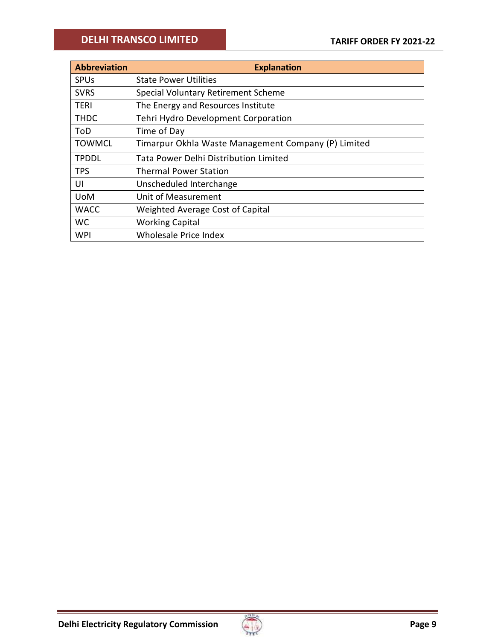| <b>Abbreviation</b> | <b>Explanation</b>                                  |
|---------------------|-----------------------------------------------------|
| <b>SPUs</b>         | <b>State Power Utilities</b>                        |
| <b>SVRS</b>         | Special Voluntary Retirement Scheme                 |
| TERI                | The Energy and Resources Institute                  |
| <b>THDC</b>         | Tehri Hydro Development Corporation                 |
| ToD                 | Time of Day                                         |
| <b>TOWMCL</b>       | Timarpur Okhla Waste Management Company (P) Limited |
| <b>TPDDL</b>        | <b>Tata Power Delhi Distribution Limited</b>        |
| <b>TPS</b>          | <b>Thermal Power Station</b>                        |
| UI                  | Unscheduled Interchange                             |
| <b>UoM</b>          | Unit of Measurement                                 |
| <b>WACC</b>         | Weighted Average Cost of Capital                    |
| <b>WC</b>           | <b>Working Capital</b>                              |
| WPI                 | <b>Wholesale Price Index</b>                        |

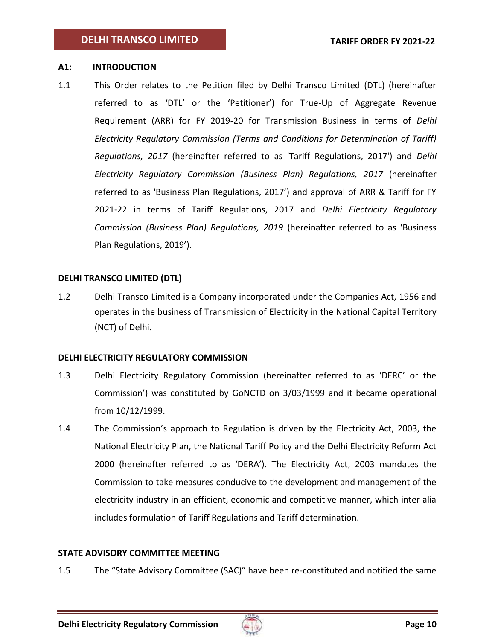## <span id="page-9-0"></span>**A1: INTRODUCTION**

1.1 This Order relates to the Petition filed by Delhi Transco Limited (DTL) (hereinafter referred to as 'DTL' or the 'Petitioner') for True-Up of Aggregate Revenue Requirement (ARR) for FY 2019-20 for Transmission Business in terms of *Delhi Electricity Regulatory Commission (Terms and Conditions for Determination of Tariff) Regulations, 2017* (hereinafter referred to as 'Tariff Regulations, 2017') and *Delhi Electricity Regulatory Commission (Business Plan) Regulations, 2017* (hereinafter referred to as 'Business Plan Regulations, 2017') and approval of ARR & Tariff for FY 2021-22 in terms of Tariff Regulations, 2017 and *Delhi Electricity Regulatory Commission (Business Plan) Regulations, 2019* (hereinafter referred to as 'Business Plan Regulations, 2019').

## <span id="page-9-1"></span>**DELHI TRANSCO LIMITED (DTL)**

1.2 Delhi Transco Limited is a Company incorporated under the Companies Act, 1956 and operates in the business of Transmission of Electricity in the National Capital Territory (NCT) of Delhi.

## <span id="page-9-2"></span>**DELHI ELECTRICITY REGULATORY COMMISSION**

- 1.3 Delhi Electricity Regulatory Commission (hereinafter referred to as 'DERC' or the Commission') was constituted by GoNCTD on 3/03/1999 and it became operational from 10/12/1999.
- 1.4 The Commission's approach to Regulation is driven by the Electricity Act, 2003, the National Electricity Plan, the National Tariff Policy and the Delhi Electricity Reform Act 2000 (hereinafter referred to as 'DERA'). The Electricity Act, 2003 mandates the Commission to take measures conducive to the development and management of the electricity industry in an efficient, economic and competitive manner, which inter alia includes formulation of Tariff Regulations and Tariff determination.

## <span id="page-9-3"></span>**STATE ADVISORY COMMITTEE MEETING**

1.5 The "State Advisory Committee (SAC)" have been re-constituted and notified the same

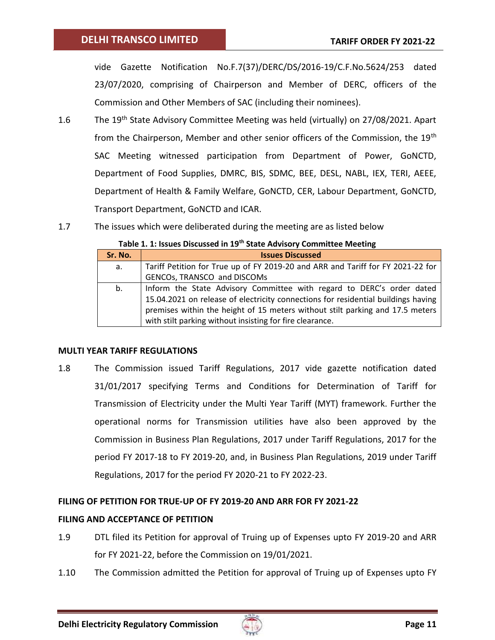vide Gazette Notification No.F.7(37)/DERC/DS/2016-19/C.F.No.5624/253 dated 23/07/2020, comprising of Chairperson and Member of DERC, officers of the Commission and Other Members of SAC (including their nominees).

- 1.6 The 19<sup>th</sup> State Advisory Committee Meeting was held (virtually) on 27/08/2021. Apart from the Chairperson, Member and other senior officers of the Commission, the 19<sup>th</sup> SAC Meeting witnessed participation from Department of Power, GoNCTD, Department of Food Supplies, DMRC, BIS, SDMC, BEE, DESL, NABL, IEX, TERI, AEEE, Department of Health & Family Welfare, GoNCTD, CER, Labour Department, GoNCTD, Transport Department, GoNCTD and ICAR.
- <span id="page-10-3"></span>1.7 The issues which were deliberated during the meeting are as listed below

| Sr. No. | <b>Issues Discussed</b>                                                           |
|---------|-----------------------------------------------------------------------------------|
| а.      | Tariff Petition for True up of FY 2019-20 and ARR and Tariff for FY 2021-22 for   |
|         | GENCOs, TRANSCO and DISCOMs                                                       |
| b.      | Inform the State Advisory Committee with regard to DERC's order dated             |
|         | 15.04.2021 on release of electricity connections for residential buildings having |
|         | premises within the height of 15 meters without stilt parking and 17.5 meters     |
|         | with stilt parking without insisting for fire clearance.                          |

#### <span id="page-10-0"></span>**MULTI YEAR TARIFF REGULATIONS**

1.8 The Commission issued Tariff Regulations, 2017 vide gazette notification dated 31/01/2017 specifying Terms and Conditions for Determination of Tariff for Transmission of Electricity under the Multi Year Tariff (MYT) framework. Further the operational norms for Transmission utilities have also been approved by the Commission in Business Plan Regulations, 2017 under Tariff Regulations, 2017 for the period FY 2017-18 to FY 2019-20, and, in Business Plan Regulations, 2019 under Tariff Regulations, 2017 for the period FY 2020-21 to FY 2022-23.

## <span id="page-10-1"></span>**FILING OF PETITION FOR TRUE-UP OF FY 2019-20 AND ARR FOR FY 2021-22**

## <span id="page-10-2"></span>**FILING AND ACCEPTANCE OF PETITION**

- 1.9 DTL filed its Petition for approval of Truing up of Expenses upto FY 2019-20 and ARR for FY 2021-22, before the Commission on 19/01/2021.
- 1.10 The Commission admitted the Petition for approval of Truing up of Expenses upto FY

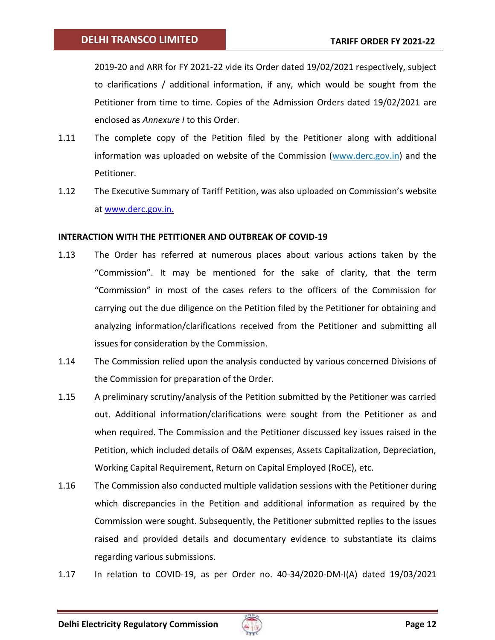2019-20 and ARR for FY 2021-22 vide its Order dated 19/02/2021 respectively, subject to clarifications / additional information, if any, which would be sought from the Petitioner from time to time. Copies of the Admission Orders dated 19/02/2021 are enclosed as *Annexure I* to this Order.

- 1.11 The complete copy of the Petition filed by the Petitioner along with additional information was uploaded on website of the Commission (www.derc.gov.in) and the Petitioner.
- 1.12 The Executive Summary of Tariff Petition, was also uploaded on Commission's website at [www.derc.gov.in.](http://www.derc.gov.in/)

## <span id="page-11-0"></span>**INTERACTION WITH THE PETITIONER AND OUTBREAK OF COVID-19**

- 1.13 The Order has referred at numerous places about various actions taken by the "Commission". It may be mentioned for the sake of clarity, that the term "Commission" in most of the cases refers to the officers of the Commission for carrying out the due diligence on the Petition filed by the Petitioner for obtaining and analyzing information/clarifications received from the Petitioner and submitting all issues for consideration by the Commission.
- 1.14 The Commission relied upon the analysis conducted by various concerned Divisions of the Commission for preparation of the Order.
- 1.15 A preliminary scrutiny/analysis of the Petition submitted by the Petitioner was carried out. Additional information/clarifications were sought from the Petitioner as and when required. The Commission and the Petitioner discussed key issues raised in the Petition, which included details of O&M expenses, Assets Capitalization, Depreciation, Working Capital Requirement, Return on Capital Employed (RoCE), etc.
- 1.16 The Commission also conducted multiple validation sessions with the Petitioner during which discrepancies in the Petition and additional information as required by the Commission were sought. Subsequently, the Petitioner submitted replies to the issues raised and provided details and documentary evidence to substantiate its claims regarding various submissions.
- 1.17 In relation to COVID-19, as per Order no. 40-34/2020-DM-I(A) dated 19/03/2021

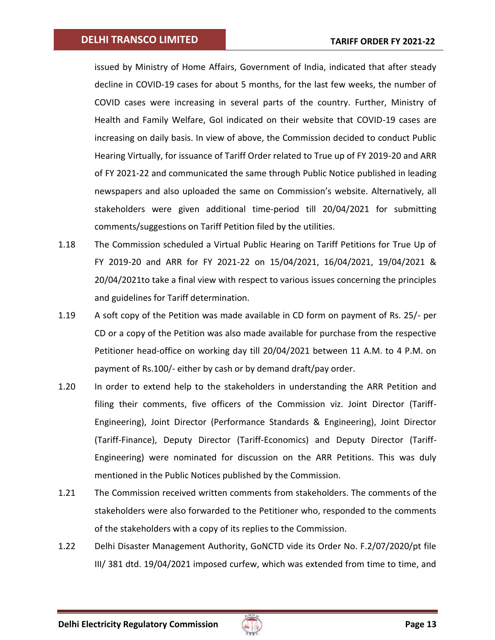issued by Ministry of Home Affairs, Government of India, indicated that after steady decline in COVID-19 cases for about 5 months, for the last few weeks, the number of COVID cases were increasing in several parts of the country. Further, Ministry of Health and Family Welfare, GoI indicated on their website that COVID-19 cases are increasing on daily basis. In view of above, the Commission decided to conduct Public Hearing Virtually, for issuance of Tariff Order related to True up of FY 2019-20 and ARR of FY 2021-22 and communicated the same through Public Notice published in leading newspapers and also uploaded the same on Commission's website. Alternatively, all stakeholders were given additional time-period till 20/04/2021 for submitting comments/suggestions on Tariff Petition filed by the utilities.

- 1.18 The Commission scheduled a Virtual Public Hearing on Tariff Petitions for True Up of FY 2019-20 and ARR for FY 2021-22 on 15/04/2021, 16/04/2021, 19/04/2021 & 20/04/2021to take a final view with respect to various issues concerning the principles and guidelines for Tariff determination.
- 1.19 A soft copy of the Petition was made available in CD form on payment of Rs. 25/- per CD or a copy of the Petition was also made available for purchase from the respective Petitioner head-office on working day till 20/04/2021 between 11 A.M. to 4 P.M. on payment of Rs.100/- either by cash or by demand draft/pay order.
- 1.20 In order to extend help to the stakeholders in understanding the ARR Petition and filing their comments, five officers of the Commission viz. Joint Director (Tariff-Engineering), Joint Director (Performance Standards & Engineering), Joint Director (Tariff-Finance), Deputy Director (Tariff-Economics) and Deputy Director (Tariff-Engineering) were nominated for discussion on the ARR Petitions. This was duly mentioned in the Public Notices published by the Commission.
- 1.21 The Commission received written comments from stakeholders. The comments of the stakeholders were also forwarded to the Petitioner who, responded to the comments of the stakeholders with a copy of its replies to the Commission.
- 1.22 Delhi Disaster Management Authority, GoNCTD vide its Order No. F.2/07/2020/pt file III/ 381 dtd. 19/04/2021 imposed curfew, which was extended from time to time, and

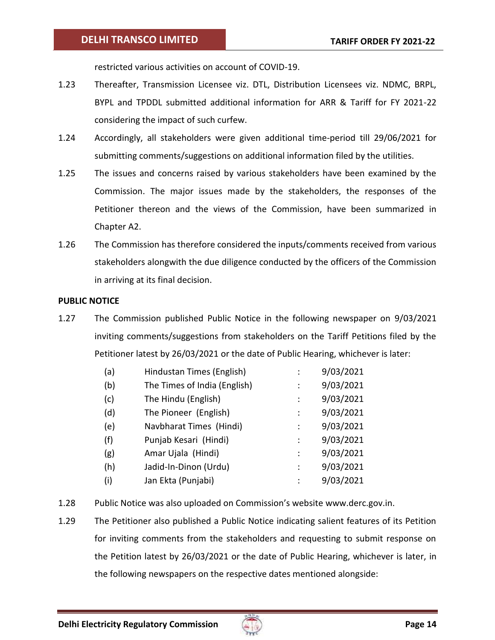restricted various activities on account of COVID-19.

- 1.23 Thereafter, Transmission Licensee viz. DTL, Distribution Licensees viz. NDMC, BRPL, BYPL and TPDDL submitted additional information for ARR & Tariff for FY 2021-22 considering the impact of such curfew.
- 1.24 Accordingly, all stakeholders were given additional time-period till 29/06/2021 for submitting comments/suggestions on additional information filed by the utilities.
- 1.25 The issues and concerns raised by various stakeholders have been examined by the Commission. The major issues made by the stakeholders, the responses of the Petitioner thereon and the views of the Commission, have been summarized in Chapter A2.
- 1.26 The Commission has therefore considered the inputs/comments received from various stakeholders alongwith the due diligence conducted by the officers of the Commission in arriving at its final decision.

## <span id="page-13-0"></span>**PUBLIC NOTICE**

1.27 The Commission published Public Notice in the following newspaper on 9/03/2021 inviting comments/suggestions from stakeholders on the Tariff Petitions filed by the Petitioner latest by 26/03/2021 or the date of Public Hearing, whichever is later:

| (a) | Hindustan Times (English)    |                | 9/03/2021 |
|-----|------------------------------|----------------|-----------|
| (b) | The Times of India (English) | $\ddot{\cdot}$ | 9/03/2021 |
| (c) | The Hindu (English)          | $\ddot{\cdot}$ | 9/03/2021 |
| (d) | The Pioneer (English)        | ÷              | 9/03/2021 |
| (e) | Navbharat Times (Hindi)      | $\ddot{\cdot}$ | 9/03/2021 |
| (f) | Punjab Kesari (Hindi)        | $\ddot{\cdot}$ | 9/03/2021 |
| (g) | Amar Ujala (Hindi)           | $\ddot{\cdot}$ | 9/03/2021 |
| (h) | Jadid-In-Dinon (Urdu)        | ÷              | 9/03/2021 |
| (i) | Jan Ekta (Punjabi)           | ÷              | 9/03/2021 |

- 1.28 Public Notice was also uploaded on Commission's website [www.derc.gov.in.](http://www.derc.gov.in/)
- 1.29 The Petitioner also published a Public Notice indicating salient features of its Petition for inviting comments from the stakeholders and requesting to submit response on the Petition latest by 26/03/2021 or the date of Public Hearing, whichever is later, in the following newspapers on the respective dates mentioned alongside:

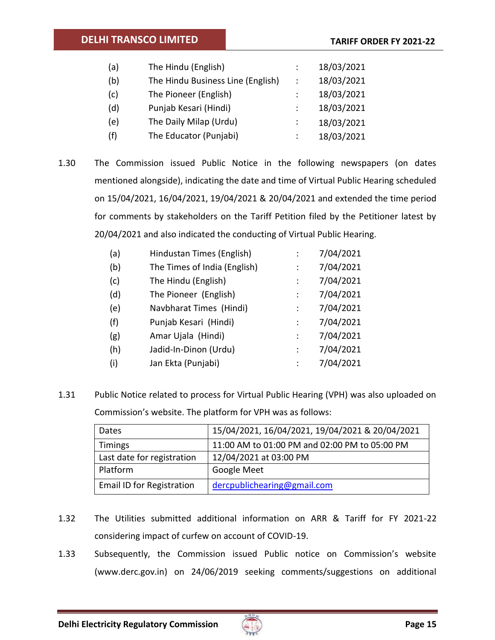| (a) | The Hindu (English)               | 18/03/2021 |
|-----|-----------------------------------|------------|
| (b) | The Hindu Business Line (English) | 18/03/2021 |
| (c) | The Pioneer (English)             | 18/03/2021 |
| (d) | Punjab Kesari (Hindi)             | 18/03/2021 |
| (e) | The Daily Milap (Urdu)            | 18/03/2021 |
| (f) | The Educator (Punjabi)            | 18/03/2021 |

1.30 The Commission issued Public Notice in the following newspapers (on dates mentioned alongside), indicating the date and time of Virtual Public Hearing scheduled on 15/04/2021, 16/04/2021, 19/04/2021 & 20/04/2021 and extended the time period for comments by stakeholders on the Tariff Petition filed by the Petitioner latest by 20/04/2021 and also indicated the conducting of Virtual Public Hearing.

| (a) | Hindustan Times (English)    |                | 7/04/2021 |
|-----|------------------------------|----------------|-----------|
| (b) | The Times of India (English) | $\ddot{\cdot}$ | 7/04/2021 |
| (c) | The Hindu (English)          |                | 7/04/2021 |
| (d) | The Pioneer (English)        |                | 7/04/2021 |
| (e) | Navbharat Times (Hindi)      |                | 7/04/2021 |
| (f) | Punjab Kesari (Hindi)        | ÷              | 7/04/2021 |
| (g) | Amar Ujala (Hindi)           | $\ddot{\cdot}$ | 7/04/2021 |
| (h) | Jadid-In-Dinon (Urdu)        | $\ddot{\cdot}$ | 7/04/2021 |
| (i) | Jan Ekta (Punjabi)           |                | 7/04/2021 |

1.31 Public Notice related to process for Virtual Public Hearing (VPH) was also uploaded on Commission's website. The platform for VPH was as follows:

| Dates                      | 15/04/2021, 16/04/2021, 19/04/2021 & 20/04/2021 |
|----------------------------|-------------------------------------------------|
| <b>Timings</b>             | 11:00 AM to 01:00 PM and 02:00 PM to 05:00 PM   |
| Last date for registration | 12/04/2021 at 03:00 PM                          |
| Platform                   | <b>Google Meet</b>                              |
| Email ID for Registration  | dercpublichearing@gmail.com                     |

- 1.32 The Utilities submitted additional information on ARR & Tariff for FY 2021-22 considering impact of curfew on account of COVID-19.
- 1.33 Subsequently, the Commission issued Public notice on Commission's website [\(www.derc.gov.in\)](http://www.derc.gov.in/) on 24/06/2019 seeking comments/suggestions on additional

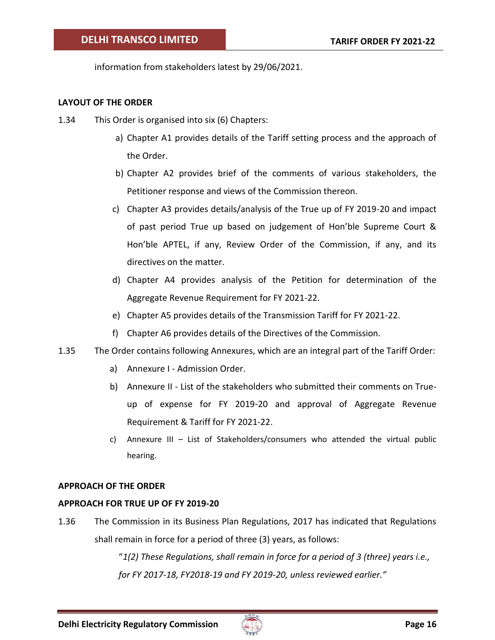information from stakeholders latest by 29/06/2021.

## <span id="page-15-0"></span>**LAYOUT OF THE ORDER**

- 1.34 This Order is organised into six (6) Chapters:
	- a) Chapter A1 provides details of the Tariff setting process and the approach of the Order.
	- b) Chapter A2 provides brief of the comments of various stakeholders, the Petitioner response and views of the Commission thereon.
	- c) Chapter A3 provides details/analysis of the True up of FY 2019-20 and impact of past period True up based on judgement of Hon'ble Supreme Court & Hon'ble APTEL, if any, Review Order of the Commission, if any, and its directives on the matter.
	- d) Chapter A4 provides analysis of the Petition for determination of the Aggregate Revenue Requirement for FY 2021-22.
	- e) Chapter A5 provides details of the Transmission Tariff for FY 2021-22.
	- f) Chapter A6 provides details of the Directives of the Commission.
- 1.35 The Order contains following Annexures, which are an integral part of the Tariff Order:
	- a) Annexure I Admission Order.
	- b) Annexure II List of the stakeholders who submitted their comments on Trueup of expense for FY 2019-20 and approval of Aggregate Revenue Requirement & Tariff for FY 2021-22.
	- c) Annexure III List of Stakeholders/consumers who attended the virtual public hearing.

## <span id="page-15-1"></span>**APPROACH OF THE ORDER**

#### <span id="page-15-2"></span>**APPROACH FOR TRUE UP OF FY 2019-20**

1.36 The Commission in its Business Plan Regulations, 2017 has indicated that Regulations shall remain in force for a period of three (3) years, as follows:

> "*1(2) These Regulations, shall remain in force for a period of 3 (three) years i.e., for FY 2017-18, FY2018-19 and FY 2019-20, unless reviewed earlier."*

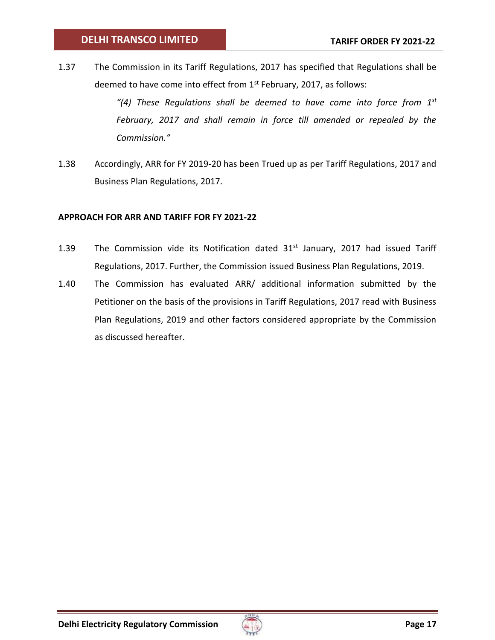1.37 The Commission in its Tariff Regulations, 2017 has specified that Regulations shall be deemed to have come into effect from  $1<sup>st</sup>$  February, 2017, as follows:

> *"(4) These Regulations shall be deemed to have come into force from 1st February, 2017 and shall remain in force till amended or repealed by the Commission."*

1.38 Accordingly, ARR for FY 2019-20 has been Trued up as per Tariff Regulations, 2017 and Business Plan Regulations, 2017.

## <span id="page-16-0"></span>**APPROACH FOR ARR AND TARIFF FOR FY 2021-22**

- 1.39 The Commission vide its Notification dated  $31<sup>st</sup>$  January, 2017 had issued Tariff Regulations, 2017. Further, the Commission issued Business Plan Regulations, 2019.
- 1.40 The Commission has evaluated ARR/ additional information submitted by the Petitioner on the basis of the provisions in Tariff Regulations, 2017 read with Business Plan Regulations, 2019 and other factors considered appropriate by the Commission as discussed hereafter.

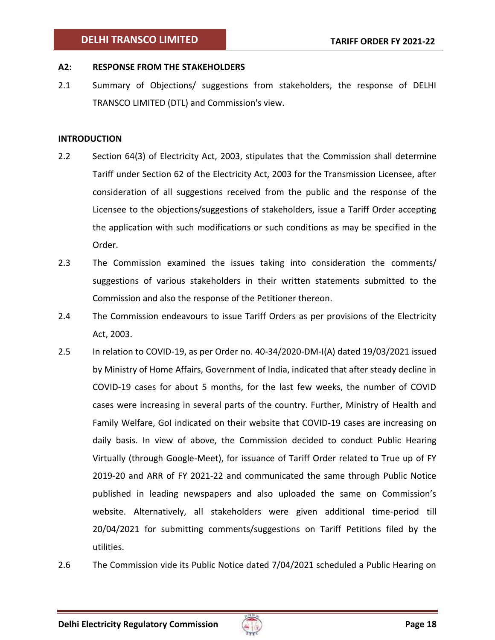## <span id="page-17-0"></span>**A2: RESPONSE FROM THE STAKEHOLDERS**

2.1 Summary of Objections/ suggestions from stakeholders, the response of DELHI TRANSCO LIMITED (DTL) and Commission's view.

### **INTRODUCTION**

- 2.2 Section 64(3) of Electricity Act, 2003, stipulates that the Commission shall determine Tariff under Section 62 of the Electricity Act, 2003 for the Transmission Licensee, after consideration of all suggestions received from the public and the response of the Licensee to the objections/suggestions of stakeholders, issue a Tariff Order accepting the application with such modifications or such conditions as may be specified in the Order.
- 2.3 The Commission examined the issues taking into consideration the comments/ suggestions of various stakeholders in their written statements submitted to the Commission and also the response of the Petitioner thereon.
- 2.4 The Commission endeavours to issue Tariff Orders as per provisions of the Electricity Act, 2003.
- 2.5 In relation to COVID-19, as per Order no. 40-34/2020-DM-I(A) dated 19/03/2021 issued by Ministry of Home Affairs, Government of India, indicated that after steady decline in COVID-19 cases for about 5 months, for the last few weeks, the number of COVID cases were increasing in several parts of the country. Further, Ministry of Health and Family Welfare, GoI indicated on their website that COVID-19 cases are increasing on daily basis. In view of above, the Commission decided to conduct Public Hearing Virtually (through Google-Meet), for issuance of Tariff Order related to True up of FY 2019-20 and ARR of FY 2021-22 and communicated the same through Public Notice published in leading newspapers and also uploaded the same on Commission's website. Alternatively, all stakeholders were given additional time-period till 20/04/2021 for submitting comments/suggestions on Tariff Petitions filed by the utilities.
- 2.6 The Commission vide its Public Notice dated 7/04/2021 scheduled a Public Hearing on

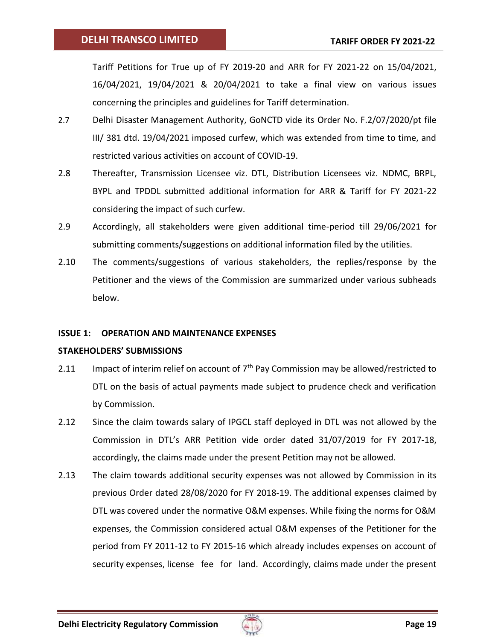Tariff Petitions for True up of FY 2019-20 and ARR for FY 2021-22 on 15/04/2021, 16/04/2021, 19/04/2021 & 20/04/2021 to take a final view on various issues concerning the principles and guidelines for Tariff determination.

- 2.7 Delhi Disaster Management Authority, GoNCTD vide its Order No. F.2/07/2020/pt file III/ 381 dtd. 19/04/2021 imposed curfew, which was extended from time to time, and restricted various activities on account of COVID-19.
- 2.8 Thereafter, Transmission Licensee viz. DTL, Distribution Licensees viz. NDMC, BRPL, BYPL and TPDDL submitted additional information for ARR & Tariff for FY 2021-22 considering the impact of such curfew.
- 2.9 Accordingly, all stakeholders were given additional time-period till 29/06/2021 for submitting comments/suggestions on additional information filed by the utilities.
- 2.10 The comments/suggestions of various stakeholders, the replies/response by the Petitioner and the views of the Commission are summarized under various subheads below.

## <span id="page-18-0"></span>**ISSUE 1: OPERATION AND MAINTENANCE EXPENSES**

## **STAKEHOLDERS' SUBMISSIONS**

- 2.11 Impact of interim relief on account of  $7<sup>th</sup>$  Pay Commission may be allowed/restricted to DTL on the basis of actual payments made subject to prudence check and verification by Commission.
- 2.12 Since the claim towards salary of IPGCL staff deployed in DTL was not allowed by the Commission in DTL's ARR Petition vide order dated 31/07/2019 for FY 2017-18, accordingly, the claims made under the present Petition may not be allowed.
- 2.13 The claim towards additional security expenses was not allowed by Commission in its previous Order dated 28/08/2020 for FY 2018-19. The additional expenses claimed by DTL was covered under the normative O&M expenses. While fixing the norms for O&M expenses, the Commission considered actual O&M expenses of the Petitioner for the period from FY 2011-12 to FY 2015-16 which already includes expenses on account of security expenses, license fee for land. Accordingly, claims made under the present

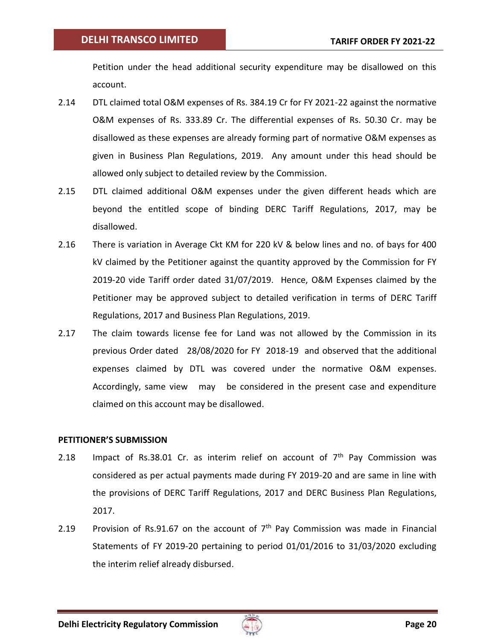Petition under the head additional security expenditure may be disallowed on this account.

- 2.14 DTL claimed total O&M expenses of Rs. 384.19 Cr for FY 2021-22 against the normative O&M expenses of Rs. 333.89 Cr. The differential expenses of Rs. 50.30 Cr. may be disallowed as these expenses are already forming part of normative O&M expenses as given in Business Plan Regulations, 2019. Any amount under this head should be allowed only subject to detailed review by the Commission.
- 2.15 DTL claimed additional O&M expenses under the given different heads which are beyond the entitled scope of binding DERC Tariff Regulations, 2017, may be disallowed.
- 2.16 There is variation in Average Ckt KM for 220 kV & below lines and no. of bays for 400 kV claimed by the Petitioner against the quantity approved by the Commission for FY 2019-20 vide Tariff order dated 31/07/2019. Hence, O&M Expenses claimed by the Petitioner may be approved subject to detailed verification in terms of DERC Tariff Regulations, 2017 and Business Plan Regulations, 2019.
- 2.17 The claim towards license fee for Land was not allowed by the Commission in its previous Order dated 28/08/2020 for FY 2018-19 and observed that the additional expenses claimed by DTL was covered under the normative O&M expenses. Accordingly, same view may be considered in the present case and expenditure claimed on this account may be disallowed.

## **PETITIONER'S SUBMISSION**

- 2.18 Impact of Rs.38.01 Cr. as interim relief on account of  $7<sup>th</sup>$  Pay Commission was considered as per actual payments made during FY 2019-20 and are same in line with the provisions of DERC Tariff Regulations, 2017 and DERC Business Plan Regulations, 2017.
- 2.19 Provision of Rs.91.67 on the account of  $7<sup>th</sup>$  Pay Commission was made in Financial Statements of FY 2019-20 pertaining to period 01/01/2016 to 31/03/2020 excluding the interim relief already disbursed.

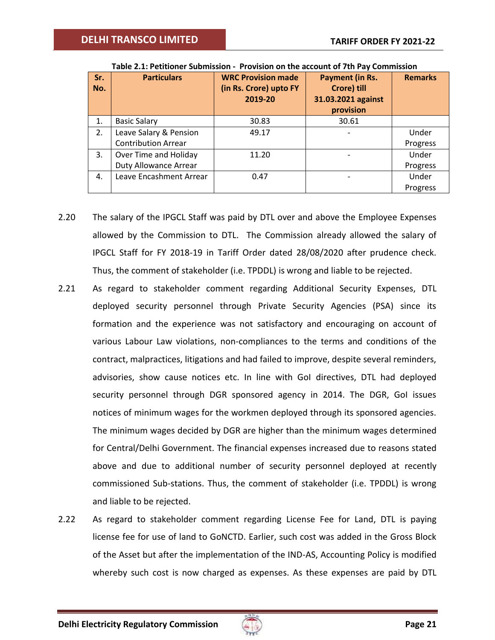<span id="page-20-0"></span>

| Sr.<br>No. | <b>Particulars</b>           | <b>WRC Provision made</b><br>(in Rs. Crore) upto FY<br>2019-20 | Payment (in Rs.<br>Crore) till<br>31.03.2021 against<br>provision | <b>Remarks</b> |
|------------|------------------------------|----------------------------------------------------------------|-------------------------------------------------------------------|----------------|
| 1.         | <b>Basic Salary</b>          | 30.83                                                          | 30.61                                                             |                |
| 2.         | Leave Salary & Pension       | 49.17                                                          |                                                                   | Under          |
|            | <b>Contribution Arrear</b>   |                                                                |                                                                   | Progress       |
| 3.         | Over Time and Holiday        | 11.20                                                          |                                                                   | Under          |
|            | <b>Duty Allowance Arrear</b> |                                                                |                                                                   | Progress       |
| 4.         | Leave Encashment Arrear      | 0.47                                                           |                                                                   | Under          |
|            |                              |                                                                |                                                                   | Progress       |

**Table 2.1: Petitioner Submission - Provision on the account of 7th Pay Commission**

- 2.20 The salary of the IPGCL Staff was paid by DTL over and above the Employee Expenses allowed by the Commission to DTL. The Commission already allowed the salary of IPGCL Staff for FY 2018-19 in Tariff Order dated 28/08/2020 after prudence check. Thus, the comment of stakeholder (i.e. TPDDL) is wrong and liable to be rejected.
- 2.21 As regard to stakeholder comment regarding Additional Security Expenses, DTL deployed security personnel through Private Security Agencies (PSA) since its formation and the experience was not satisfactory and encouraging on account of various Labour Law violations, non-compliances to the terms and conditions of the contract, malpractices, litigations and had failed to improve, despite several reminders, advisories, show cause notices etc. In line with GoI directives, DTL had deployed security personnel through DGR sponsored agency in 2014. The DGR, GoI issues notices of minimum wages for the workmen deployed through its sponsored agencies. The minimum wages decided by DGR are higher than the minimum wages determined for Central/Delhi Government. The financial expenses increased due to reasons stated above and due to additional number of security personnel deployed at recently commissioned Sub-stations. Thus, the comment of stakeholder (i.e. TPDDL) is wrong and liable to be rejected.
- 2.22 As regard to stakeholder comment regarding License Fee for Land, DTL is paying license fee for use of land to GoNCTD. Earlier, such cost was added in the Gross Block of the Asset but after the implementation of the IND-AS, Accounting Policy is modified whereby such cost is now charged as expenses. As these expenses are paid by DTL

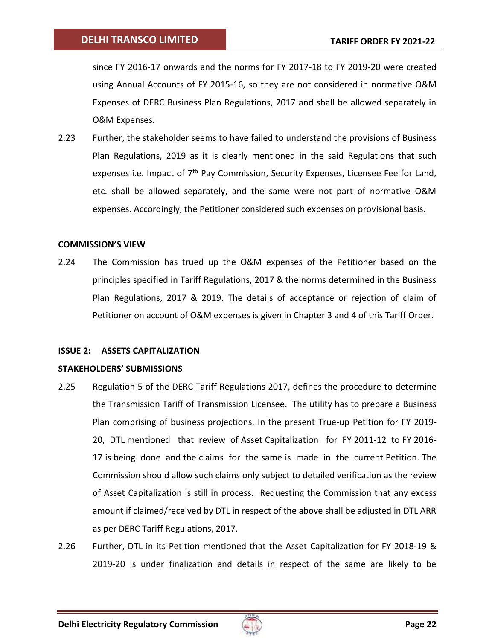since FY 2016-17 onwards and the norms for FY 2017-18 to FY 2019-20 were created using Annual Accounts of FY 2015-16, so they are not considered in normative O&M Expenses of DERC Business Plan Regulations, 2017 and shall be allowed separately in O&M Expenses.

2.23 Further, the stakeholder seems to have failed to understand the provisions of Business Plan Regulations, 2019 as it is clearly mentioned in the said Regulations that such expenses i.e. Impact of 7<sup>th</sup> Pay Commission, Security Expenses, Licensee Fee for Land, etc. shall be allowed separately, and the same were not part of normative O&M expenses. Accordingly, the Petitioner considered such expenses on provisional basis.

## **COMMISSION'S VIEW**

2.24 The Commission has trued up the O&M expenses of the Petitioner based on the principles specified in Tariff Regulations, 2017 & the norms determined in the Business Plan Regulations, 2017 & 2019. The details of acceptance or rejection of claim of Petitioner on account of O&M expenses is given in Chapter 3 and 4 of this Tariff Order.

## <span id="page-21-0"></span>**ISSUE 2: ASSETS CAPITALIZATION**

## **STAKEHOLDERS' SUBMISSIONS**

- 2.25 Regulation 5 of the DERC Tariff Regulations 2017, defines the procedure to determine the Transmission Tariff of Transmission Licensee. The utility has to prepare a Business Plan comprising of business projections. In the present True-up Petition for FY 2019- 20, DTL mentioned that review of Asset Capitalization for FY 2011-12 to FY 2016- 17 is being done and the claims for the same is made in the current Petition. The Commission should allow such claims only subject to detailed verification as the review of Asset Capitalization is still in process. Requesting the Commission that any excess amount if claimed/received by DTL in respect of the above shall be adjusted in DTL ARR as per DERC Tariff Regulations, 2017.
- 2.26 Further, DTL in its Petition mentioned that the Asset Capitalization for FY 2018-19 & 2019-20 is under finalization and details in respect of the same are likely to be

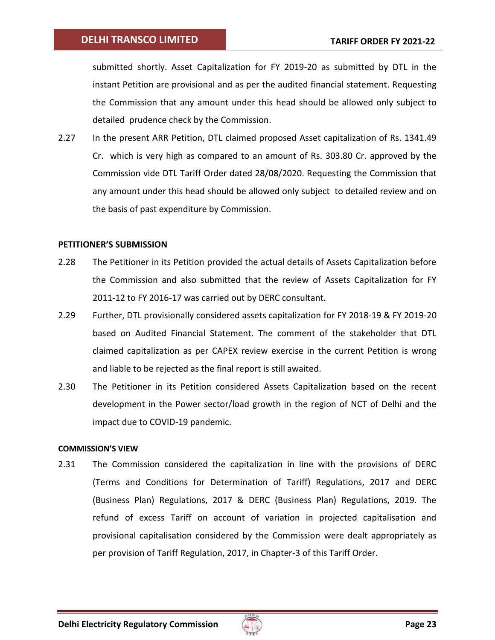submitted shortly. Asset Capitalization for FY 2019-20 as submitted by DTL in the instant Petition are provisional and as per the audited financial statement. Requesting the Commission that any amount under this head should be allowed only subject to detailed prudence check by the Commission.

2.27 In the present ARR Petition, DTL claimed proposed Asset capitalization of Rs. 1341.49 Cr. which is very high as compared to an amount of Rs. 303.80 Cr. approved by the Commission vide DTL Tariff Order dated 28/08/2020. Requesting the Commission that any amount under this head should be allowed only subject to detailed review and on the basis of past expenditure by Commission.

## **PETITIONER'S SUBMISSION**

- 2.28 The Petitioner in its Petition provided the actual details of Assets Capitalization before the Commission and also submitted that the review of Assets Capitalization for FY 2011-12 to FY 2016-17 was carried out by DERC consultant.
- 2.29 Further, DTL provisionally considered assets capitalization for FY 2018-19 & FY 2019-20 based on Audited Financial Statement. The comment of the stakeholder that DTL claimed capitalization as per CAPEX review exercise in the current Petition is wrong and liable to be rejected as the final report is still awaited.
- 2.30 The Petitioner in its Petition considered Assets Capitalization based on the recent development in the Power sector/load growth in the region of NCT of Delhi and the impact due to COVID-19 pandemic.

#### **COMMISSION'S VIEW**

2.31 The Commission considered the capitalization in line with the provisions of DERC (Terms and Conditions for Determination of Tariff) Regulations, 2017 and DERC (Business Plan) Regulations, 2017 & DERC (Business Plan) Regulations, 2019. The refund of excess Tariff on account of variation in projected capitalisation and provisional capitalisation considered by the Commission were dealt appropriately as per provision of Tariff Regulation, 2017, in Chapter-3 of this Tariff Order.

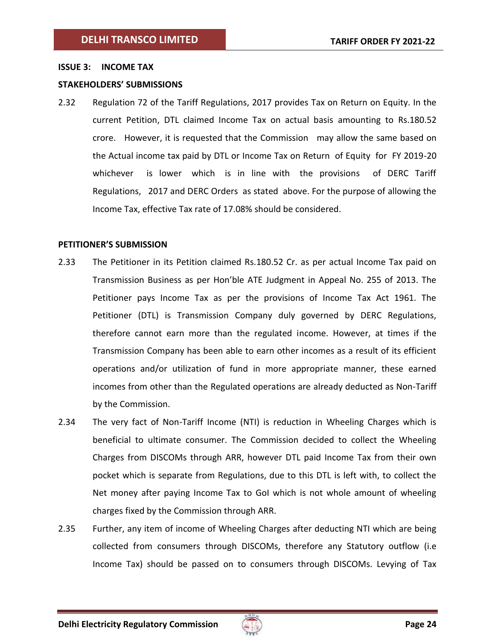### <span id="page-23-0"></span>**ISSUE 3: INCOME TAX**

## **STAKEHOLDERS' SUBMISSIONS**

2.32 Regulation 72 of the Tariff Regulations, 2017 provides Tax on Return on Equity. In the current Petition, DTL claimed Income Tax on actual basis amounting to Rs.180.52 crore. However, it is requested that the Commission may allow the same based on the Actual income tax paid by DTL or Income Tax on Return of Equity for FY 2019-20 whichever is lower which is in line with the provisions of DERC Tariff Regulations, 2017 and DERC Orders as stated above. For the purpose of allowing the Income Tax, effective Tax rate of 17.08% should be considered.

## **PETITIONER'S SUBMISSION**

- 2.33 The Petitioner in its Petition claimed Rs.180.52 Cr. as per actual Income Tax paid on Transmission Business as per Hon'ble ATE Judgment in Appeal No. 255 of 2013. The Petitioner pays Income Tax as per the provisions of Income Tax Act 1961. The Petitioner (DTL) is Transmission Company duly governed by DERC Regulations, therefore cannot earn more than the regulated income. However, at times if the Transmission Company has been able to earn other incomes as a result of its efficient operations and/or utilization of fund in more appropriate manner, these earned incomes from other than the Regulated operations are already deducted as Non-Tariff by the Commission.
- 2.34 The very fact of Non-Tariff Income (NTI) is reduction in Wheeling Charges which is beneficial to ultimate consumer. The Commission decided to collect the Wheeling Charges from DISCOMs through ARR, however DTL paid Income Tax from their own pocket which is separate from Regulations, due to this DTL is left with, to collect the Net money after paying Income Tax to GoI which is not whole amount of wheeling charges fixed by the Commission through ARR.
- 2.35 Further, any item of income of Wheeling Charges after deducting NTI which are being collected from consumers through DISCOMs, therefore any Statutory outflow (i.e Income Tax) should be passed on to consumers through DISCOMs. Levying of Tax

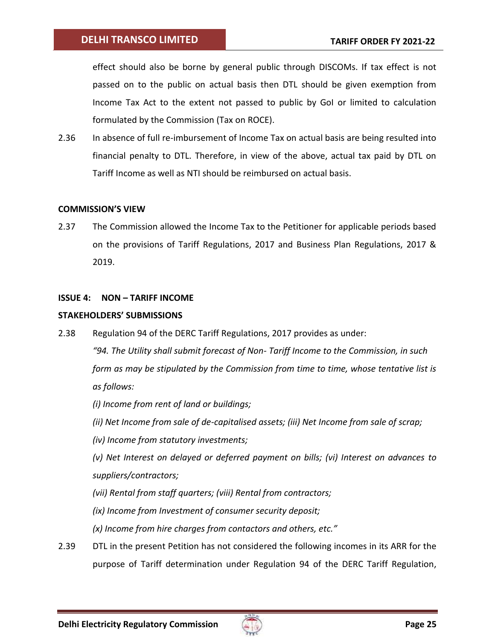effect should also be borne by general public through DISCOMs. If tax effect is not passed on to the public on actual basis then DTL should be given exemption from Income Tax Act to the extent not passed to public by GoI or limited to calculation formulated by the Commission (Tax on ROCE).

2.36 In absence of full re-imbursement of Income Tax on actual basis are being resulted into financial penalty to DTL. Therefore, in view of the above, actual tax paid by DTL on Tariff Income as well as NTI should be reimbursed on actual basis.

## **COMMISSION'S VIEW**

2.37 The Commission allowed the Income Tax to the Petitioner for applicable periods based on the provisions of Tariff Regulations, 2017 and Business Plan Regulations, 2017 & 2019.

## <span id="page-24-0"></span>**ISSUE 4: NON – TARIFF INCOME**

## **STAKEHOLDERS' SUBMISSIONS**

2.38 Regulation 94 of the DERC Tariff Regulations, 2017 provides as under:

*"94. The Utility shall submit forecast of Non- Tariff Income to the Commission, in such form as may be stipulated by the Commission from time to time, whose tentative list is as follows:*

*(i) Income from rent of land or buildings;*

- *(ii) Net Income from sale of de-capitalised assets; (iii) Net Income from sale of scrap;*
- *(iv) Income from statutory investments;*

*(v) Net Interest on delayed or deferred payment on bills; (vi) Interest on advances to suppliers/contractors;*

- *(vii) Rental from staff quarters; (viii) Rental from contractors;*
- *(ix) Income from Investment of consumer security deposit;*
- *(x) Income from hire charges from contactors and others, etc."*
- 2.39 DTL in the present Petition has not considered the following incomes in its ARR for the purpose of Tariff determination under Regulation 94 of the DERC Tariff Regulation,

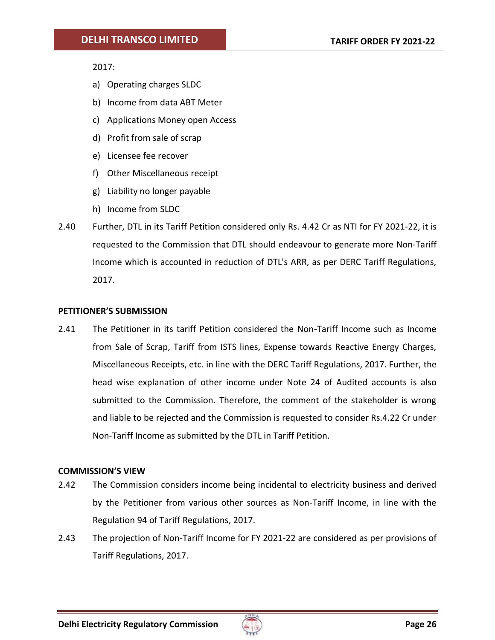2017:

- a) Operating charges SLDC
- b) Income from data ABT Meter
- c) Applications Money open Access
- d) Profit from sale of scrap
- e) Licensee fee recover
- f) Other Miscellaneous receipt
- g) Liability no longer payable
- h) Income from SLDC
- 2.40 Further, DTL in its Tariff Petition considered only Rs. 4.42 Cr as NTI for FY 2021-22, it is requested to the Commission that DTL should endeavour to generate more Non-Tariff Income which is accounted in reduction of DTL's ARR, as per DERC Tariff Regulations, 2017.

## **PETITIONER'S SUBMISSION**

2.41 The Petitioner in its tariff Petition considered the Non-Tariff Income such as Income from Sale of Scrap, Tariff from ISTS lines, Expense towards Reactive Energy Charges, Miscellaneous Receipts, etc. in line with the DERC Tariff Regulations, 2017. Further, the head wise explanation of other income under Note 24 of Audited accounts is also submitted to the Commission. Therefore, the comment of the stakeholder is wrong and liable to be rejected and the Commission is requested to consider Rs.4.22 Cr under Non-Tariff Income as submitted by the DTL in Tariff Petition.

## **COMMISSION'S VIEW**

- 2.42 The Commission considers income being incidental to electricity business and derived by the Petitioner from various other sources as Non-Tariff Income, in line with the Regulation 94 of Tariff Regulations, 2017.
- 2.43 The projection of Non-Tariff Income for FY 2021-22 are considered as per provisions of Tariff Regulations, 2017.

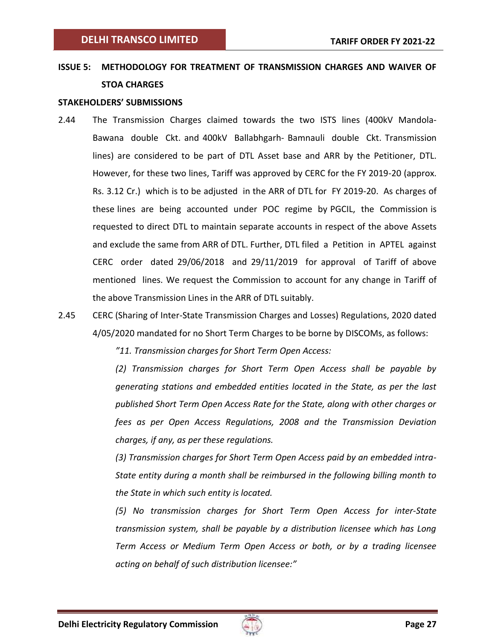# <span id="page-26-0"></span>**ISSUE 5: METHODOLOGY FOR TREATMENT OF TRANSMISSION CHARGES AND WAIVER OF STOA CHARGES**

#### **STAKEHOLDERS' SUBMISSIONS**

- 2.44 The Transmission Charges claimed towards the two ISTS lines (400kV Mandola-Bawana double Ckt. and 400kV Ballabhgarh- Bamnauli double Ckt. Transmission lines) are considered to be part of DTL Asset base and ARR by the Petitioner, DTL. However, for these two lines, Tariff was approved by CERC for the FY 2019-20 (approx. Rs. 3.12 Cr.) which is to be adjusted in the ARR of DTL for FY 2019-20. As charges of these lines are being accounted under POC regime by PGCIL, the Commission is requested to direct DTL to maintain separate accounts in respect of the above Assets and exclude the same from ARR of DTL. Further, DTL filed a Petition in APTEL against CERC order dated 29/06/2018 and 29/11/2019 for approval of Tariff of above mentioned lines. We request the Commission to account for any change in Tariff of the above Transmission Lines in the ARR of DTL suitably.
- 2.45 CERC (Sharing of Inter-State Transmission Charges and Losses) Regulations, 2020 dated 4/05/2020 mandated for no Short Term Charges to be borne by DISCOMs, as follows:

*"11. Transmission charges for Short Term Open Access:*

*(2) Transmission charges for Short Term Open Access shall be payable by generating stations and embedded entities located in the State, as per the last published Short Term Open Access Rate for the State, along with other charges or fees as per Open Access Regulations, 2008 and the Transmission Deviation charges, if any, as per these regulations.*

*(3) Transmission charges for Short Term Open Access paid by an embedded intra-State entity during a month shall be reimbursed in the following billing month to the State in which such entity is located.*

*(5) No transmission charges for Short Term Open Access for inter-State transmission system, shall be payable by a distribution licensee which has Long Term Access or Medium Term Open Access or both, or by a trading licensee acting on behalf of such distribution licensee:"*

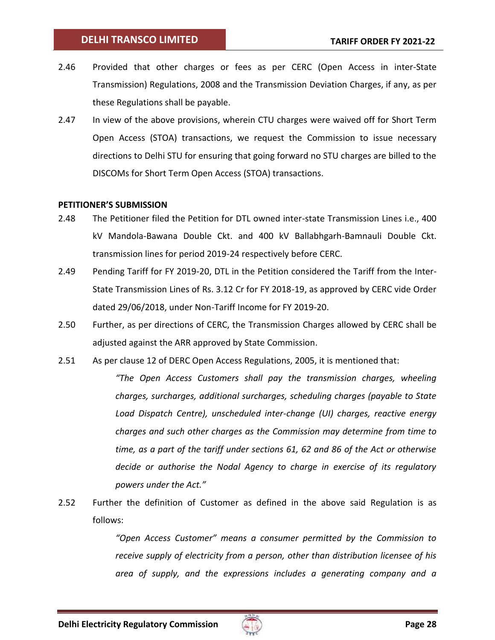- 2.46 Provided that other charges or fees as per CERC (Open Access in inter-State Transmission) Regulations, 2008 and the Transmission Deviation Charges, if any, as per these Regulations shall be payable.
- 2.47 In view of the above provisions, wherein CTU charges were waived off for Short Term Open Access (STOA) transactions, we request the Commission to issue necessary directions to Delhi STU for ensuring that going forward no STU charges are billed to the DISCOMs for Short Term Open Access (STOA) transactions.

## **PETITIONER'S SUBMISSION**

- 2.48 The Petitioner filed the Petition for DTL owned inter-state Transmission Lines i.e., 400 kV Mandola-Bawana Double Ckt. and 400 kV Ballabhgarh-Bamnauli Double Ckt. transmission lines for period 2019-24 respectively before CERC.
- 2.49 Pending Tariff for FY 2019-20, DTL in the Petition considered the Tariff from the Inter-State Transmission Lines of Rs. 3.12 Cr for FY 2018-19, as approved by CERC vide Order dated 29/06/2018, under Non-Tariff Income for FY 2019-20.
- 2.50 Further, as per directions of CERC, the Transmission Charges allowed by CERC shall be adjusted against the ARR approved by State Commission.
- 2.51 As per clause 12 of DERC Open Access Regulations, 2005, it is mentioned that:

*"The Open Access Customers shall pay the transmission charges, wheeling charges, surcharges, additional surcharges, scheduling charges (payable to State Load Dispatch Centre), unscheduled inter-change (UI) charges, reactive energy charges and such other charges as the Commission may determine from time to time, as a part of the tariff under sections 61, 62 and 86 of the Act or otherwise decide or authorise the Nodal Agency to charge in exercise of its regulatory powers under the Act."*

2.52 Further the definition of Customer as defined in the above said Regulation is as follows:

> *"Open Access Customer" means a consumer permitted by the Commission to receive supply of electricity from a person, other than distribution licensee of his area of supply, and the expressions includes a generating company and a*

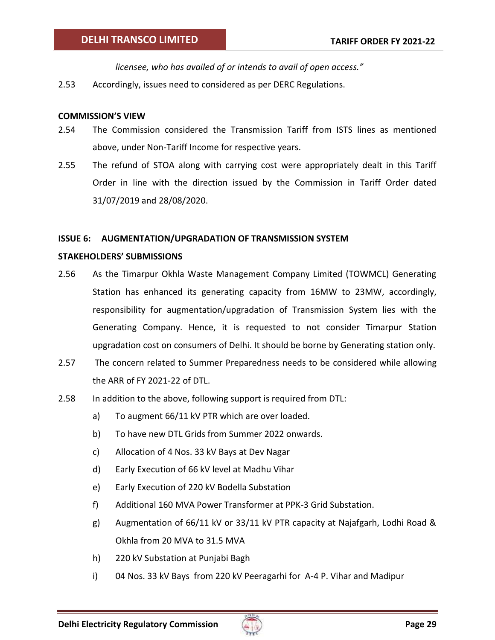*licensee, who has availed of or intends to avail of open access."*

2.53 Accordingly, issues need to considered as per DERC Regulations.

## **COMMISSION'S VIEW**

- 2.54 The Commission considered the Transmission Tariff from ISTS lines as mentioned above, under Non-Tariff Income for respective years.
- 2.55 The refund of STOA along with carrying cost were appropriately dealt in this Tariff Order in line with the direction issued by the Commission in Tariff Order dated 31/07/2019 and 28/08/2020.

## <span id="page-28-0"></span>**ISSUE 6: AUGMENTATION/UPGRADATION OF TRANSMISSION SYSTEM**

## **STAKEHOLDERS' SUBMISSIONS**

- 2.56 As the Timarpur Okhla Waste Management Company Limited (TOWMCL) Generating Station has enhanced its generating capacity from 16MW to 23MW, accordingly, responsibility for augmentation/upgradation of Transmission System lies with the Generating Company. Hence, it is requested to not consider Timarpur Station upgradation cost on consumers of Delhi. It should be borne by Generating station only.
- 2.57 The concern related to Summer Preparedness needs to be considered while allowing the ARR of FY 2021-22 of DTL.
- 2.58 In addition to the above, following support is required from DTL:
	- a) To augment 66/11 kV PTR which are over loaded.
	- b) To have new DTL Grids from Summer 2022 onwards.
	- c) Allocation of 4 Nos. 33 kV Bays at Dev Nagar
	- d) Early Execution of 66 kV level at Madhu Vihar
	- e) Early Execution of 220 kV Bodella Substation
	- f) Additional 160 MVA Power Transformer at PPK-3 Grid Substation.
	- g) Augmentation of 66/11 kV or 33/11 kV PTR capacity at Najafgarh, Lodhi Road & Okhla from 20 MVA to 31.5 MVA
	- h) 220 kV Substation at Punjabi Bagh
	- i) 04 Nos. 33 kV Bays from 220 kV Peeragarhi for A-4 P. Vihar and Madipur

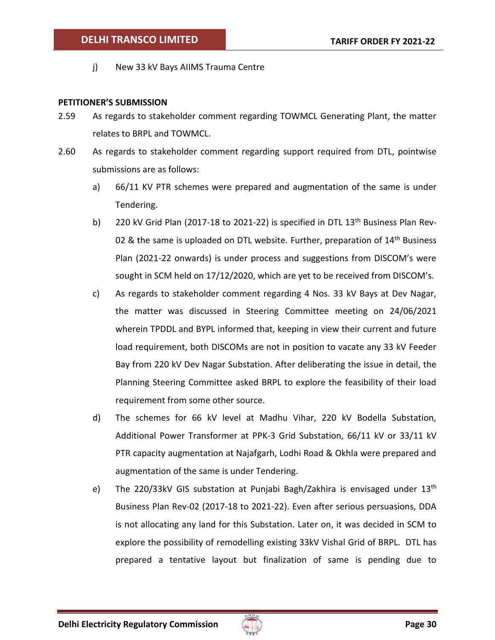j) New 33 kV Bays AIIMS Trauma Centre

## **PETITIONER'S SUBMISSION**

- 2.59 As regards to stakeholder comment regarding TOWMCL Generating Plant, the matter relates to BRPL and TOWMCL.
- 2.60 As regards to stakeholder comment regarding support required from DTL, pointwise submissions are as follows:
	- a) 66/11 KV PTR schemes were prepared and augmentation of the same is under Tendering.
	- b) 220 kV Grid Plan (2017-18 to 2021-22) is specified in DTL  $13<sup>th</sup>$  Business Plan Rev-02 & the same is uploaded on DTL website. Further, preparation of  $14<sup>th</sup>$  Business Plan (2021-22 onwards) is under process and suggestions from DISCOM's were sought in SCM held on 17/12/2020, which are yet to be received from DISCOM's.
	- c) As regards to stakeholder comment regarding 4 Nos. 33 kV Bays at Dev Nagar, the matter was discussed in Steering Committee meeting on 24/06/2021 wherein TPDDL and BYPL informed that, keeping in view their current and future load requirement, both DISCOMs are not in position to vacate any 33 kV Feeder Bay from 220 kV Dev Nagar Substation. After deliberating the issue in detail, the Planning Steering Committee asked BRPL to explore the feasibility of their load requirement from some other source.
	- d) The schemes for 66 kV level at Madhu Vihar, 220 kV Bodella Substation, Additional Power Transformer at PPK-3 Grid Substation, 66/11 kV or 33/11 kV PTR capacity augmentation at Najafgarh, Lodhi Road & Okhla were prepared and augmentation of the same is under Tendering.
	- e) The 220/33kV GIS substation at Punjabi Bagh/Zakhira is envisaged under 13<sup>th</sup> Business Plan Rev-02 (2017-18 to 2021-22). Even after serious persuasions, DDA is not allocating any land for this Substation. Later on, it was decided in SCM to explore the possibility of remodelling existing 33kV Vishal Grid of BRPL. DTL has prepared a tentative layout but finalization of same is pending due to

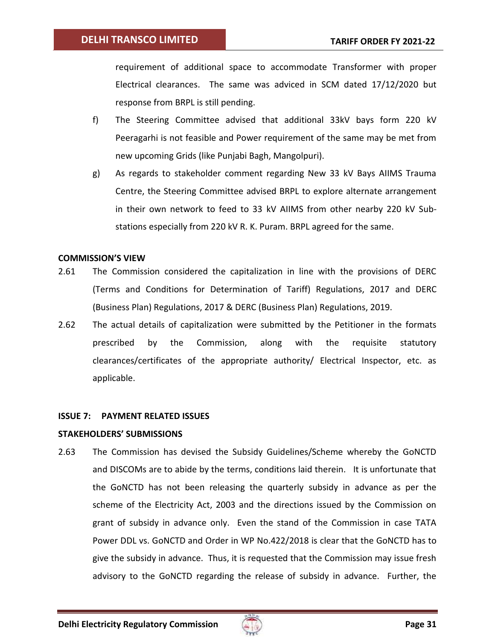requirement of additional space to accommodate Transformer with proper Electrical clearances. The same was adviced in SCM dated 17/12/2020 but response from BRPL is still pending.

- f) The Steering Committee advised that additional 33kV bays form 220 kV Peeragarhi is not feasible and Power requirement of the same may be met from new upcoming Grids (like Punjabi Bagh, Mangolpuri).
- g) As regards to stakeholder comment regarding New 33 kV Bays AIIMS Trauma Centre, the Steering Committee advised BRPL to explore alternate arrangement in their own network to feed to 33 kV AIIMS from other nearby 220 kV Substations especially from 220 kV R. K. Puram. BRPL agreed for the same.

## **COMMISSION'S VIEW**

- 2.61 The Commission considered the capitalization in line with the provisions of DERC (Terms and Conditions for Determination of Tariff) Regulations, 2017 and DERC (Business Plan) Regulations, 2017 & DERC (Business Plan) Regulations, 2019.
- 2.62 The actual details of capitalization were submitted by the Petitioner in the formats prescribed by the Commission, along with the requisite statutory clearances/certificates of the appropriate authority/ Electrical Inspector, etc. as applicable.

#### <span id="page-30-0"></span>**ISSUE 7: PAYMENT RELATED ISSUES**

## **STAKEHOLDERS' SUBMISSIONS**

2.63 The Commission has devised the Subsidy Guidelines/Scheme whereby the GoNCTD and DISCOMs are to abide by the terms, conditions laid therein. It is unfortunate that the GoNCTD has not been releasing the quarterly subsidy in advance as per the scheme of the Electricity Act, 2003 and the directions issued by the Commission on grant of subsidy in advance only. Even the stand of the Commission in case TATA Power DDL vs. GoNCTD and Order in WP No.422/2018 is clear that the GoNCTD has to give the subsidy in advance. Thus, it is requested that the Commission may issue fresh advisory to the GoNCTD regarding the release of subsidy in advance. Further, the

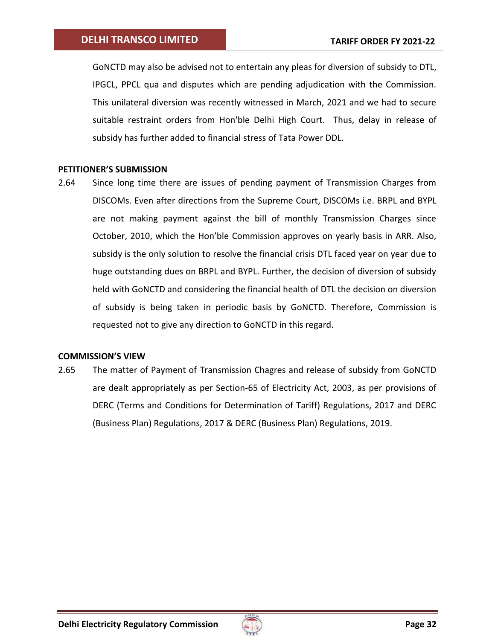GoNCTD may also be advised not to entertain any pleas for diversion of subsidy to DTL, IPGCL, PPCL qua and disputes which are pending adjudication with the Commission. This unilateral diversion was recently witnessed in March, 2021 and we had to secure suitable restraint orders from Hon'ble Delhi High Court. Thus, delay in release of subsidy has further added to financial stress of Tata Power DDL.

## **PETITIONER'S SUBMISSION**

2.64 Since long time there are issues of pending payment of Transmission Charges from DISCOMs. Even after directions from the Supreme Court, DISCOMs i.e. BRPL and BYPL are not making payment against the bill of monthly Transmission Charges since October, 2010, which the Hon'ble Commission approves on yearly basis in ARR. Also, subsidy is the only solution to resolve the financial crisis DTL faced year on year due to huge outstanding dues on BRPL and BYPL. Further, the decision of diversion of subsidy held with GoNCTD and considering the financial health of DTL the decision on diversion of subsidy is being taken in periodic basis by GoNCTD. Therefore, Commission is requested not to give any direction to GoNCTD in this regard.

## **COMMISSION'S VIEW**

2.65 The matter of Payment of Transmission Chagres and release of subsidy from GoNCTD are dealt appropriately as per Section-65 of Electricity Act, 2003, as per provisions of DERC (Terms and Conditions for Determination of Tariff) Regulations, 2017 and DERC (Business Plan) Regulations, 2017 & DERC (Business Plan) Regulations, 2019.

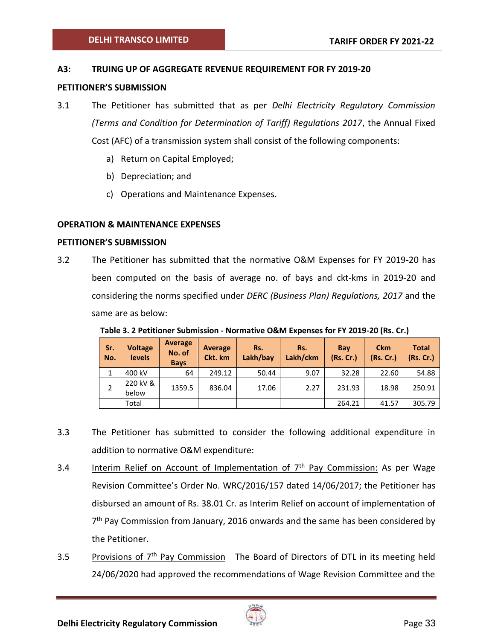## <span id="page-32-0"></span>**A3: TRUING UP OF AGGREGATE REVENUE REQUIREMENT FOR FY 2019-20**

#### **PETITIONER'S SUBMISSION**

- 3.1 The Petitioner has submitted that as per *Delhi Electricity Regulatory Commission (Terms and Condition for Determination of Tariff) Regulations 2017*, the Annual Fixed Cost (AFC) of a transmission system shall consist of the following components:
	- a) Return on Capital Employed;
	- b) Depreciation; and
	- c) Operations and Maintenance Expenses.

## <span id="page-32-1"></span>**OPERATION & MAINTENANCE EXPENSES**

#### **PETITIONER'S SUBMISSION**

3.2 The Petitioner has submitted that the normative O&M Expenses for FY 2019-20 has been computed on the basis of average no. of bays and ckt-kms in 2019-20 and considering the norms specified under *DERC (Business Plan) Regulations, 2017* and the same are as below:

| Sr.<br>No. | <b>Voltage</b><br><b>levels</b> | <b>Average</b><br>No. of<br><b>Bays</b> | Average<br>Ckt. km | Rs.<br>Lakh/bay | Rs.<br>Lakh/ckm | Bay<br>(Rs. Cr.) | <b>Ckm</b><br>(Rs.Cr.) | <b>Total</b><br>(Rs.Cr.) |
|------------|---------------------------------|-----------------------------------------|--------------------|-----------------|-----------------|------------------|------------------------|--------------------------|
|            | 400 kV                          | 64                                      | 249.12             | 50.44           | 9.07            | 32.28            | 22.60                  | 54.88                    |
|            | 220 kV &<br>below               | 1359.5                                  | 836.04             | 17.06           | 2.27            | 231.93           | 18.98                  | 250.91                   |
|            | Total                           |                                         |                    |                 |                 | 264.21           | 41.57                  | 305.79                   |

<span id="page-32-2"></span>**Table 3. 2 Petitioner Submission - Normative O&M Expenses for FY 2019-20 (Rs. Cr.)**

- 3.3 The Petitioner has submitted to consider the following additional expenditure in addition to normative O&M expenditure:
- 3.4 Interim Relief on Account of Implementation of  $7<sup>th</sup>$  Pay Commission: As per Wage Revision Committee's Order No. WRC/2016/157 dated 14/06/2017; the Petitioner has disbursed an amount of Rs. 38.01 Cr. as Interim Relief on account of implementation of 7<sup>th</sup> Pay Commission from January, 2016 onwards and the same has been considered by the Petitioner.
- 3.5 Provisions of 7<sup>th</sup> Pay Commission The Board of Directors of DTL in its meeting held 24/06/2020 had approved the recommendations of Wage Revision Committee and the

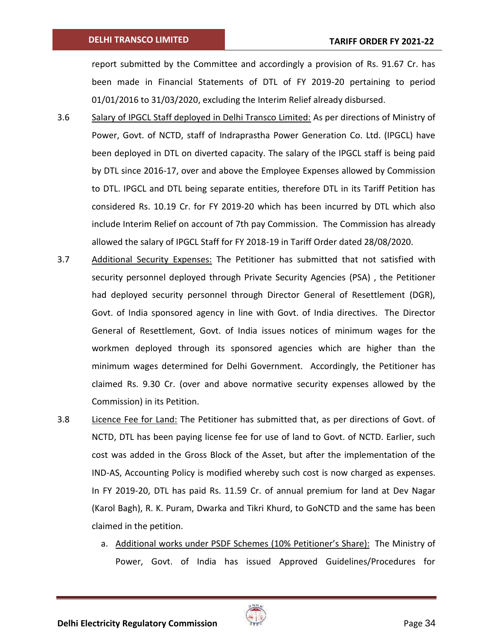#### **DELHI TRANSCO LIMITED**

report submitted by the Committee and accordingly a provision of Rs. 91.67 Cr. has been made in Financial Statements of DTL of FY 2019-20 pertaining to period 01/01/2016 to 31/03/2020, excluding the Interim Relief already disbursed.

- 3.6 Salary of IPGCL Staff deployed in Delhi Transco Limited: As per directions of Ministry of Power, Govt. of NCTD, staff of Indraprastha Power Generation Co. Ltd. (IPGCL) have been deployed in DTL on diverted capacity. The salary of the IPGCL staff is being paid by DTL since 2016-17, over and above the Employee Expenses allowed by Commission to DTL. IPGCL and DTL being separate entities, therefore DTL in its Tariff Petition has considered Rs. 10.19 Cr. for FY 2019-20 which has been incurred by DTL which also include Interim Relief on account of 7th pay Commission. The Commission has already allowed the salary of IPGCL Staff for FY 2018-19 in Tariff Order dated 28/08/2020.
- 3.7 Additional Security Expenses: The Petitioner has submitted that not satisfied with security personnel deployed through Private Security Agencies (PSA) , the Petitioner had deployed security personnel through Director General of Resettlement (DGR), Govt. of India sponsored agency in line with Govt. of India directives. The Director General of Resettlement, Govt. of India issues notices of minimum wages for the workmen deployed through its sponsored agencies which are higher than the minimum wages determined for Delhi Government. Accordingly, the Petitioner has claimed Rs. 9.30 Cr. (over and above normative security expenses allowed by the Commission) in its Petition.
- 3.8 Licence Fee for Land: The Petitioner has submitted that, as per directions of Govt. of NCTD, DTL has been paying license fee for use of land to Govt. of NCTD. Earlier, such cost was added in the Gross Block of the Asset, but after the implementation of the IND-AS, Accounting Policy is modified whereby such cost is now charged as expenses. In FY 2019-20, DTL has paid Rs. 11.59 Cr. of annual premium for land at Dev Nagar (Karol Bagh), R. K. Puram, Dwarka and Tikri Khurd, to GoNCTD and the same has been claimed in the petition.
	- a. Additional works under PSDF Schemes (10% Petitioner's Share): The Ministry of Power, Govt. of India has issued Approved Guidelines/Procedures for

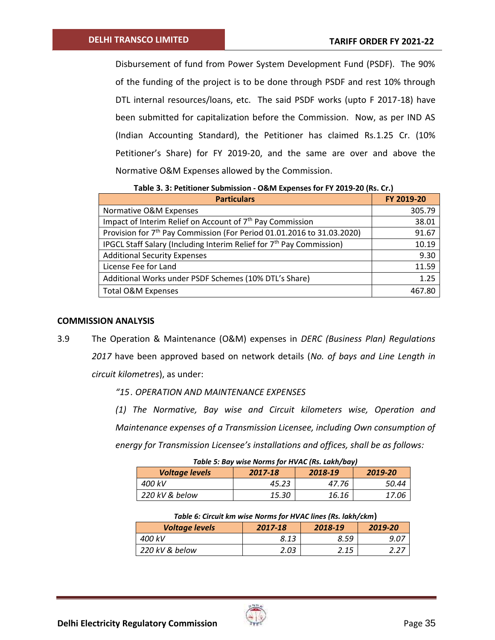Disbursement of fund from Power System Development Fund (PSDF). The 90% of the funding of the project is to be done through PSDF and rest 10% through DTL internal resources/loans, etc. The said PSDF works (upto F 2017-18) have been submitted for capitalization before the Commission. Now, as per IND AS (Indian Accounting Standard), the Petitioner has claimed Rs.1.25 Cr. (10% Petitioner's Share) for FY 2019-20, and the same are over and above the Normative O&M Expenses allowed by the Commission.

**Table 3. 3: Petitioner Submission - O&M Expenses for FY 2019-20 (Rs. Cr.)**

<span id="page-34-0"></span>

| <b>Particulars</b>                                                                 | FY 2019-20 |
|------------------------------------------------------------------------------------|------------|
| Normative O&M Expenses                                                             | 305.79     |
| Impact of Interim Relief on Account of 7 <sup>th</sup> Pay Commission              | 38.01      |
| Provision for 7 <sup>th</sup> Pay Commission (For Period 01.01.2016 to 31.03.2020) | 91.67      |
| IPGCL Staff Salary (Including Interim Relief for 7 <sup>th</sup> Pay Commission)   | 10.19      |
| <b>Additional Security Expenses</b>                                                | 9.30       |
| License Fee for Land                                                               | 11.59      |
| Additional Works under PSDF Schemes (10% DTL's Share)                              | 1.25       |
| <b>Total O&amp;M Expenses</b>                                                      | 467.80     |

#### **COMMISSION ANALYSIS**

3.9 The Operation & Maintenance (O&M) expenses in *DERC (Business Plan) Regulations 2017* have been approved based on network details (*No. of bays and Line Length in circuit kilometres*), as under:

*"15. OPERATION AND MAINTENANCE EXPENSES* 

*(1) The Normative, Bay wise and Circuit kilometers wise, Operation and Maintenance expenses of a Transmission Licensee, including Own consumption of energy for Transmission Licensee's installations and offices, shall be as follows:* 

| Table 5: Bay wise Norms for HVAC (Rs. Lakh/bay)        |       |       |       |  |  |
|--------------------------------------------------------|-------|-------|-------|--|--|
| <b>Voltage levels</b><br>2017-18<br>2018-19<br>2019-20 |       |       |       |  |  |
| 400 kV                                                 | 45.23 | 47.76 | 50.44 |  |  |
| 220 kV & below                                         | 15.30 | 16.16 | 17.06 |  |  |

| Table 6: Circuit km wise Norms for HVAC lines (Rs. lakh/ckm) |      |      |      |  |  |  |
|--------------------------------------------------------------|------|------|------|--|--|--|
| <b>Voltage levels</b><br>2019-20<br>2018-19<br>2017-18       |      |      |      |  |  |  |
| 400 kV                                                       | 8.13 | 8.59 | 9.07 |  |  |  |
| 220 kV & below                                               | 2.03 | 2.15 | 2.27 |  |  |  |

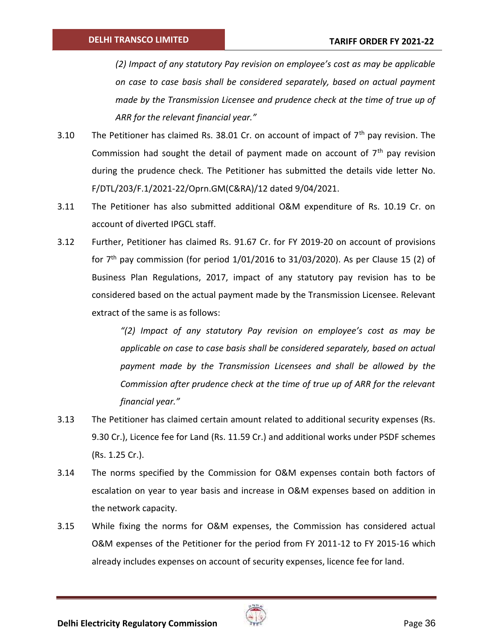*(2) Impact of any statutory Pay revision on employee's cost as may be applicable on case to case basis shall be considered separately, based on actual payment made by the Transmission Licensee and prudence check at the time of true up of ARR for the relevant financial year."* 

- 3.10 The Petitioner has claimed Rs. 38.01 Cr. on account of impact of  $7<sup>th</sup>$  pay revision. The Commission had sought the detail of payment made on account of  $7<sup>th</sup>$  pay revision during the prudence check. The Petitioner has submitted the details vide letter No. F/DTL/203/F.1/2021-22/Oprn.GM(C&RA)/12 dated 9/04/2021.
- 3.11 The Petitioner has also submitted additional O&M expenditure of Rs. 10.19 Cr. on account of diverted IPGCL staff.
- 3.12 Further, Petitioner has claimed Rs. 91.67 Cr. for FY 2019-20 on account of provisions for  $7<sup>th</sup>$  pay commission (for period  $1/01/2016$  to  $31/03/2020$ ). As per Clause 15 (2) of Business Plan Regulations, 2017, impact of any statutory pay revision has to be considered based on the actual payment made by the Transmission Licensee. Relevant extract of the same is as follows:

*"(2) Impact of any statutory Pay revision on employee's cost as may be applicable on case to case basis shall be considered separately, based on actual payment made by the Transmission Licensees and shall be allowed by the Commission after prudence check at the time of true up of ARR for the relevant financial year."*

- 3.13 The Petitioner has claimed certain amount related to additional security expenses (Rs. 9.30 Cr.), Licence fee for Land (Rs. 11.59 Cr.) and additional works under PSDF schemes (Rs. 1.25 Cr.).
- 3.14 The norms specified by the Commission for O&M expenses contain both factors of escalation on year to year basis and increase in O&M expenses based on addition in the network capacity.
- 3.15 While fixing the norms for O&M expenses, the Commission has considered actual O&M expenses of the Petitioner for the period from FY 2011-12 to FY 2015-16 which already includes expenses on account of security expenses, licence fee for land.

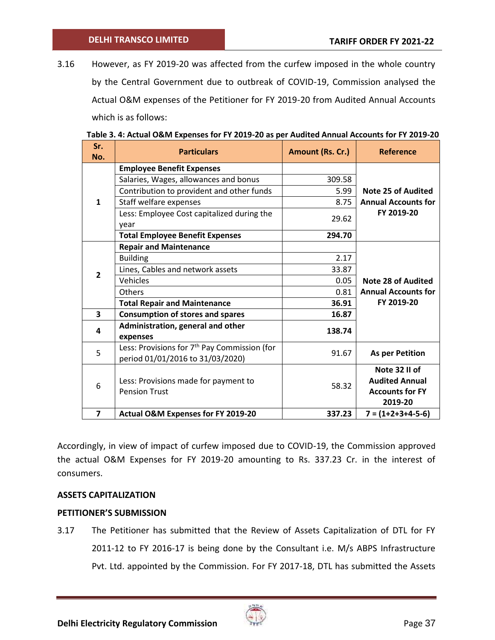3.16 However, as FY 2019-20 was affected from the curfew imposed in the whole country by the Central Government due to outbreak of COVID-19, Commission analysed the Actual O&M expenses of the Petitioner for FY 2019-20 from Audited Annual Accounts which is as follows:

| Sr.<br>No.              | <b>Particulars</b>                                                                           | Amount (Rs. Cr.) | <b>Reference</b>           |
|-------------------------|----------------------------------------------------------------------------------------------|------------------|----------------------------|
|                         | <b>Employee Benefit Expenses</b>                                                             |                  |                            |
|                         | Salaries, Wages, allowances and bonus                                                        | 309.58           |                            |
|                         | Contribution to provident and other funds                                                    | 5.99             | <b>Note 25 of Audited</b>  |
| $\mathbf{1}$            | Staff welfare expenses                                                                       | 8.75             | <b>Annual Accounts for</b> |
|                         | Less: Employee Cost capitalized during the<br>year                                           | 29.62            | FY 2019-20                 |
|                         | <b>Total Employee Benefit Expenses</b>                                                       | 294.70           |                            |
|                         | <b>Repair and Maintenance</b>                                                                |                  |                            |
|                         | <b>Building</b>                                                                              | 2.17             |                            |
| $\overline{2}$          | Lines, Cables and network assets                                                             | 33.87            |                            |
|                         | Vehicles                                                                                     | 0.05             | <b>Note 28 of Audited</b>  |
|                         | Others                                                                                       | 0.81             | <b>Annual Accounts for</b> |
|                         | <b>Total Repair and Maintenance</b>                                                          | 36.91            | FY 2019-20                 |
| $\overline{\mathbf{3}}$ | <b>Consumption of stores and spares</b>                                                      | 16.87            |                            |
| 4                       | Administration, general and other<br>expenses                                                | 138.74           |                            |
| 5                       | Less: Provisions for 7 <sup>th</sup> Pay Commission (for<br>period 01/01/2016 to 31/03/2020) | 91.67            | <b>As per Petition</b>     |
|                         |                                                                                              |                  | Note 32 II of              |
|                         | Less: Provisions made for payment to                                                         |                  | <b>Audited Annual</b>      |
| 6                       | <b>Pension Trust</b>                                                                         | 58.32            | <b>Accounts for FY</b>     |
|                         |                                                                                              |                  | 2019-20                    |
| $\overline{7}$          | Actual O&M Expenses for FY 2019-20                                                           | 337.23           | $7 = (1+2+3+4-5-6)$        |

Accordingly, in view of impact of curfew imposed due to COVID-19, the Commission approved the actual O&M Expenses for FY 2019-20 amounting to Rs. 337.23 Cr. in the interest of consumers.

## **ASSETS CAPITALIZATION**

### **PETITIONER'S SUBMISSION**

3.17 The Petitioner has submitted that the Review of Assets Capitalization of DTL for FY 2011-12 to FY 2016-17 is being done by the Consultant i.e. M/s ABPS Infrastructure Pvt. Ltd. appointed by the Commission. For FY 2017-18, DTL has submitted the Assets

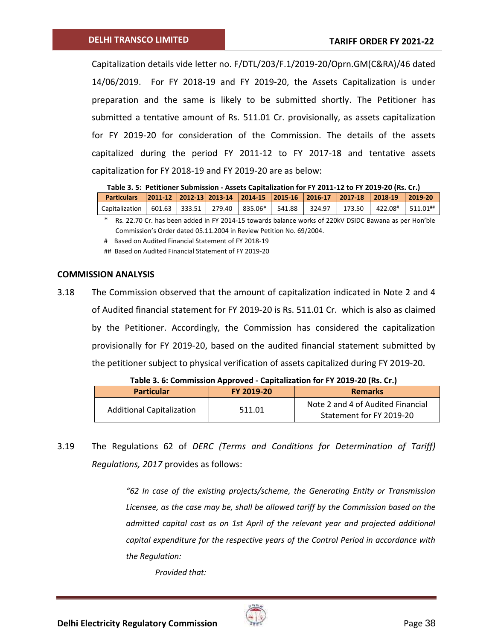Capitalization details vide letter no. F/DTL/203/F.1/2019-20/Oprn.GM(C&RA)/46 dated 14/06/2019. For FY 2018-19 and FY 2019-20, the Assets Capitalization is under preparation and the same is likely to be submitted shortly. The Petitioner has submitted a tentative amount of Rs. 511.01 Cr. provisionally, as assets capitalization for FY 2019-20 for consideration of the Commission. The details of the assets capitalized during the period FY 2011-12 to FY 2017-18 and tentative assets capitalization for FY 2018-19 and FY 2019-20 are as below:

**Table 3. 5: Petitioner Submission - Assets Capitalization for FY 2011-12 to FY 2019-20 (Rs. Cr.) Particulars 2011-12 2012-13 2013-14 2014-15 2015-16 2016-17 2017-18 2018-19 2019-20**

| 2011-12   2012-13   2013-14   2014-15   2013-10   2013-17   2017-18   2013-17   2015-17   2015-20    |  |  |  |  |  |
|------------------------------------------------------------------------------------------------------|--|--|--|--|--|
| Capitalization   601.63   333.51   279.40   835.06*   541.88   324.97   173.50   422.08#   511.01 ** |  |  |  |  |  |
|                                                                                                      |  |  |  |  |  |

Rs. 22.70 Cr. has been added in FY 2014-15 towards balance works of 220kV DSIDC Bawana as per Hon'ble Commission's Order dated 05.11.2004 in Review Petition No. 69/2004.

# Based on Audited Financial Statement of FY 2018-19

## Based on Audited Financial Statement of FY 2019-20

### **COMMISSION ANALYSIS**

3.18 The Commission observed that the amount of capitalization indicated in Note 2 and 4 of Audited financial statement for FY 2019-20 is Rs. 511.01 Cr. which is also as claimed by the Petitioner. Accordingly, the Commission has considered the capitalization provisionally for FY 2019-20, based on the audited financial statement submitted by the petitioner subject to physical verification of assets capitalized during FY 2019-20.

| Table 5. 0. Commission Apploved - Capitalization for FT 2015-20 (KS. CR) |            |                                                               |  |  |  |  |
|--------------------------------------------------------------------------|------------|---------------------------------------------------------------|--|--|--|--|
| <b>Particular</b>                                                        | FY 2019-20 | <b>Remarks</b>                                                |  |  |  |  |
| <b>Additional Capitalization</b>                                         | 511.01     | Note 2 and 4 of Audited Financial<br>Statement for FY 2019-20 |  |  |  |  |

**Table 3. 6: Commission Approved - Capitalization for FY 2019-20 (Rs. Cr.)**

3.19 The Regulations 62 of *DERC (Terms and Conditions for Determination of Tariff) Regulations, 2017* provides as follows:

> *"62 In case of the existing projects/scheme, the Generating Entity or Transmission Licensee, as the case may be, shall be allowed tariff by the Commission based on the admitted capital cost as on 1st April of the relevant year and projected additional capital expenditure for the respective years of the Control Period in accordance with the Regulation:*

*Provided that:*

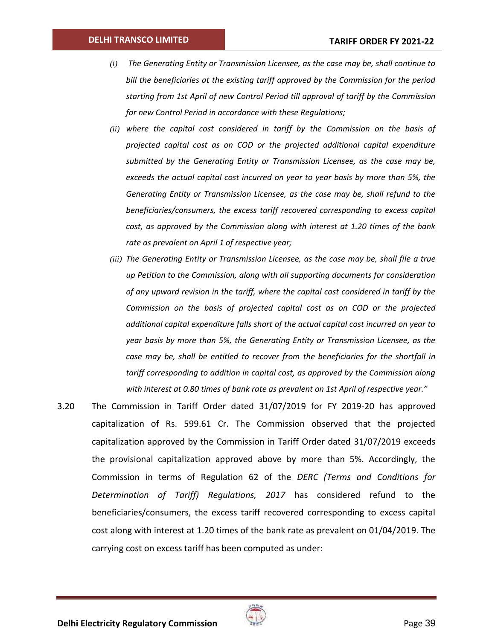#### **DELHI TRANSCO LIMITED**

- *(i) The Generating Entity or Transmission Licensee, as the case may be, shall continue to bill the beneficiaries at the existing tariff approved by the Commission for the period starting from 1st April of new Control Period till approval of tariff by the Commission for new Control Period in accordance with these Regulations;*
- *(ii) where the capital cost considered in tariff by the Commission on the basis of projected capital cost as on COD or the projected additional capital expenditure submitted by the Generating Entity or Transmission Licensee, as the case may be, exceeds the actual capital cost incurred on year to year basis by more than 5%, the Generating Entity or Transmission Licensee, as the case may be, shall refund to the beneficiaries/consumers, the excess tariff recovered corresponding to excess capital cost, as approved by the Commission along with interest at 1.20 times of the bank rate as prevalent on April 1 of respective year;*
- *(iii) The Generating Entity or Transmission Licensee, as the case may be, shall file a true up Petition to the Commission, along with all supporting documents for consideration of any upward revision in the tariff, where the capital cost considered in tariff by the Commission on the basis of projected capital cost as on COD or the projected additional capital expenditure falls short of the actual capital cost incurred on year to year basis by more than 5%, the Generating Entity or Transmission Licensee, as the case may be, shall be entitled to recover from the beneficiaries for the shortfall in tariff corresponding to addition in capital cost, as approved by the Commission along with interest at 0.80 times of bank rate as prevalent on 1st April of respective year."*
- 3.20 The Commission in Tariff Order dated 31/07/2019 for FY 2019-20 has approved capitalization of Rs. 599.61 Cr. The Commission observed that the projected capitalization approved by the Commission in Tariff Order dated 31/07/2019 exceeds the provisional capitalization approved above by more than 5%. Accordingly, the Commission in terms of Regulation 62 of the *DERC (Terms and Conditions for Determination of Tariff) Regulations, 2017* has considered refund to the beneficiaries/consumers, the excess tariff recovered corresponding to excess capital cost along with interest at 1.20 times of the bank rate as prevalent on 01/04/2019. The carrying cost on excess tariff has been computed as under:

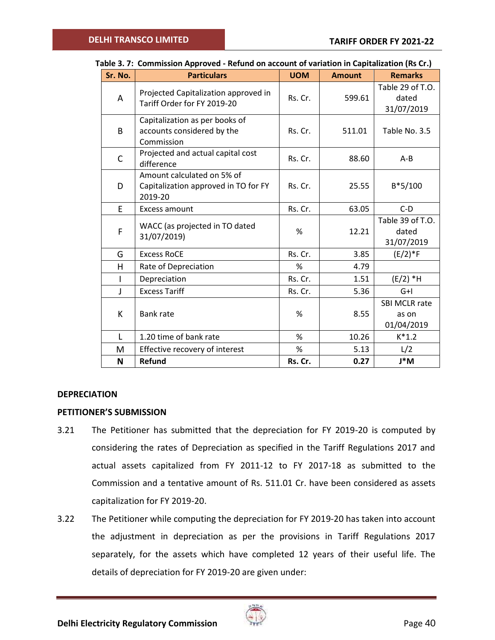| Sr. No. | <b>Particulars</b>                                                            | <b>UOM</b> | <b>Amount</b> | <b>Remarks</b>                              |
|---------|-------------------------------------------------------------------------------|------------|---------------|---------------------------------------------|
| A       | Projected Capitalization approved in<br>Tariff Order for FY 2019-20           | Rs. Cr.    | 599.61        | Table 29 of T.O.<br>dated<br>31/07/2019     |
| B       | Capitalization as per books of<br>accounts considered by the<br>Commission    | Rs. Cr.    | 511.01        | Table No. 3.5                               |
| C       | Projected and actual capital cost<br>difference                               | Rs. Cr.    | 88.60         | $A - B$                                     |
| D       | Amount calculated on 5% of<br>Capitalization approved in TO for FY<br>2019-20 | Rs. Cr.    | 25.55         | $B*5/100$                                   |
| F.      | Excess amount                                                                 | Rs. Cr.    | 63.05         | $C-D$                                       |
| F       | WACC (as projected in TO dated<br>31/07/2019)                                 | %          | 12.21         | Table 39 of T.O.<br>dated<br>31/07/2019     |
| G       | <b>Excess RoCE</b>                                                            | Rs. Cr.    | 3.85          | $(E/2)*F$                                   |
| H       | Rate of Depreciation                                                          | %          | 4.79          |                                             |
| T       | Depreciation                                                                  | Rs. Cr.    | 1.51          | $(E/2)$ *H                                  |
| J       | <b>Excess Tariff</b>                                                          | Rs. Cr.    | 5.36          | $G+I$                                       |
| K       | <b>Bank rate</b>                                                              | %          | 8.55          | <b>SBI MCLR rate</b><br>as on<br>01/04/2019 |
| L       | 1.20 time of bank rate                                                        | %          | 10.26         | $K^*1.2$                                    |
| м       | Effective recovery of interest                                                | %          | 5.13          | L/2                                         |
| N       | <b>Refund</b>                                                                 | Rs. Cr.    | 0.27          | J*M                                         |

# <span id="page-39-0"></span>**Table 3. 7: Commission Approved - Refund on account of variation in Capitalization (Rs Cr.)**

### **DEPRECIATION**

### **PETITIONER'S SUBMISSION**

- 3.21 The Petitioner has submitted that the depreciation for FY 2019-20 is computed by considering the rates of Depreciation as specified in the Tariff Regulations 2017 and actual assets capitalized from FY 2011-12 to FY 2017-18 as submitted to the Commission and a tentative amount of Rs. 511.01 Cr. have been considered as assets capitalization for FY 2019-20.
- 3.22 The Petitioner while computing the depreciation for FY 2019-20 has taken into account the adjustment in depreciation as per the provisions in Tariff Regulations 2017 separately, for the assets which have completed 12 years of their useful life. The details of depreciation for FY 2019-20 are given under:

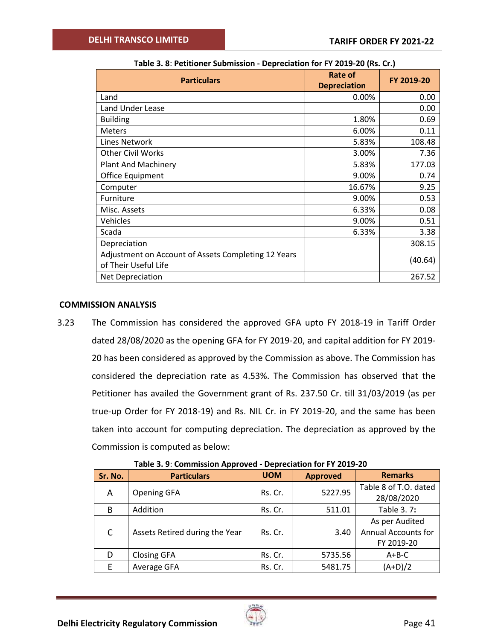| <b>Particulars</b>                                                          | Rate of<br><b>Depreciation</b> | FY 2019-20 |  |  |  |
|-----------------------------------------------------------------------------|--------------------------------|------------|--|--|--|
| Land                                                                        | 0.00%                          | 0.00       |  |  |  |
| <b>Land Under Lease</b>                                                     |                                | 0.00       |  |  |  |
| <b>Building</b>                                                             | 1.80%                          | 0.69       |  |  |  |
| <b>Meters</b>                                                               | 6.00%                          | 0.11       |  |  |  |
| Lines Network                                                               | 5.83%                          | 108.48     |  |  |  |
| <b>Other Civil Works</b>                                                    | 3.00%                          | 7.36       |  |  |  |
| <b>Plant And Machinery</b>                                                  | 5.83%                          | 177.03     |  |  |  |
| Office Equipment                                                            | 9.00%                          | 0.74       |  |  |  |
| Computer                                                                    | 16.67%                         | 9.25       |  |  |  |
| Furniture                                                                   | 9.00%                          | 0.53       |  |  |  |
| Misc. Assets                                                                | 6.33%                          | 0.08       |  |  |  |
| Vehicles                                                                    | 9.00%                          | 0.51       |  |  |  |
| Scada                                                                       | 6.33%                          | 3.38       |  |  |  |
| Depreciation                                                                |                                | 308.15     |  |  |  |
| Adjustment on Account of Assets Completing 12 Years<br>of Their Useful Life |                                | (40.64)    |  |  |  |
| Net Depreciation                                                            |                                | 267.52     |  |  |  |

## **COMMISSION ANALYSIS**

3.23 The Commission has considered the approved GFA upto FY 2018-19 in Tariff Order dated 28/08/2020 as the opening GFA for FY 2019-20, and capital addition for FY 2019- 20 has been considered as approved by the Commission as above. The Commission has considered the depreciation rate as 4.53%. The Commission has observed that the Petitioner has availed the Government grant of Rs. 237.50 Cr. till 31/03/2019 (as per true-up Order for FY 2018-19) and Rs. NIL Cr. in FY 2019-20, and the same has been taken into account for computing depreciation. The depreciation as approved by the Commission is computed as below:

| Sr. No.      | <b>Particulars</b>             | <b>UOM</b> | <b>Approved</b> | <b>Remarks</b>                                             |
|--------------|--------------------------------|------------|-----------------|------------------------------------------------------------|
| A            | <b>Opening GFA</b>             | Rs. Cr.    | 5227.95         | Table 8 of T.O. dated<br>28/08/2020                        |
| B            | Addition                       | Rs. Cr.    | 511.01          | Table 3.7:                                                 |
| $\mathsf{C}$ | Assets Retired during the Year | Rs. Cr.    | 3.40            | As per Audited<br><b>Annual Accounts for</b><br>FY 2019-20 |
| D            | <b>Closing GFA</b>             | Rs. Cr.    | 5735.56         | $A + B - C$                                                |
| F            | Average GFA                    | Rs. Cr.    | 5481.75         | $(A+D)/2$                                                  |

**Table 3. 9**: **Commission Approved - Depreciation for FY 2019-20**

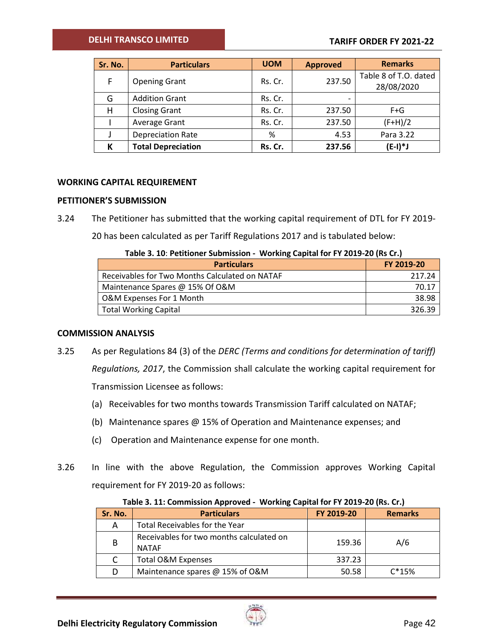## **DELHI TRANSCO LIMITED**

## **TARIFF ORDER FY 2021-22**

| Sr. No. | <b>Particulars</b>        | <b>UOM</b> | <b>Approved</b> | <b>Remarks</b>        |
|---------|---------------------------|------------|-----------------|-----------------------|
| F.      | <b>Opening Grant</b>      | Rs. Cr.    | 237.50          | Table 8 of T.O. dated |
|         |                           |            |                 | 28/08/2020            |
| G       | <b>Addition Grant</b>     | Rs. Cr.    |                 |                       |
| н       | <b>Closing Grant</b>      | Rs. Cr.    | 237.50          | $F + G$               |
|         | Average Grant             | Rs. Cr.    | 237.50          | $(F+H)/2$             |
|         | <b>Depreciation Rate</b>  | %          | 4.53            | Para 3.22             |
|         | <b>Total Depreciation</b> | Rs. Cr.    | 237.56          | $(E-I)*J$             |

### **WORKING CAPITAL REQUIREMENT**

### **PETITIONER'S SUBMISSION**

3.24 The Petitioner has submitted that the working capital requirement of DTL for FY 2019-

20 has been calculated as per Tariff Regulations 2017 and is tabulated below:

|  | Table 3. 10: Petitioner Submission - Working Capital for FY 2019-20 (Rs Cr.) |
|--|------------------------------------------------------------------------------|
|--|------------------------------------------------------------------------------|

| <b>Particulars</b>                             | FY 2019-20 |
|------------------------------------------------|------------|
| Receivables for Two Months Calculated on NATAF | 217.24     |
| Maintenance Spares @ 15% Of O&M                | 70.17      |
| O&M Expenses For 1 Month                       | 38.98      |
| Total Working Capital                          | 326.39     |

### **COMMISSION ANALYSIS**

- 3.25 As per Regulations 84 (3) of the *DERC (Terms and conditions for determination of tariff) Regulations, 2017*, the Commission shall calculate the working capital requirement for Transmission Licensee as follows:
	- (a) Receivables for two months towards Transmission Tariff calculated on NATAF;
	- (b) Maintenance spares @ 15% of Operation and Maintenance expenses; and
	- (c) Operation and Maintenance expense for one month.
- <span id="page-41-0"></span>3.26 In line with the above Regulation, the Commission approves Working Capital requirement for FY 2019-20 as follows:

| Sr. No. | <b>Particulars</b>                                       | FY 2019-20 | <b>Remarks</b> |
|---------|----------------------------------------------------------|------------|----------------|
| A       | Total Receivables for the Year                           |            |                |
| B       | Receivables for two months calculated on<br><b>NATAF</b> | 159.36     | A/6            |
|         | <b>Total O&amp;M Expenses</b>                            | 337.23     |                |
|         | Maintenance spares @ 15% of O&M                          | 50.58      | $C*15%$        |

### **Table 3. 11: Commission Approved - Working Capital for FY 2019-20 (Rs. Cr.)**

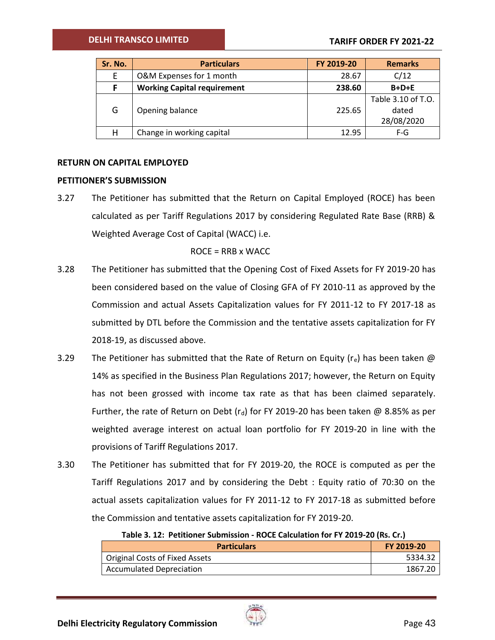| Sr. No. | <b>Particulars</b>                 | FY 2019-20 | <b>Remarks</b>                            |
|---------|------------------------------------|------------|-------------------------------------------|
| E       | O&M Expenses for 1 month           | 28.67      | C/12                                      |
| F       | <b>Working Capital requirement</b> | 238.60     | $B+D+E$                                   |
| G       | Opening balance                    | 225.65     | Table 3.10 of T.O.<br>dated<br>28/08/2020 |
| Η       | Change in working capital          | 12.95      | $F-G$                                     |

## **RETURN ON CAPITAL EMPLOYED**

### **PETITIONER'S SUBMISSION**

3.27 The Petitioner has submitted that the Return on Capital Employed (ROCE) has been calculated as per Tariff Regulations 2017 by considering Regulated Rate Base (RRB) & Weighted Average Cost of Capital (WACC) i.e.

ROCE = RRB x WACC

- 3.28 The Petitioner has submitted that the Opening Cost of Fixed Assets for FY 2019-20 has been considered based on the value of Closing GFA of FY 2010-11 as approved by the Commission and actual Assets Capitalization values for FY 2011-12 to FY 2017-18 as submitted by DTL before the Commission and the tentative assets capitalization for FY 2018-19, as discussed above.
- 3.29 The Petitioner has submitted that the Rate of Return on Equity ( $r_e$ ) has been taken  $\omega$ 14% as specified in the Business Plan Regulations 2017; however, the Return on Equity has not been grossed with income tax rate as that has been claimed separately. Further, the rate of Return on Debt (r<sub>d</sub>) for FY 2019-20 has been taken @ 8.85% as per weighted average interest on actual loan portfolio for FY 2019-20 in line with the provisions of Tariff Regulations 2017.
- 3.30 The Petitioner has submitted that for FY 2019-20, the ROCE is computed as per the Tariff Regulations 2017 and by considering the Debt : Equity ratio of 70:30 on the actual assets capitalization values for FY 2011-12 to FY 2017-18 as submitted before the Commission and tentative assets capitalization for FY 2019-20.

**Table 3. 12: Petitioner Submission - ROCE Calculation for FY 2019-20 (Rs. Cr.)**

| <b>Particulars</b>             | FY 2019-20 |
|--------------------------------|------------|
| Original Costs of Fixed Assets | 5334.32    |
| Accumulated Depreciation       | 1867.20    |

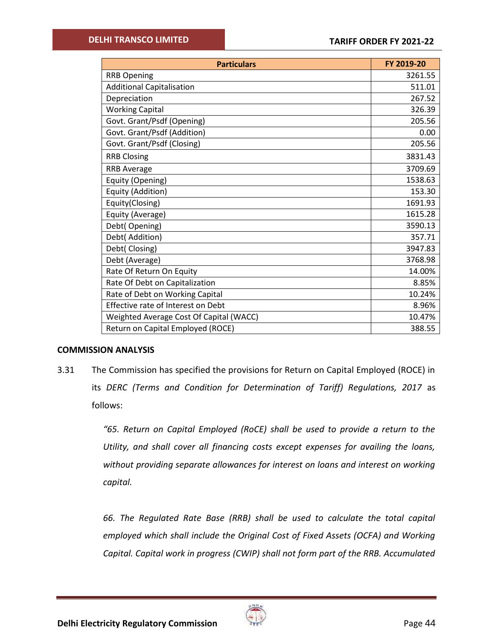| <b>Particulars</b>                      | FY 2019-20 |
|-----------------------------------------|------------|
| <b>RRB Opening</b>                      | 3261.55    |
| <b>Additional Capitalisation</b>        | 511.01     |
| Depreciation                            | 267.52     |
| <b>Working Capital</b>                  | 326.39     |
| Govt. Grant/Psdf (Opening)              | 205.56     |
| Govt. Grant/Psdf (Addition)             | 0.00       |
| Govt. Grant/Psdf (Closing)              | 205.56     |
| <b>RRB Closing</b>                      | 3831.43    |
| <b>RRB Average</b>                      | 3709.69    |
| Equity (Opening)                        | 1538.63    |
| Equity (Addition)                       | 153.30     |
| Equity(Closing)                         | 1691.93    |
| Equity (Average)                        | 1615.28    |
| Debt(Opening)                           | 3590.13    |
| Debt( Addition)                         | 357.71     |
| Debt(Closing)                           | 3947.83    |
| Debt (Average)                          | 3768.98    |
| Rate Of Return On Equity                | 14.00%     |
| Rate Of Debt on Capitalization          | 8.85%      |
| Rate of Debt on Working Capital         | 10.24%     |
| Effective rate of Interest on Debt      | 8.96%      |
| Weighted Average Cost Of Capital (WACC) | 10.47%     |
| Return on Capital Employed (ROCE)       | 388.55     |

### **COMMISSION ANALYSIS**

3.31 The Commission has specified the provisions for Return on Capital Employed (ROCE) in its *DERC (Terms and Condition for Determination of Tariff) Regulations, 2017* as follows:

> *"65. Return on Capital Employed (RoCE) shall be used to provide a return to the Utility, and shall cover all financing costs except expenses for availing the loans, without providing separate allowances for interest on loans and interest on working capital.*

> *66. The Regulated Rate Base (RRB) shall be used to calculate the total capital employed which shall include the Original Cost of Fixed Assets (OCFA) and Working Capital. Capital work in progress (CWIP) shall not form part of the RRB. Accumulated*

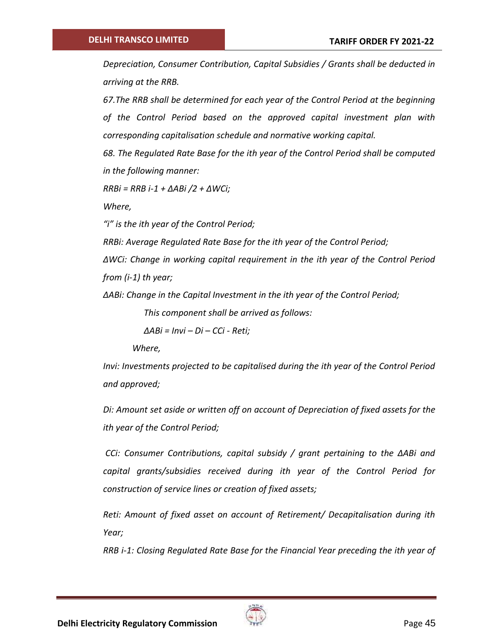*Depreciation, Consumer Contribution, Capital Subsidies / Grants shall be deducted in arriving at the RRB.*

*67.The RRB shall be determined for each year of the Control Period at the beginning of the Control Period based on the approved capital investment plan with corresponding capitalisation schedule and normative working capital.* 

*68. The Regulated Rate Base for the ith year of the Control Period shall be computed in the following manner:* 

*RRBi = RRB i-1 + ΔABi /2 + ΔWCi;* 

*Where,* 

*"i" is the ith year of the Control Period;* 

*RRBi: Average Regulated Rate Base for the ith year of the Control Period;*

*ΔWCi: Change in working capital requirement in the ith year of the Control Period from (i-1) th year;*

*ΔABi: Change in the Capital Investment in the ith year of the Control Period;*

*This component shall be arrived as follows:* 

*ΔABi = Invi – Di – CCi - Reti;*

*Where,* 

*Invi: Investments projected to be capitalised during the ith year of the Control Period and approved;*

*Di: Amount set aside or written off on account of Depreciation of fixed assets for the ith year of the Control Period;*

*CCi: Consumer Contributions, capital subsidy / grant pertaining to the ΔABi and capital grants/subsidies received during ith year of the Control Period for construction of service lines or creation of fixed assets;*

*Reti: Amount of fixed asset on account of Retirement/ Decapitalisation during ith Year;*

*RRB i-1: Closing Regulated Rate Base for the Financial Year preceding the ith year of* 

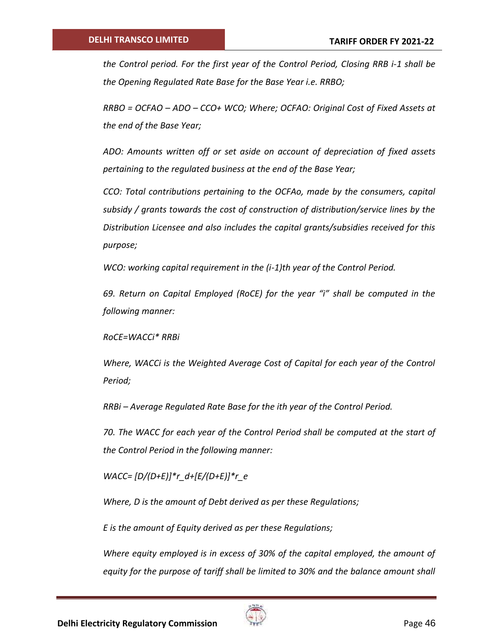*the Control period. For the first year of the Control Period, Closing RRB i-1 shall be the Opening Regulated Rate Base for the Base Year i.e. RRBO;*

*RRBO = OCFAO – ADO – CCO+ WCO; Where; OCFAO: Original Cost of Fixed Assets at the end of the Base Year;*

*ADO: Amounts written off or set aside on account of depreciation of fixed assets pertaining to the regulated business at the end of the Base Year;*

*CCO: Total contributions pertaining to the OCFAo, made by the consumers, capital subsidy / grants towards the cost of construction of distribution/service lines by the Distribution Licensee and also includes the capital grants/subsidies received for this purpose;*

*WCO: working capital requirement in the (i-1)th year of the Control Period.* 

*69. Return on Capital Employed (RoCE) for the year "i" shall be computed in the following manner:* 

*RoCE=WACCi\* RRBi*

*Where, WACCi is the Weighted Average Cost of Capital for each year of the Control Period;*

*RRBi – Average Regulated Rate Base for the ith year of the Control Period.*

*70. The WACC for each year of the Control Period shall be computed at the start of the Control Period in the following manner:* 

*WACC= [D/(D+E)]\*r\_d+[E/(D+E)]\*r\_e*

*Where, D is the amount of Debt derived as per these Regulations;* 

*E is the amount of Equity derived as per these Regulations;*

*Where equity employed is in excess of 30% of the capital employed, the amount of equity for the purpose of tariff shall be limited to 30% and the balance amount shall* 

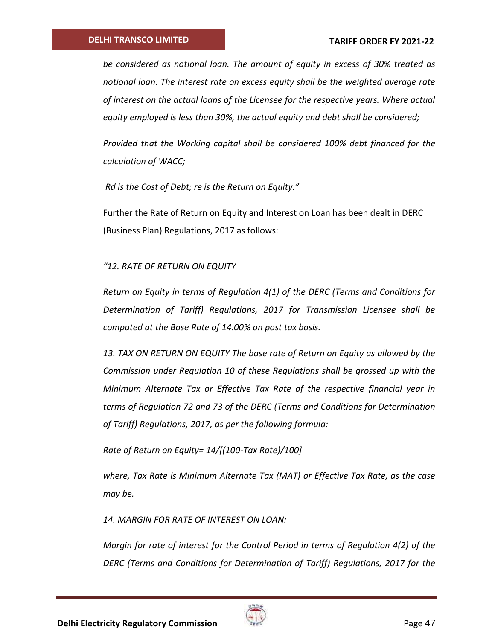*be considered as notional loan. The amount of equity in excess of 30% treated as notional loan. The interest rate on excess equity shall be the weighted average rate of interest on the actual loans of the Licensee for the respective years. Where actual equity employed is less than 30%, the actual equity and debt shall be considered;* 

*Provided that the Working capital shall be considered 100% debt financed for the calculation of WACC;*

*Rd is the Cost of Debt; re is the Return on Equity."*

Further the Rate of Return on Equity and Interest on Loan has been dealt in DERC (Business Plan) Regulations, 2017 as follows:

*"12. RATE OF RETURN ON EQUITY*

*Return on Equity in terms of Regulation 4(1) of the DERC (Terms and Conditions for Determination of Tariff) Regulations, 2017 for Transmission Licensee shall be computed at the Base Rate of 14.00% on post tax basis.*

*13. TAX ON RETURN ON EQUITY The base rate of Return on Equity as allowed by the Commission under Regulation 10 of these Regulations shall be grossed up with the Minimum Alternate Tax or Effective Tax Rate of the respective financial year in terms of Regulation 72 and 73 of the DERC (Terms and Conditions for Determination of Tariff) Regulations, 2017, as per the following formula:*

*Rate of Return on Equity= 14/[(100-Tax Rate)/100]*

*where, Tax Rate is Minimum Alternate Tax (MAT) or Effective Tax Rate, as the case may be.*

*14. MARGIN FOR RATE OF INTEREST ON LOAN:*

*Margin for rate of interest for the Control Period in terms of Regulation 4(2) of the DERC (Terms and Conditions for Determination of Tariff) Regulations, 2017 for the* 

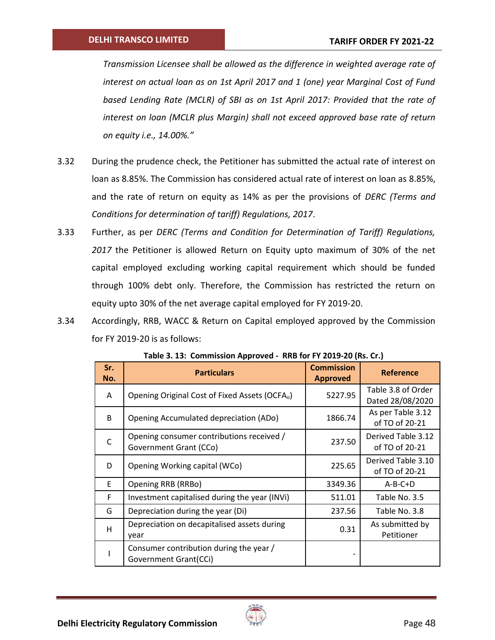*Transmission Licensee shall be allowed as the difference in weighted average rate of interest on actual loan as on 1st April 2017 and 1 (one) year Marginal Cost of Fund based Lending Rate (MCLR) of SBI as on 1st April 2017: Provided that the rate of interest on loan (MCLR plus Margin) shall not exceed approved base rate of return on equity i.e., 14.00%."*

- 3.32 During the prudence check, the Petitioner has submitted the actual rate of interest on loan as 8.85%. The Commission has considered actual rate of interest on loan as 8.85%, and the rate of return on equity as 14% as per the provisions of *DERC (Terms and Conditions for determination of tariff) Regulations, 2017*.
- 3.33 Further, as per *DERC (Terms and Condition for Determination of Tariff) Regulations, 2017* the Petitioner is allowed Return on Equity upto maximum of 30% of the net capital employed excluding working capital requirement which should be funded through 100% debt only. Therefore, the Commission has restricted the return on equity upto 30% of the net average capital employed for FY 2019-20.
- 3.34 Accordingly, RRB, WACC & Return on Capital employed approved by the Commission for FY 2019-20 is as follows:

| Sr.<br>No.   | <b>Particulars</b>                                                  | <b>Commission</b><br><b>Approved</b> | <b>Reference</b>                       |
|--------------|---------------------------------------------------------------------|--------------------------------------|----------------------------------------|
| A            | Opening Original Cost of Fixed Assets (OCFA <sub>o</sub> )          | 5227.95                              | Table 3.8 of Order<br>Dated 28/08/2020 |
| <sub>B</sub> | Opening Accumulated depreciation (ADo)                              | 1866.74                              | As per Table 3.12<br>of TO of 20-21    |
| $\mathsf{C}$ | Opening consumer contributions received /<br>Government Grant (CCo) | 237.50                               | Derived Table 3.12<br>of TO of 20-21   |
| D            | Opening Working capital (WCo)                                       | 225.65                               | Derived Table 3.10<br>of TO of 20-21   |
| E            | Opening RRB (RRBo)                                                  | 3349.36                              | $A-B-C+D$                              |
| F            | Investment capitalised during the year (INVi)                       | 511.01                               | Table No. 3.5                          |
| G            | Depreciation during the year (Di)                                   | 237.56                               | Table No. 3.8                          |
| H            | Depreciation on decapitalised assets during<br>year                 | 0.31                                 | As submitted by<br>Petitioner          |
|              | Consumer contribution during the year /<br>Government Grant(CCi)    |                                      |                                        |

**Table 3. 13: Commission Approved - RRB for FY 2019-20 (Rs. Cr.)**

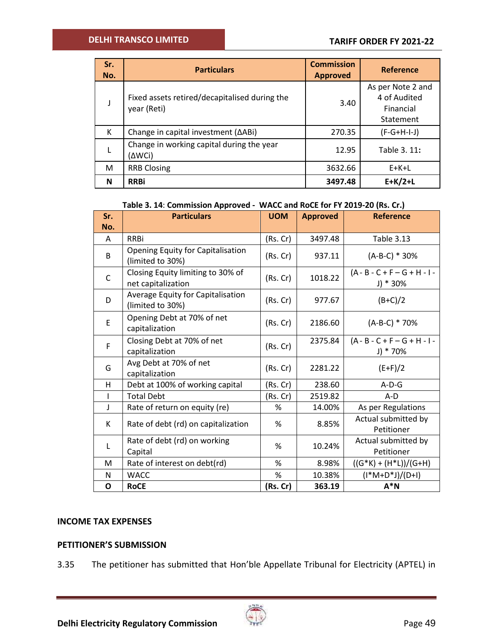| Sr.<br>No. | <b>Particulars</b>                                           | <b>Commission</b><br><b>Approved</b> | Reference                                                   |
|------------|--------------------------------------------------------------|--------------------------------------|-------------------------------------------------------------|
|            | Fixed assets retired/decapitalised during the<br>year (Reti) | 3.40                                 | As per Note 2 and<br>4 of Audited<br>Financial<br>Statement |
| К          | Change in capital investment ( $\triangle$ ABi)              | 270.35                               | $(F-G+H-I-J)$                                               |
|            | Change in working capital during the year<br>(∆WCi)          | 12.95                                | Table 3. 11:                                                |
| M          | <b>RRB Closing</b>                                           | 3632.66                              | $E+K+L$                                                     |
| N          | <b>RRBi</b>                                                  | 3497.48                              | $E+K/2+L$                                                   |

## **Table 3. 14**: **Commission Approved - WACC and RoCE for FY 2019-20 (Rs. Cr.)**

| Sr.         | <b>Particulars</b>                                      | <b>UOM</b> | <b>Approved</b> | <b>Reference</b>                            |
|-------------|---------------------------------------------------------|------------|-----------------|---------------------------------------------|
| No.         |                                                         |            |                 |                                             |
| A           | <b>RRBi</b>                                             | (Rs. Cr)   | 3497.48         | <b>Table 3.13</b>                           |
| B           | Opening Equity for Capitalisation<br>(limited to 30%)   | (Rs.Cr)    | 937.11          | (A-B-C) * 30%                               |
| $\mathsf C$ | Closing Equity limiting to 30% of<br>net capitalization | (Rs.Cr)    | 1018.22         | $(A - B - C + F - G + H - I -$<br>$J$ * 30% |
| D           | Average Equity for Capitalisation<br>(limited to 30%)   | (Rs. Cr)   | 977.67          | $(B+C)/2$                                   |
| E           | Opening Debt at 70% of net<br>capitalization            | (Rs.Cr)    | 2186.60         | (A-B-C) * 70%                               |
| F           | Closing Debt at 70% of net<br>capitalization            | (Rs.Cr)    | 2375.84         | $(A - B - C + F - G + H - I -$<br>$J$ * 70% |
| G           | Avg Debt at 70% of net<br>capitalization                | (Rs.Cr)    | 2281.22         | $(E+F)/2$                                   |
| н           | Debt at 100% of working capital                         | (Rs. Cr)   | 238.60          | $A-D-G$                                     |
|             | <b>Total Debt</b>                                       | (Rs. Cr)   | 2519.82         | $A-D$                                       |
| J           | Rate of return on equity (re)                           | %          | 14.00%          | As per Regulations                          |
| K           |                                                         |            | 8.85%<br>%      | Actual submitted by                         |
|             | Rate of debt (rd) on capitalization                     |            |                 | Petitioner                                  |
| L           | Rate of debt (rd) on working                            | %          | 10.24%          | Actual submitted by                         |
|             | Capital                                                 |            |                 | Petitioner                                  |
| M           | Rate of interest on debt(rd)                            | %          | 8.98%           | $((G*K) + (H*L))/(G+H)$                     |
| N           | <b>WACC</b>                                             | %          | 10.38%          | $(I^*M+D^*J)/(D+I)$                         |
| Ο           | <b>RoCE</b>                                             | (Rs. Cr)   | 363.19          | $A^*N$                                      |

## **INCOME TAX EXPENSES**

## **PETITIONER'S SUBMISSION**

3.35 The petitioner has submitted that Hon'ble Appellate Tribunal for Electricity (APTEL) in

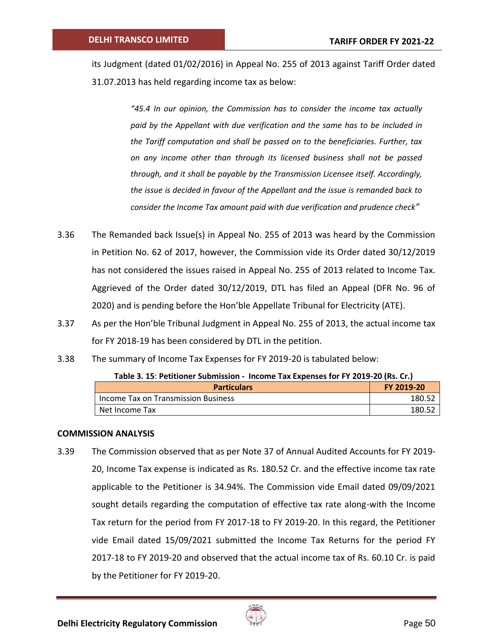its Judgment (dated 01/02/2016) in Appeal No. 255 of 2013 against Tariff Order dated 31.07.2013 has held regarding income tax as below:

> *"45.4 In our opinion, the Commission has to consider the income tax actually paid by the Appellant with due verification and the same has to be included in the Tariff computation and shall be passed on to the beneficiaries. Further, tax on any income other than through its licensed business shall not be passed through, and it shall be payable by the Transmission Licensee itself. Accordingly, the issue is decided in favour of the Appellant and the issue is remanded back to consider the Income Tax amount paid with due verification and prudence check"*

- 3.36 The Remanded back Issue(s) in Appeal No. 255 of 2013 was heard by the Commission in Petition No. 62 of 2017, however, the Commission vide its Order dated 30/12/2019 has not considered the issues raised in Appeal No. 255 of 2013 related to Income Tax. Aggrieved of the Order dated 30/12/2019, DTL has filed an Appeal (DFR No. 96 of 2020) and is pending before the Hon'ble Appellate Tribunal for Electricity (ATE).
- 3.37 As per the Hon'ble Tribunal Judgment in Appeal No. 255 of 2013, the actual income tax for FY 2018-19 has been considered by DTL in the petition.
- 3.38 The summary of Income Tax Expenses for FY 2019-20 is tabulated below:

| <b>Particulars</b>                  | FY 2019-20 |  |
|-------------------------------------|------------|--|
| Income Tax on Transmission Business | 180.52     |  |
| Net Income Tax                      | 180.57     |  |

### **Table 3. 15**: **Petitioner Submission - Income Tax Expenses for FY 2019-20 (Rs. Cr.)**

### **COMMISSION ANALYSIS**

3.39 The Commission observed that as per Note 37 of Annual Audited Accounts for FY 2019- 20, Income Tax expense is indicated as Rs. 180.52 Cr. and the effective income tax rate applicable to the Petitioner is 34.94%. The Commission vide Email dated 09/09/2021 sought details regarding the computation of effective tax rate along-with the Income Tax return for the period from FY 2017-18 to FY 2019-20. In this regard, the Petitioner vide Email dated 15/09/2021 submitted the Income Tax Returns for the period FY 2017-18 to FY 2019-20 and observed that the actual income tax of Rs. 60.10 Cr. is paid by the Petitioner for FY 2019-20.

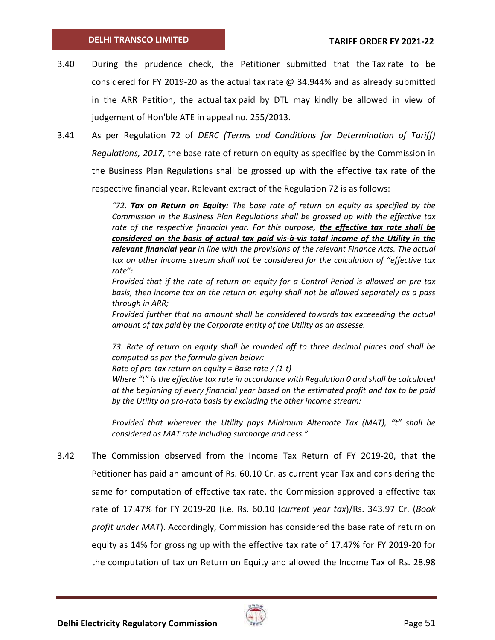- 3.40 During the prudence check, the Petitioner submitted that the Tax rate to be considered for FY 2019-20 as the actual tax rate  $\omega$  34.944% and as already submitted in the ARR Petition, the actual tax paid by DTL may kindly be allowed in view of judgement of Hon'ble ATE in appeal no. 255/2013.
- 3.41 As per Regulation 72 of *DERC (Terms and Conditions for Determination of Tariff) Regulations, 2017*, the base rate of return on equity as specified by the Commission in the Business Plan Regulations shall be grossed up with the effective tax rate of the respective financial year. Relevant extract of the Regulation 72 is as follows:

*"72. Tax on Return on Equity: The base rate of return on equity as specified by the Commission in the Business Plan Regulations shall be grossed up with the effective tax rate of the respective financial year. For this purpose, the effective tax rate shall be considered on the basis of actual tax paid vis-à-vis total income of the Utility in the relevant financial year in line with the provisions of the relevant Finance Acts. The actual tax on other income stream shall not be considered for the calculation of "effective tax rate":*

*Provided that if the rate of return on equity for a Control Period is allowed on pre-tax basis, then income tax on the return on equity shall not be allowed separately as a pass through in ARR;*

*Provided further that no amount shall be considered towards tax exceeeding the actual amount of tax paid by the Corporate entity of the Utility as an assesse.*

*73. Rate of return on equity shall be rounded off to three decimal places and shall be computed as per the formula given below:*

*Rate of pre-tax return on equity = Base rate / (1-t)*

*Where "t" is the effective tax rate in accordance with Regulation 0 and shall be calculated at the beginning of every financial year based on the estimated profit and tax to be paid by the Utility on pro-rata basis by excluding the other income stream:*

*Provided that wherever the Utility pays Minimum Alternate Tax (MAT), "t" shall be considered as MAT rate including surcharge and cess."*

3.42 The Commission observed from the Income Tax Return of FY 2019-20, that the Petitioner has paid an amount of Rs. 60.10 Cr. as current year Tax and considering the same for computation of effective tax rate, the Commission approved a effective tax rate of 17.47% for FY 2019-20 (i.e. Rs. 60.10 (*current year tax*)/Rs. 343.97 Cr. (*Book profit under MAT*). Accordingly, Commission has considered the base rate of return on equity as 14% for grossing up with the effective tax rate of 17.47% for FY 2019-20 for the computation of tax on Return on Equity and allowed the Income Tax of Rs. 28.98

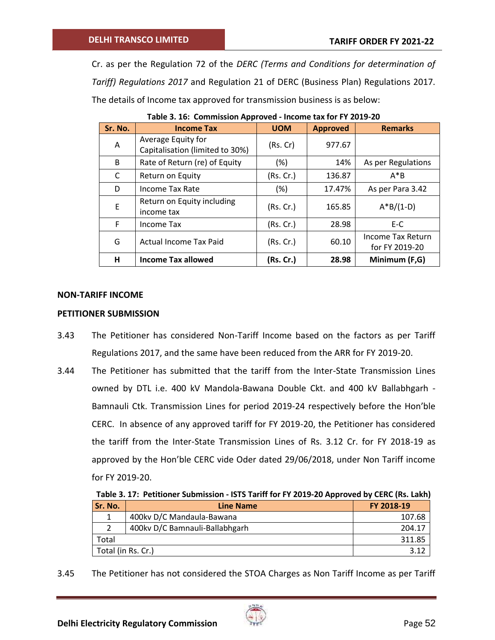Cr. as per the Regulation 72 of the *DERC (Terms and Conditions for determination of Tariff) Regulations 2017* and Regulation 21 of DERC (Business Plan) Regulations 2017. The details of Income tax approved for transmission business is as below:

| Sr. No. | <b>Income Tax</b>                                     | <b>UOM</b> | <b>Approved</b> | <b>Remarks</b>                      |
|---------|-------------------------------------------------------|------------|-----------------|-------------------------------------|
| A       | Average Equity for<br>Capitalisation (limited to 30%) | (Rs. Cr)   | 977.67          |                                     |
| B       | Rate of Return (re) of Equity                         | $(\%)$     | 14%             | As per Regulations                  |
| C       | Return on Equity                                      | (Rs. Cr.)  | 136.87          | $A^*B$                              |
| D       | Income Tax Rate                                       | (%)        | 17.47%          | As per Para 3.42                    |
| E       | Return on Equity including<br>income tax              | (Rs. Cr.)  | 165.85          | $A*B/(1-D)$                         |
| F.      | <b>Income Tax</b>                                     | (Rs. Cr.)  | 28.98           | E-C                                 |
| G       | Actual Income Tax Paid                                | (Rs. Cr.)  | 60.10           | Income Tax Return<br>for FY 2019-20 |
| Н.      | <b>Income Tax allowed</b>                             | (Rs. Cr.)  | 28.98           | Minimum (F,G)                       |

**Table 3. 16: Commission Approved - Income tax for FY 2019-20**

### **NON-TARIFF INCOME**

### **PETITIONER SUBMISSION**

- 3.43 The Petitioner has considered Non-Tariff Income based on the factors as per Tariff Regulations 2017, and the same have been reduced from the ARR for FY 2019-20.
- 3.44 The Petitioner has submitted that the tariff from the Inter-State Transmission Lines owned by DTL i.e. 400 kV Mandola-Bawana Double Ckt. and 400 kV Ballabhgarh - Bamnauli Ctk. Transmission Lines for period 2019-24 respectively before the Hon'ble CERC. In absence of any approved tariff for FY 2019-20, the Petitioner has considered the tariff from the Inter-State Transmission Lines of Rs. 3.12 Cr. for FY 2018-19 as approved by the Hon'ble CERC vide Oder dated 29/06/2018, under Non Tariff income for FY 2019-20.

**Table 3. 17: Petitioner Submission - ISTS Tariff for FY 2019-20 Approved by CERC (Rs. Lakh)**

| Sr. No.            | <b>Line Name</b>               | FY 2018-19 |
|--------------------|--------------------------------|------------|
|                    | 400kv D/C Mandaula-Bawana      | 107.68     |
|                    | 400kv D/C Bamnauli-Ballabhgarh | 204.17     |
| Total              |                                | 311.85     |
| Total (in Rs. Cr.) |                                |            |

3.45 The Petitioner has not considered the STOA Charges as Non Tariff Income as per Tariff

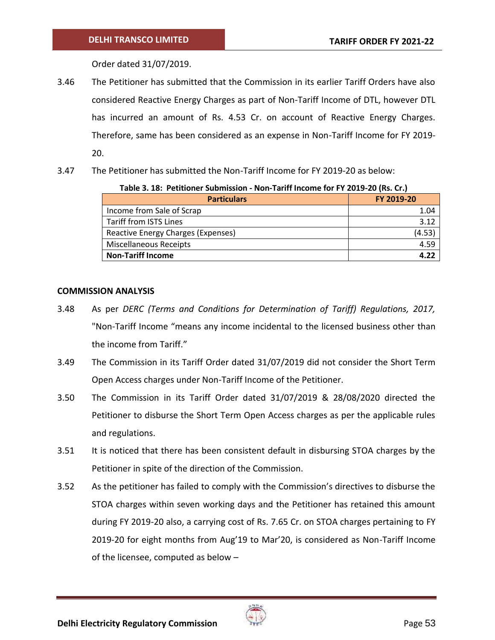Order dated 31/07/2019.

- 3.46 The Petitioner has submitted that the Commission in its earlier Tariff Orders have also considered Reactive Energy Charges as part of Non-Tariff Income of DTL, however DTL has incurred an amount of Rs. 4.53 Cr. on account of Reactive Energy Charges. Therefore, same has been considered as an expense in Non-Tariff Income for FY 2019- 20.
- 3.47 The Petitioner has submitted the Non-Tariff Income for FY 2019-20 as below:

**Table 3. 18: Petitioner Submission - Non-Tariff Income for FY 2019-20 (Rs. Cr.)**

| <b>Particulars</b>                 | FY 2019-20 |
|------------------------------------|------------|
| Income from Sale of Scrap          | 1.04       |
| Tariff from ISTS Lines             | 3.12       |
| Reactive Energy Charges (Expenses) | (4.53      |
| <b>Miscellaneous Receipts</b>      | 4.59       |
| <b>Non-Tariff Income</b>           |            |

# **COMMISSION ANALYSIS**

- 3.48 As per *DERC (Terms and Conditions for Determination of Tariff) Regulations, 2017,* "Non-Tariff Income "means any income incidental to the licensed business other than the income from Tariff."
- 3.49 The Commission in its Tariff Order dated 31/07/2019 did not consider the Short Term Open Access charges under Non-Tariff Income of the Petitioner.
- 3.50 The Commission in its Tariff Order dated 31/07/2019 & 28/08/2020 directed the Petitioner to disburse the Short Term Open Access charges as per the applicable rules and regulations.
- 3.51 It is noticed that there has been consistent default in disbursing STOA charges by the Petitioner in spite of the direction of the Commission.
- 3.52 As the petitioner has failed to comply with the Commission's directives to disburse the STOA charges within seven working days and the Petitioner has retained this amount during FY 2019-20 also, a carrying cost of Rs. 7.65 Cr. on STOA charges pertaining to FY 2019-20 for eight months from Aug'19 to Mar'20, is considered as Non-Tariff Income of the licensee, computed as below –

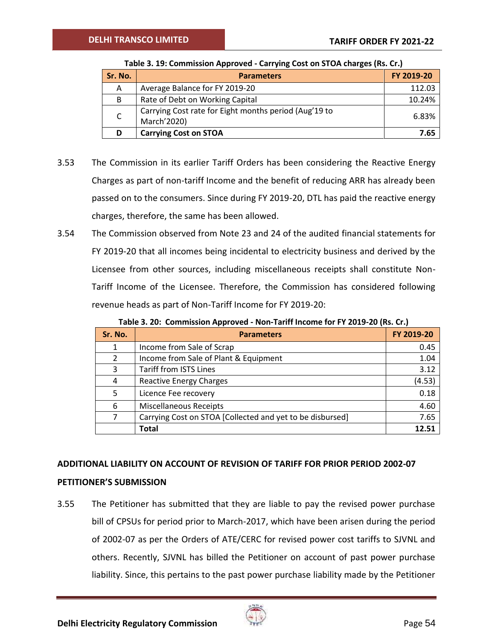| Sr. No. | <b>Parameters</b>                                                    | FY 2019-20 |
|---------|----------------------------------------------------------------------|------------|
| A       | Average Balance for FY 2019-20                                       | 112.03     |
| B       | Rate of Debt on Working Capital                                      | 10.24%     |
| C       | Carrying Cost rate for Eight months period (Aug'19 to<br>March'2020) | 6.83%      |
| D       | <b>Carrying Cost on STOA</b>                                         | 7.65       |

### **Table 3. 19: Commission Approved - Carrying Cost on STOA charges (Rs. Cr.)**

- 3.53 The Commission in its earlier Tariff Orders has been considering the Reactive Energy Charges as part of non-tariff Income and the benefit of reducing ARR has already been passed on to the consumers. Since during FY 2019-20, DTL has paid the reactive energy charges, therefore, the same has been allowed.
- 3.54 The Commission observed from Note 23 and 24 of the audited financial statements for FY 2019-20 that all incomes being incidental to electricity business and derived by the Licensee from other sources, including miscellaneous receipts shall constitute Non-Tariff Income of the Licensee. Therefore, the Commission has considered following revenue heads as part of Non-Tariff Income for FY 2019-20:

**Table 3. 20: Commission Approved - Non-Tariff Income for FY 2019-20 (Rs. Cr.)**

| Sr. No. | <b>Parameters</b>                                         | FY 2019-20 |
|---------|-----------------------------------------------------------|------------|
| 1       | Income from Sale of Scrap                                 | 0.45       |
| 2       | Income from Sale of Plant & Equipment                     | 1.04       |
| 3       | <b>Tariff from ISTS Lines</b>                             | 3.12       |
| 4       | <b>Reactive Energy Charges</b>                            | (4.53)     |
| 5       | Licence Fee recovery                                      | 0.18       |
| 6       | <b>Miscellaneous Receipts</b>                             | 4.60       |
| 7       | Carrying Cost on STOA [Collected and yet to be disbursed] | 7.65       |
|         | Total                                                     | 12.51      |

## **ADDITIONAL LIABILITY ON ACCOUNT OF REVISION OF TARIFF FOR PRIOR PERIOD 2002-07**

## **PETITIONER'S SUBMISSION**

3.55 The Petitioner has submitted that they are liable to pay the revised power purchase bill of CPSUs for period prior to March-2017, which have been arisen during the period of 2002-07 as per the Orders of ATE/CERC for revised power cost tariffs to SJVNL and others. Recently, SJVNL has billed the Petitioner on account of past power purchase liability. Since, this pertains to the past power purchase liability made by the Petitioner

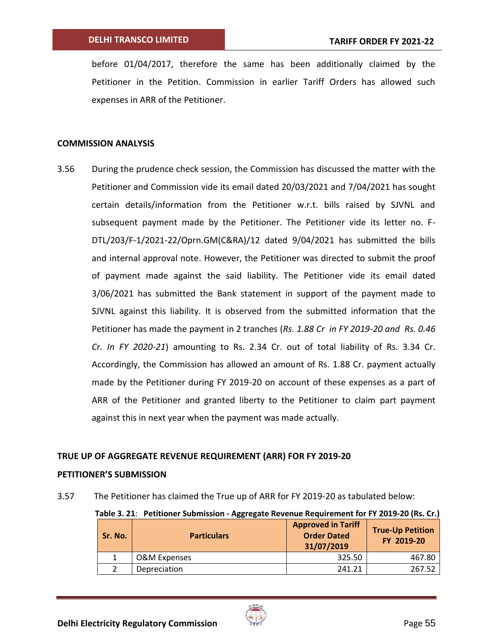before 01/04/2017, therefore the same has been additionally claimed by the Petitioner in the Petition. Commission in earlier Tariff Orders has allowed such expenses in ARR of the Petitioner.

### **COMMISSION ANALYSIS**

3.56 During the prudence check session, the Commission has discussed the matter with the Petitioner and Commission vide its email dated 20/03/2021 and 7/04/2021 has sought certain details/information from the Petitioner w.r.t. bills raised by SJVNL and subsequent payment made by the Petitioner. The Petitioner vide its letter no. F-DTL/203/F-1/2021-22/Oprn.GM(C&RA)/12 dated 9/04/2021 has submitted the bills and internal approval note. However, the Petitioner was directed to submit the proof of payment made against the said liability. The Petitioner vide its email dated 3/06/2021 has submitted the Bank statement in support of the payment made to SJVNL against this liability. It is observed from the submitted information that the Petitioner has made the payment in 2 tranches (*Rs. 1.88 Cr in FY 2019-20 and Rs. 0.46 Cr. In FY 2020-21*) amounting to Rs. 2.34 Cr. out of total liability of Rs. 3.34 Cr. Accordingly, the Commission has allowed an amount of Rs. 1.88 Cr. payment actually made by the Petitioner during FY 2019-20 on account of these expenses as a part of ARR of the Petitioner and granted liberty to the Petitioner to claim part payment against this in next year when the payment was made actually.

## **TRUE UP OF AGGREGATE REVENUE REQUIREMENT (ARR) FOR FY 2019-20**

### **PETITIONER'S SUBMISSION**

3.57 The Petitioner has claimed the True up of ARR for FY 2019-20 as tabulated below:

|  | Table 3. 21: Petitioner Submission - Aggregate Revenue Requirement for FY 2019-20 (Rs. Cr.) |  |  |  |
|--|---------------------------------------------------------------------------------------------|--|--|--|
|--|---------------------------------------------------------------------------------------------|--|--|--|

| Sr. No. | <b>Particulars</b> | <b>Approved in Tariff</b><br><b>Order Dated</b><br>31/07/2019 | <b>True-Up Petition</b><br>FY 2019-20 |
|---------|--------------------|---------------------------------------------------------------|---------------------------------------|
|         | O&M Expenses       | 325.50                                                        | 467.80                                |
|         | Depreciation       | 241.21                                                        | 267.52                                |

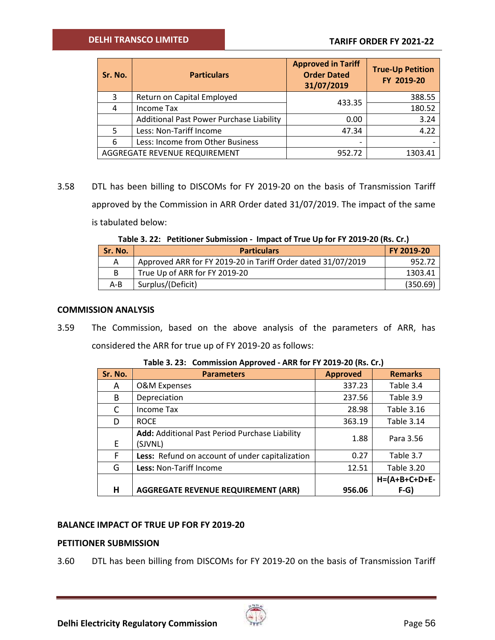| Sr. No. | <b>Particulars</b>                       | <b>Approved in Tariff</b><br><b>Order Dated</b><br>31/07/2019 | <b>True-Up Petition</b><br>FY 2019-20 |
|---------|------------------------------------------|---------------------------------------------------------------|---------------------------------------|
| 3       | Return on Capital Employed               | 433.35                                                        | 388.55                                |
|         | <b>Income Tax</b>                        |                                                               | 180.52                                |
|         | Additional Past Power Purchase Liability | 0.00                                                          | 3.24                                  |
|         | Less: Non-Tariff Income                  | 47.34                                                         | 4.22                                  |
| 6       | Less: Income from Other Business         | -                                                             |                                       |
|         | AGGREGATE REVENUE REQUIREMENT            | 952.72                                                        | 1303.41                               |

3.58 DTL has been billing to DISCOMs for FY 2019-20 on the basis of Transmission Tariff approved by the Commission in ARR Order dated 31/07/2019. The impact of the same is tabulated below:

|  |  | Table 3. 22: Petitioner Submission - Impact of True Up for FY 2019-20 (Rs. Cr.) |
|--|--|---------------------------------------------------------------------------------|
|--|--|---------------------------------------------------------------------------------|

| <b>Sr. No.</b> | <b>Particulars</b>                                           | FY 2019-20 |
|----------------|--------------------------------------------------------------|------------|
|                | Approved ARR for FY 2019-20 in Tariff Order dated 31/07/2019 | 952.72     |
|                | True Up of ARR for FY 2019-20                                | 1303.41    |
| A-B            | Surplus/(Deficit)                                            | (350.69)   |

### **COMMISSION ANALYSIS**

3.59 The Commission, based on the above analysis of the parameters of ARR, has considered the ARR for true up of FY 2019-20 as follows:

| Sr. No. | <b>Parameters</b>                                         | <b>Approved</b> | <b>Remarks</b>    |
|---------|-----------------------------------------------------------|-----------------|-------------------|
| A       | <b>O&amp;M Expenses</b>                                   | 337.23          | Table 3.4         |
| B       | Depreciation                                              | 237.56          | Table 3.9         |
| C       | Income Tax                                                | 28.98           | <b>Table 3.16</b> |
| D       | <b>ROCE</b>                                               | 363.19          | <b>Table 3.14</b> |
| E.      | Add: Additional Past Period Purchase Liability<br>(SJVNL) | 1.88            | Para 3.56         |
| F       | Less: Refund on account of under capitalization           | 0.27            | Table 3.7         |
| G       | Less: Non-Tariff Income                                   | 12.51           | <b>Table 3.20</b> |
|         |                                                           |                 | $H=(A+B+C+D+E-$   |
| н       | <b>AGGREGATE REVENUE REQUIREMENT (ARR)</b>                | 956.06          | $F-G$             |

**Table 3. 23: Commission Approved - ARR for FY 2019-20 (Rs. Cr.)**

### **BALANCE IMPACT OF TRUE UP FOR FY 2019-20**

## **PETITIONER SUBMISSION**

3.60 DTL has been billing from DISCOMs for FY 2019-20 on the basis of Transmission Tariff

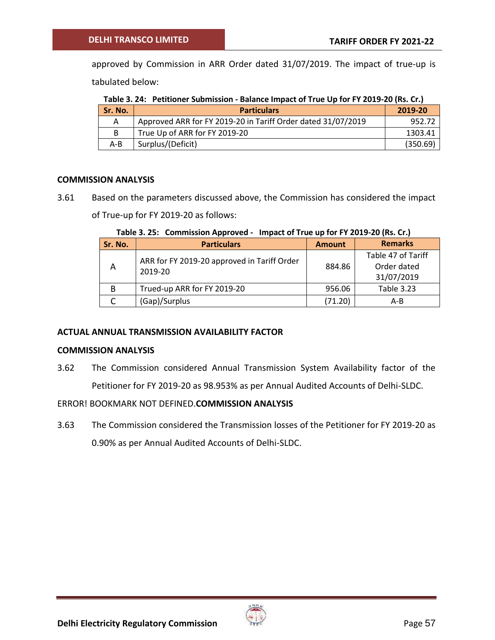approved by Commission in ARR Order dated 31/07/2019. The impact of true-up is tabulated below:

**Table 3. 24: Petitioner Submission - Balance Impact of True Up for FY 2019-20 (Rs. Cr.)** 

| Sr. No. | <b>Particulars</b>                                           | 2019-20  |
|---------|--------------------------------------------------------------|----------|
|         | Approved ARR for FY 2019-20 in Tariff Order dated 31/07/2019 | 952.72   |
| B       | True Up of ARR for FY 2019-20                                | 1303.41  |
| $A - B$ | Surplus/(Deficit)                                            | (350.69) |

## **COMMISSION ANALYSIS**

3.61 Based on the parameters discussed above, the Commission has considered the impact

of True-up for FY 2019-20 as follows:

**Table 3. 25: Commission Approved - Impact of True up for FY 2019-20 (Rs. Cr.)**

| Sr. No. | <b>Particulars</b>                          | <b>Amount</b> | <b>Remarks</b>     |
|---------|---------------------------------------------|---------------|--------------------|
| A       | ARR for FY 2019-20 approved in Tariff Order |               | Table 47 of Tariff |
|         | 2019-20                                     | 884.86        | Order dated        |
|         |                                             |               | 31/07/2019         |
| B       | Trued-up ARR for FY 2019-20                 | 956.06        | <b>Table 3.23</b>  |
|         | (Gap)/Surplus                               | (71.20)       | A-B                |

## **ACTUAL ANNUAL TRANSMISSION AVAILABILITY FACTOR**

## **COMMISSION ANALYSIS**

3.62 The Commission considered Annual Transmission System Availability factor of the Petitioner for FY 2019-20 as 98.953% as per Annual Audited Accounts of Delhi-SLDC.

# ERROR! BOOKMARK NOT DEFINED.**COMMISSION ANALYSIS**

3.63 The Commission considered the Transmission losses of the Petitioner for FY 2019-20 as 0.90% as per Annual Audited Accounts of Delhi-SLDC.

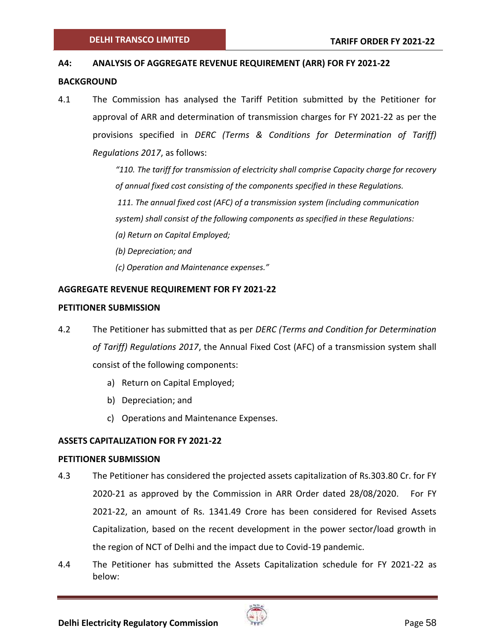### **A4: ANALYSIS OF AGGREGATE REVENUE REQUIREMENT (ARR) FOR FY 2021-22**

### **BACKGROUND**

4.1 The Commission has analysed the Tariff Petition submitted by the Petitioner for approval of ARR and determination of transmission charges for FY 2021-22 as per the provisions specified in *DERC (Terms & Conditions for Determination of Tariff) Regulations 2017*, as follows:

> *"110. The tariff for transmission of electricity shall comprise Capacity charge for recovery of annual fixed cost consisting of the components specified in these Regulations.*

*111. The annual fixed cost (AFC) of a transmission system (including communication* 

*system) shall consist of the following components as specified in these Regulations:* 

- *(a) Return on Capital Employed;*
- *(b) Depreciation; and*
- *(c) Operation and Maintenance expenses."*

## **AGGREGATE REVENUE REQUIREMENT FOR FY 2021-22**

### **PETITIONER SUBMISSION**

- 4.2 The Petitioner has submitted that as per *DERC (Terms and Condition for Determination of Tariff) Regulations 2017*, the Annual Fixed Cost (AFC) of a transmission system shall consist of the following components:
	- a) Return on Capital Employed;
	- b) Depreciation; and
	- c) Operations and Maintenance Expenses.

## **ASSETS CAPITALIZATION FOR FY 2021-22**

### **PETITIONER SUBMISSION**

- 4.3 The Petitioner has considered the projected assets capitalization of Rs.303.80 Cr. for FY 2020-21 as approved by the Commission in ARR Order dated 28/08/2020. For FY 2021-22, an amount of Rs. 1341.49 Crore has been considered for Revised Assets Capitalization, based on the recent development in the power sector/load growth in the region of NCT of Delhi and the impact due to Covid-19 pandemic.
- 4.4 The Petitioner has submitted the Assets Capitalization schedule for FY 2021-22 as below:

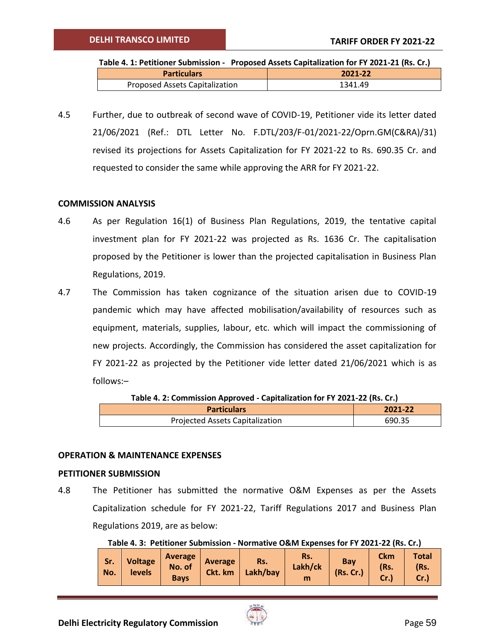| Table 4. 1: Petitioner Submission - Proposed Assets Capitalization for FY 2021-21 (Rs. Cr.) |         |  |  |  |
|---------------------------------------------------------------------------------------------|---------|--|--|--|
| <b>Particulars</b>                                                                          | 2021-22 |  |  |  |
| <b>Proposed Assets Capitalization</b>                                                       | 1341.49 |  |  |  |

4.5 Further, due to outbreak of second wave of COVID-19, Petitioner vide its letter dated 21/06/2021 (Ref.: DTL Letter No. F.DTL/203/F-01/2021-22/Oprn.GM(C&RA)/31) revised its projections for Assets Capitalization for FY 2021-22 to Rs. 690.35 Cr. and requested to consider the same while approving the ARR for FY 2021-22.

### **COMMISSION ANALYSIS**

- 4.6 As per Regulation 16(1) of Business Plan Regulations, 2019, the tentative capital investment plan for FY 2021-22 was projected as Rs. 1636 Cr. The capitalisation proposed by the Petitioner is lower than the projected capitalisation in Business Plan Regulations, 2019.
- 4.7 The Commission has taken cognizance of the situation arisen due to COVID-19 pandemic which may have affected mobilisation/availability of resources such as equipment, materials, supplies, labour, etc. which will impact the commissioning of new projects. Accordingly, the Commission has considered the asset capitalization for FY 2021-22 as projected by the Petitioner vide letter dated 21/06/2021 which is as follows:–

| <b>TWICH LE COMMISSION APPROVED</b> Capitulization for FT 2021 22 (113) CH <sub>1</sub> |         |
|-----------------------------------------------------------------------------------------|---------|
| <b>Particulars</b>                                                                      | 2021-22 |
| Projected Assets Capitalization                                                         | 690.35  |

**Table 4. 2: Commission Approved - Capitalization for FY 2021-22 (Rs. Cr.)**

### **OPERATION & MAINTENANCE EXPENSES**

#### **PETITIONER SUBMISSION**

4.8 The Petitioner has submitted the normative O&M Expenses as per the Assets Capitalization schedule for FY 2021-22, Tariff Regulations 2017 and Business Plan Regulations 2019, are as below:

**Table 4. 3: Petitioner Submission - Normative O&M Expenses for FY 2021-22 (Rs. Cr.)**

| Sr.<br>No. | <b>Voltage</b><br>levels | <b>Average</b><br>No. of<br><b>Bays</b> | Average<br>Ckt. km | Rs.<br>Lakh/bay | Rs.<br>Lakh/ck<br>m | Bay<br>(Rs. Cr.) | <b>Ckm</b><br>(Rs. | <b>Total</b><br>(Rs.<br>Cr. |
|------------|--------------------------|-----------------------------------------|--------------------|-----------------|---------------------|------------------|--------------------|-----------------------------|
|------------|--------------------------|-----------------------------------------|--------------------|-----------------|---------------------|------------------|--------------------|-----------------------------|

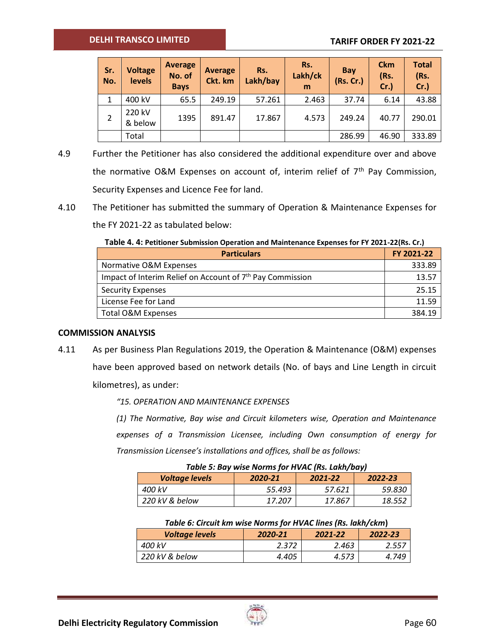## **DELHI TRANSCO LIMITED**

## **TARIFF ORDER FY 2021-22**

| Sr.<br>No. | <b>Voltage</b><br><b>levels</b> | <b>Average</b><br>No. of<br><b>Bays</b> | <b>Average</b><br>Ckt. km | Rs.<br>Lakh/bay | Rs.<br>Lakh/ck<br>m | Bay<br>(Rs. Cr.) | <b>Ckm</b><br>(Rs.<br>Cr. | <b>Total</b><br>(Rs.<br>$Cr.$ ) |
|------------|---------------------------------|-----------------------------------------|---------------------------|-----------------|---------------------|------------------|---------------------------|---------------------------------|
| 1          | 400 kV                          | 65.5                                    | 249.19                    | 57.261          | 2.463               | 37.74            | 6.14                      | 43.88                           |
|            | 220 kV<br>& below               | 1395                                    | 891.47                    | 17.867          | 4.573               | 249.24           | 40.77                     | 290.01                          |
|            | Total                           |                                         |                           |                 |                     | 286.99           | 46.90                     | 333.89                          |

- 4.9 Further the Petitioner has also considered the additional expenditure over and above the normative O&M Expenses on account of, interim relief of  $7<sup>th</sup>$  Pay Commission, Security Expenses and Licence Fee for land.
- 4.10 The Petitioner has submitted the summary of Operation & Maintenance Expenses for the FY 2021-22 as tabulated below:

**Table 4. 4: Petitioner Submission Operation and Maintenance Expenses for FY 2021-22(Rs. Cr.)**

| <b>Particulars</b>                                                    | FY 2021-22 |
|-----------------------------------------------------------------------|------------|
| Normative O&M Expenses                                                | 333.89     |
| Impact of Interim Relief on Account of 7 <sup>th</sup> Pay Commission | 13.57      |
| <b>Security Expenses</b>                                              | 25.15      |
| License Fee for Land                                                  | 11.59      |
| Total O&M Expenses                                                    | 384.19     |

### **COMMISSION ANALYSIS**

4.11 As per Business Plan Regulations 2019, the Operation & Maintenance (O&M) expenses have been approved based on network details (No. of bays and Line Length in circuit kilometres), as under:

*"15. OPERATION AND MAINTENANCE EXPENSES* 

*(1) The Normative, Bay wise and Circuit kilometers wise, Operation and Maintenance expenses of a Transmission Licensee, including Own consumption of energy for Transmission Licensee's installations and offices, shall be as follows:* 

| Table 5: Bay wise Norms for HVAC (Rs. Lakh/bay) |         |         |         |  |  |
|-------------------------------------------------|---------|---------|---------|--|--|
| <b>Voltage levels</b>                           | 2020-21 | 2021-22 | 2022-23 |  |  |
| 400 kV                                          | 55.493  | 57.621  | 59.830  |  |  |
| 220 kV & below                                  | 17.207  | 17.867  | 18.552  |  |  |

|  | Table 6: Circuit km wise Norms for HVAC lines (Rs. lakh/ckm) |  |  |  |  |
|--|--------------------------------------------------------------|--|--|--|--|
|  |                                                              |  |  |  |  |

| <b>Voltage levels</b> | 2020-21 | 2021-22 | 2022-23 |
|-----------------------|---------|---------|---------|
| 400 kV                | 2.372   | 2.463   | 2.557   |
| 220 kV & below        | 4.405   | 4.573   | 4.749   |

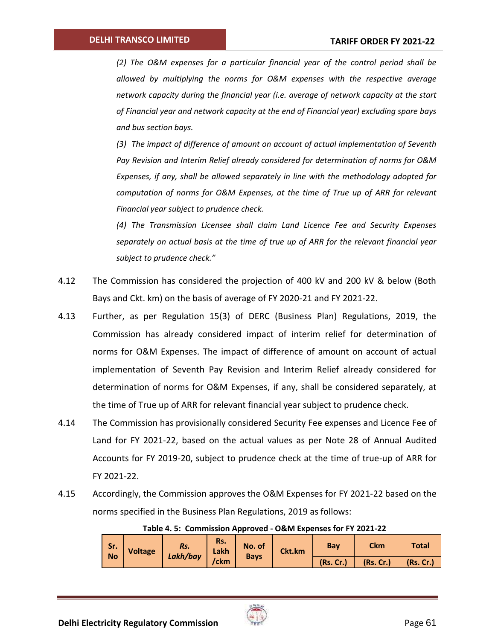*(2) The O&M expenses for a particular financial year of the control period shall be allowed by multiplying the norms for O&M expenses with the respective average network capacity during the financial year (i.e. average of network capacity at the start of Financial year and network capacity at the end of Financial year) excluding spare bays and bus section bays.*

*(3) The impact of difference of amount on account of actual implementation of Seventh Pay Revision and Interim Relief already considered for determination of norms for O&M Expenses, if any, shall be allowed separately in line with the methodology adopted for computation of norms for O&M Expenses, at the time of True up of ARR for relevant Financial year subject to prudence check.*

*(4) The Transmission Licensee shall claim Land Licence Fee and Security Expenses separately on actual basis at the time of true up of ARR for the relevant financial year subject to prudence check."* 

- 4.12 The Commission has considered the projection of 400 kV and 200 kV & below (Both Bays and Ckt. km) on the basis of average of FY 2020-21 and FY 2021-22.
- 4.13 Further, as per Regulation 15(3) of DERC (Business Plan) Regulations, 2019, the Commission has already considered impact of interim relief for determination of norms for O&M Expenses. The impact of difference of amount on account of actual implementation of Seventh Pay Revision and Interim Relief already considered for determination of norms for O&M Expenses, if any, shall be considered separately, at the time of True up of ARR for relevant financial year subject to prudence check.
- 4.14 The Commission has provisionally considered Security Fee expenses and Licence Fee of Land for FY 2021-22, based on the actual values as per Note 28 of Annual Audited Accounts for FY 2019-20, subject to prudence check at the time of true-up of ARR for FY 2021-22.
- 4.15 Accordingly, the Commission approves the O&M Expenses for FY 2021-22 based on the norms specified in the Business Plan Regulations, 2019 as follows:

|                  | Table 4. J. Commission Apploved - Octivi Expenses for FT 2021-22 |                 |             |                       |           |           |            |              |  |
|------------------|------------------------------------------------------------------|-----------------|-------------|-----------------------|-----------|-----------|------------|--------------|--|
| Sr.<br><b>No</b> | <b>Voltage</b>                                                   | Rs.<br>Lakh/bay | Rs.<br>Lakh | No. of<br><b>Bays</b> | Ckt.km    | Bay       | <b>Ckm</b> | <b>Total</b> |  |
|                  |                                                                  | /ckm            |             |                       | (Rs, Cr.) | (Rs. Cr.) | (Rs.Cr.)   |              |  |

## **Table 4. 5: Commission Approved - O&M Expenses for FY 2021-22**

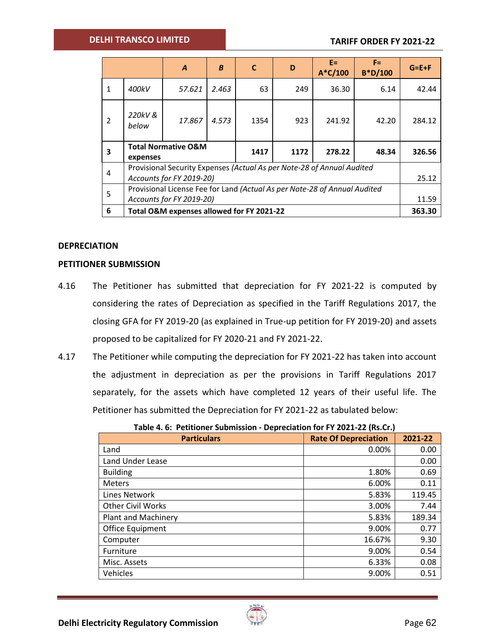### **DELHI TRANSCO LIMITED**

|              |                                                                                                    | $\boldsymbol{A}$                                                          | B     | $\mathbf{C}$ | D    | E= I<br>$A*C/100$ | $F =$<br>$B^*D/100$ | $G = E + F$ |
|--------------|----------------------------------------------------------------------------------------------------|---------------------------------------------------------------------------|-------|--------------|------|-------------------|---------------------|-------------|
| $\mathbf{1}$ | 400kV                                                                                              | 57.621                                                                    | 2.463 | 63           | 249  | 36.30             | 6.14                | 42.44       |
| 2            | 220kV &<br>below                                                                                   | 17.867                                                                    | 4.573 | 1354         | 923  | 241.92            | 42.20               | 284.12      |
| 3            | expenses                                                                                           | <b>Total Normative O&amp;M</b>                                            |       | 1417         | 1172 | 278.22            | 48.34               | 326.56      |
| 4            | Provisional Security Expenses (Actual As per Note-28 of Annual Audited<br>Accounts for FY 2019-20) |                                                                           |       |              |      | 25.12             |                     |             |
| 5            |                                                                                                    | Provisional License Fee for Land (Actual As per Note-28 of Annual Audited |       |              |      |                   |                     | 11.59       |
| 6            |                                                                                                    | Accounts for FY 2019-20)<br>Total O&M expenses allowed for FY 2021-22     |       |              |      |                   |                     | 363.30      |

### **DEPRECIATION**

### **PETITIONER SUBMISSION**

- 4.16 The Petitioner has submitted that depreciation for FY 2021-22 is computed by considering the rates of Depreciation as specified in the Tariff Regulations 2017, the closing GFA for FY 2019-20 (as explained in True-up petition for FY 2019-20) and assets proposed to be capitalized for FY 2020-21 and FY 2021-22.
- 4.17 The Petitioner while computing the depreciation for FY 2021-22 has taken into account the adjustment in depreciation as per the provisions in Tariff Regulations 2017 separately, for the assets which have completed 12 years of their useful life. The Petitioner has submitted the Depreciation for FY 2021-22 as tabulated below:

| PCPICCIULIOI I I LULL LL (IIOICII) |                             |         |  |  |  |
|------------------------------------|-----------------------------|---------|--|--|--|
| <b>Particulars</b>                 | <b>Rate Of Depreciation</b> | 2021-22 |  |  |  |
| Land                               | 0.00%                       | 0.00    |  |  |  |
| Land Under Lease                   |                             | 0.00    |  |  |  |
| <b>Building</b>                    | 1.80%                       | 0.69    |  |  |  |
| <b>Meters</b>                      | 6.00%                       | 0.11    |  |  |  |
| <b>Lines Network</b>               | 5.83%                       | 119.45  |  |  |  |
| <b>Other Civil Works</b>           | 3.00%                       | 7.44    |  |  |  |
| <b>Plant and Machinery</b>         | 5.83%                       | 189.34  |  |  |  |
| Office Equipment                   | 9.00%                       | 0.77    |  |  |  |
| Computer                           | 16.67%                      | 9.30    |  |  |  |
| Furniture                          | 9.00%                       | 0.54    |  |  |  |
| Misc. Assets                       | 6.33%                       | 0.08    |  |  |  |
| Vehicles                           | 9.00%                       | 0.51    |  |  |  |

|  | Table 4. 6: Petitioner Submission - Depreciation for FY 2021-22 (Rs.Cr.) |  |  |
|--|--------------------------------------------------------------------------|--|--|
|--|--------------------------------------------------------------------------|--|--|

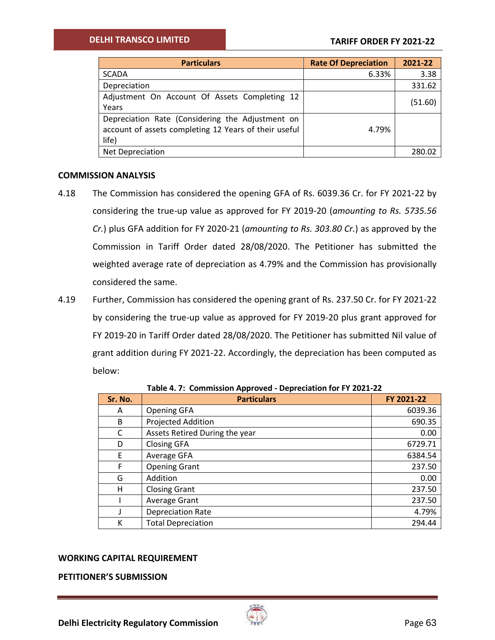| <b>Particulars</b>                                                                                                 | <b>Rate Of Depreciation</b> | 2021-22 |
|--------------------------------------------------------------------------------------------------------------------|-----------------------------|---------|
| <b>SCADA</b>                                                                                                       | 6.33%                       | 3.38    |
| Depreciation                                                                                                       |                             | 331.62  |
| Adjustment On Account Of Assets Completing 12<br>Years                                                             |                             | (51.60) |
| Depreciation Rate (Considering the Adjustment on<br>account of assets completing 12 Years of their useful<br>life) | 4.79%                       |         |
| Net Depreciation                                                                                                   |                             | 280.02  |

## **COMMISSION ANALYSIS**

- 4.18 The Commission has considered the opening GFA of Rs. 6039.36 Cr. for FY 2021-22 by considering the true-up value as approved for FY 2019-20 (*amounting to Rs. 5735.56 Cr.*) plus GFA addition for FY 2020-21 (*amounting to Rs. 303.80 Cr.*) as approved by the Commission in Tariff Order dated 28/08/2020. The Petitioner has submitted the weighted average rate of depreciation as 4.79% and the Commission has provisionally considered the same.
- 4.19 Further, Commission has considered the opening grant of Rs. 237.50 Cr. for FY 2021-22 by considering the true-up value as approved for FY 2019-20 plus grant approved for FY 2019-20 in Tariff Order dated 28/08/2020. The Petitioner has submitted Nil value of grant addition during FY 2021-22. Accordingly, the depreciation has been computed as below:

| Sr. No. | . .<br><b>Particulars</b>      | FY 2021-22 |
|---------|--------------------------------|------------|
| A       | <b>Opening GFA</b>             | 6039.36    |
| B       | Projected Addition             | 690.35     |
| C       | Assets Retired During the year | 0.00       |
| D       | <b>Closing GFA</b>             | 6729.71    |
| E       | Average GFA                    | 6384.54    |
| F       | <b>Opening Grant</b>           | 237.50     |
| G       | Addition                       | 0.00       |
| н       | <b>Closing Grant</b>           | 237.50     |
|         | Average Grant                  | 237.50     |
|         | <b>Depreciation Rate</b>       | 4.79%      |
| К       | <b>Total Depreciation</b>      | 294.44     |

**Table 4. 7: Commission Approved - Depreciation for FY 2021-22**

### **WORKING CAPITAL REQUIREMENT**

**PETITIONER'S SUBMISSION**

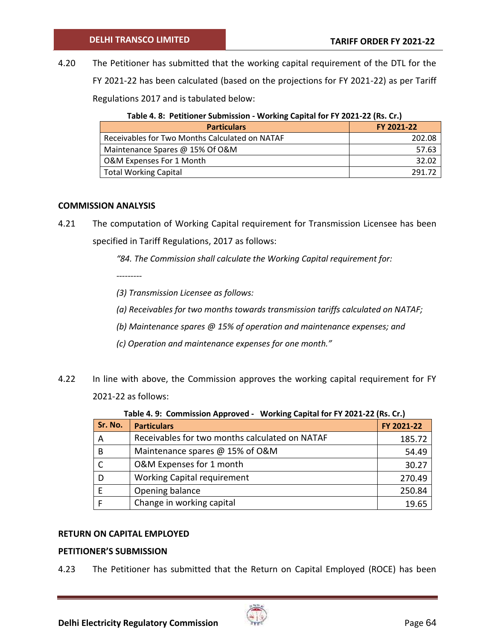4.20 The Petitioner has submitted that the working capital requirement of the DTL for the FY 2021-22 has been calculated (based on the projections for FY 2021-22) as per Tariff Regulations 2017 and is tabulated below:

| <b>TWEE</b> TO TURN ONE OWNERS TO THE WORKING CONTRIBUTION TO EXCEPT THE TIME CITY |            |  |  |  |
|------------------------------------------------------------------------------------|------------|--|--|--|
| <b>Particulars</b>                                                                 | FY 2021-22 |  |  |  |
| Receivables for Two Months Calculated on NATAF                                     | 202.08     |  |  |  |
| Maintenance Spares @ 15% Of O&M                                                    | 57.63      |  |  |  |
| O&M Expenses For 1 Month                                                           | 32.02      |  |  |  |
| <b>Total Working Capital</b>                                                       | 291.72     |  |  |  |

| Table 4. 8: Petitioner Submission - Working Capital for FY 2021-22 (Rs. Cr.) |  |  |
|------------------------------------------------------------------------------|--|--|
|------------------------------------------------------------------------------|--|--|

### **COMMISSION ANALYSIS**

4.21 The computation of Working Capital requirement for Transmission Licensee has been specified in Tariff Regulations, 2017 as follows:

*"84. The Commission shall calculate the Working Capital requirement for:* 

*---------*

*(3) Transmission Licensee as follows:* 

*(a) Receivables for two months towards transmission tariffs calculated on NATAF;* 

*(b) Maintenance spares @ 15% of operation and maintenance expenses; and* 

- *(c) Operation and maintenance expenses for one month."*
- 4.22 In line with above, the Commission approves the working capital requirement for FY 2021-22 as follows:

| Sr. No. | <b>Particulars</b>                             | FY 2021-22 |
|---------|------------------------------------------------|------------|
| A       | Receivables for two months calculated on NATAF | 185.72     |
| B       | Maintenance spares @ 15% of O&M                | 54.49      |
|         | O&M Expenses for 1 month                       | 30.27      |
| D       | <b>Working Capital requirement</b>             | 270.49     |
|         | Opening balance                                | 250.84     |
|         | Change in working capital                      | 19.65      |

### **RETURN ON CAPITAL EMPLOYED**

## **PETITIONER'S SUBMISSION**

4.23 The Petitioner has submitted that the Return on Capital Employed (ROCE) has been

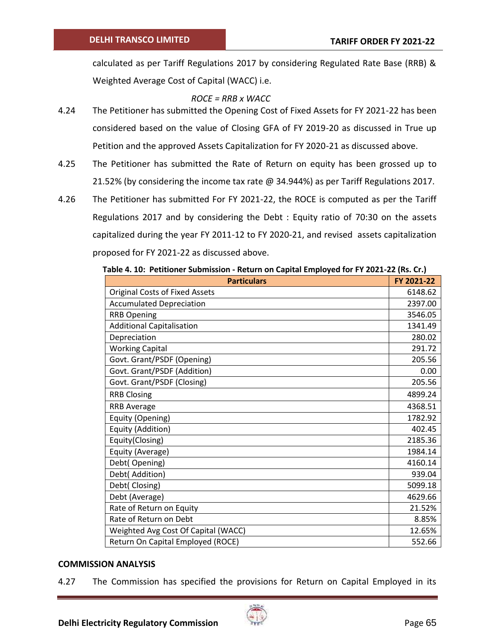calculated as per Tariff Regulations 2017 by considering Regulated Rate Base (RRB) & Weighted Average Cost of Capital (WACC) i.e.

## *ROCE = RRB x WACC*

- 4.24 The Petitioner has submitted the Opening Cost of Fixed Assets for FY 2021-22 has been considered based on the value of Closing GFA of FY 2019-20 as discussed in True up Petition and the approved Assets Capitalization for FY 2020-21 as discussed above.
- 4.25 The Petitioner has submitted the Rate of Return on equity has been grossed up to 21.52% (by considering the income tax rate @ 34.944%) as per Tariff Regulations 2017.
- 4.26 The Petitioner has submitted For FY 2021-22, the ROCE is computed as per the Tariff Regulations 2017 and by considering the Debt : Equity ratio of 70:30 on the assets capitalized during the year FY 2011-12 to FY 2020-21, and revised assets capitalization proposed for FY 2021-22 as discussed above.

| <b>Particulars</b>                    | FY 2021-22 |
|---------------------------------------|------------|
| <b>Original Costs of Fixed Assets</b> | 6148.62    |
| <b>Accumulated Depreciation</b>       | 2397.00    |
| <b>RRB Opening</b>                    | 3546.05    |
| <b>Additional Capitalisation</b>      | 1341.49    |
| Depreciation                          | 280.02     |
| <b>Working Capital</b>                | 291.72     |
| Govt. Grant/PSDF (Opening)            | 205.56     |
| Govt. Grant/PSDF (Addition)           | 0.00       |
| Govt. Grant/PSDF (Closing)            | 205.56     |
| <b>RRB Closing</b>                    | 4899.24    |
| <b>RRB Average</b>                    | 4368.51    |
| Equity (Opening)                      | 1782.92    |
| Equity (Addition)                     | 402.45     |
| Equity(Closing)                       | 2185.36    |
| Equity (Average)                      | 1984.14    |
| Debt(Opening)                         | 4160.14    |
| Debt( Addition)                       | 939.04     |
| Debt(Closing)                         | 5099.18    |
| Debt (Average)                        | 4629.66    |
| Rate of Return on Equity              | 21.52%     |
| Rate of Return on Debt                | 8.85%      |
| Weighted Avg Cost Of Capital (WACC)   | 12.65%     |
| Return On Capital Employed (ROCE)     | 552.66     |

### **COMMISSION ANALYSIS**

4.27 The Commission has specified the provisions for Return on Capital Employed in its

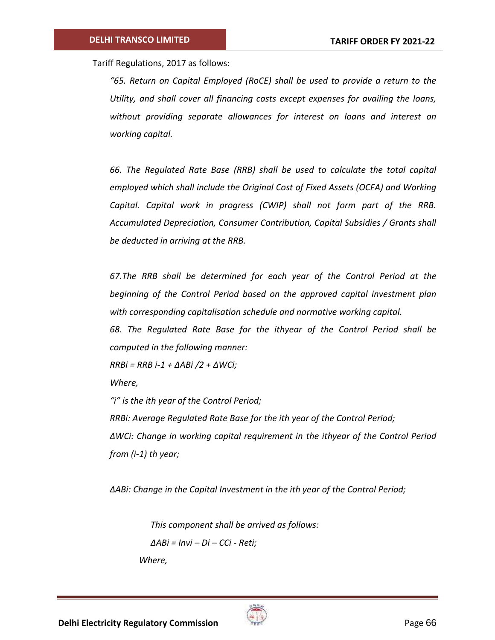Tariff Regulations, 2017 as follows:

*"65. Return on Capital Employed (RoCE) shall be used to provide a return to the Utility, and shall cover all financing costs except expenses for availing the loans, without providing separate allowances for interest on loans and interest on working capital.* 

*66. The Regulated Rate Base (RRB) shall be used to calculate the total capital employed which shall include the Original Cost of Fixed Assets (OCFA) and Working Capital. Capital work in progress (CWIP) shall not form part of the RRB. Accumulated Depreciation, Consumer Contribution, Capital Subsidies / Grants shall be deducted in arriving at the RRB.*

*67.The RRB shall be determined for each year of the Control Period at the beginning of the Control Period based on the approved capital investment plan with corresponding capitalisation schedule and normative working capital.* 

*68. The Regulated Rate Base for the ithyear of the Control Period shall be computed in the following manner:* 

*RRBi = RRB i-1 + ΔABi /2 + ΔWCi;* 

*Where,* 

*"i" is the ith year of the Control Period; RRBi: Average Regulated Rate Base for the ith year of the Control Period; ΔWCi: Change in working capital requirement in the ithyear of the Control Period from (i-1) th year;*

*ΔABi: Change in the Capital Investment in the ith year of the Control Period;*

*This component shall be arrived as follows:* 

$$
\Delta A Bi = Invi - Di - CCi - Reti;
$$

*Where,* 

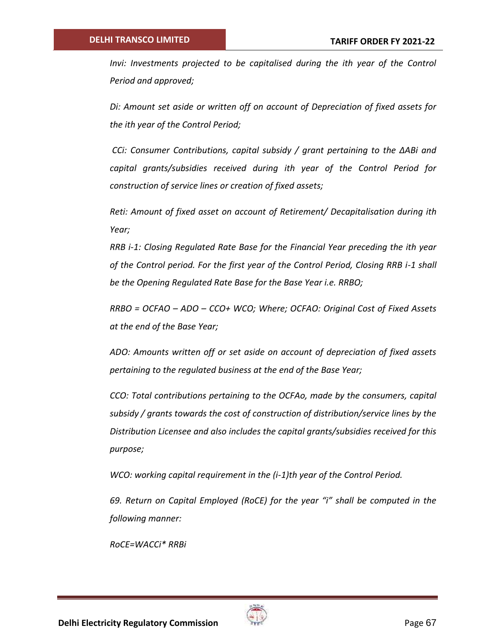*Invi: Investments projected to be capitalised during the ith year of the Control Period and approved;*

*Di: Amount set aside or written off on account of Depreciation of fixed assets for the ith year of the Control Period;*

*CCi: Consumer Contributions, capital subsidy / grant pertaining to the ΔABi and capital grants/subsidies received during ith year of the Control Period for construction of service lines or creation of fixed assets;*

*Reti: Amount of fixed asset on account of Retirement/ Decapitalisation during ith Year;*

*RRB i-1: Closing Regulated Rate Base for the Financial Year preceding the ith year of the Control period. For the first year of the Control Period, Closing RRB i-1 shall be the Opening Regulated Rate Base for the Base Year i.e. RRBO;*

*RRBO = OCFAO – ADO – CCO+ WCO; Where; OCFAO: Original Cost of Fixed Assets at the end of the Base Year;*

*ADO: Amounts written off or set aside on account of depreciation of fixed assets pertaining to the regulated business at the end of the Base Year;*

*CCO: Total contributions pertaining to the OCFAo, made by the consumers, capital subsidy / grants towards the cost of construction of distribution/service lines by the Distribution Licensee and also includes the capital grants/subsidies received for this purpose;*

*WCO: working capital requirement in the (i-1)th year of the Control Period.* 

*69. Return on Capital Employed (RoCE) for the year "i" shall be computed in the following manner:* 

*RoCE=WACCi\* RRBi*

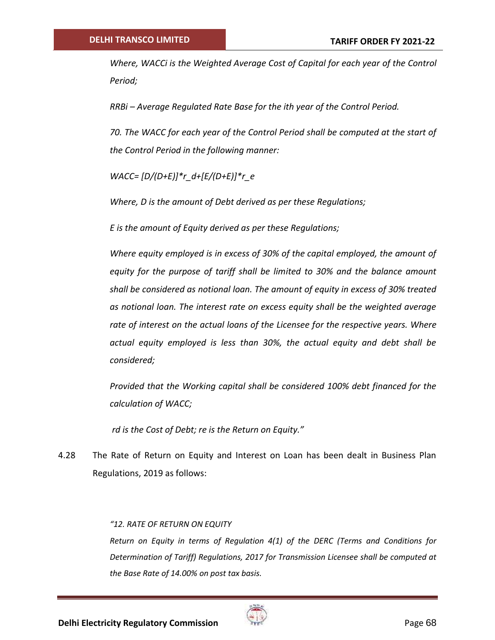*Where, WACCi is the Weighted Average Cost of Capital for each year of the Control Period;*

*RRBi – Average Regulated Rate Base for the ith year of the Control Period.*

*70. The WACC for each year of the Control Period shall be computed at the start of the Control Period in the following manner:* 

*WACC= [D/(D+E)]\*r\_d+[E/(D+E)]\*r\_e*

*Where, D is the amount of Debt derived as per these Regulations;* 

*E is the amount of Equity derived as per these Regulations;*

*Where equity employed is in excess of 30% of the capital employed, the amount of equity for the purpose of tariff shall be limited to 30% and the balance amount shall be considered as notional loan. The amount of equity in excess of 30% treated as notional loan. The interest rate on excess equity shall be the weighted average rate of interest on the actual loans of the Licensee for the respective years. Where actual equity employed is less than 30%, the actual equity and debt shall be considered;* 

*Provided that the Working capital shall be considered 100% debt financed for the calculation of WACC;*

*rd is the Cost of Debt; re is the Return on Equity."*

4.28 The Rate of Return on Equity and Interest on Loan has been dealt in Business Plan Regulations, 2019 as follows:

### *"12. RATE OF RETURN ON EQUITY*

*Return on Equity in terms of Regulation 4(1) of the DERC (Terms and Conditions for Determination of Tariff) Regulations, 2017 for Transmission Licensee shall be computed at the Base Rate of 14.00% on post tax basis.*

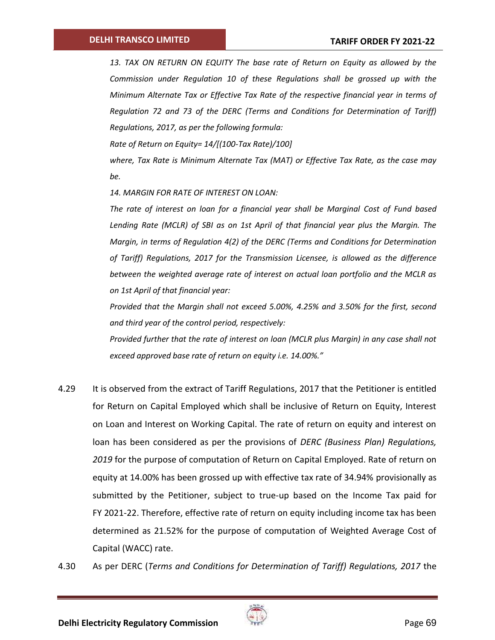*13. TAX ON RETURN ON EQUITY The base rate of Return on Equity as allowed by the Commission under Regulation 10 of these Regulations shall be grossed up with the Minimum Alternate Tax or Effective Tax Rate of the respective financial year in terms of Regulation 72 and 73 of the DERC (Terms and Conditions for Determination of Tariff) Regulations, 2017, as per the following formula:*

*Rate of Return on Equity= 14/[(100-Tax Rate)/100]*

*where, Tax Rate is Minimum Alternate Tax (MAT) or Effective Tax Rate, as the case may be.*

*14. MARGIN FOR RATE OF INTEREST ON LOAN:*

*The rate of interest on loan for a financial year shall be Marginal Cost of Fund based Lending Rate (MCLR) of SBI as on 1st April of that financial year plus the Margin. The Margin, in terms of Regulation 4(2) of the DERC (Terms and Conditions for Determination of Tariff) Regulations, 2017 for the Transmission Licensee, is allowed as the difference between the weighted average rate of interest on actual loan portfolio and the MCLR as on 1st April of that financial year:*

*Provided that the Margin shall not exceed 5.00%, 4.25% and 3.50% for the first, second and third year of the control period, respectively:*

*Provided further that the rate of interest on loan (MCLR plus Margin) in any case shall not exceed approved base rate of return on equity i.e. 14.00%."*

- 4.29 It is observed from the extract of Tariff Regulations, 2017 that the Petitioner is entitled for Return on Capital Employed which shall be inclusive of Return on Equity, Interest on Loan and Interest on Working Capital. The rate of return on equity and interest on loan has been considered as per the provisions of *DERC (Business Plan) Regulations, 2019* for the purpose of computation of Return on Capital Employed. Rate of return on equity at 14.00% has been grossed up with effective tax rate of 34.94% provisionally as submitted by the Petitioner, subject to true-up based on the Income Tax paid for FY 2021-22. Therefore, effective rate of return on equity including income tax has been determined as 21.52% for the purpose of computation of Weighted Average Cost of Capital (WACC) rate.
- 4.30 As per DERC (*Terms and Conditions for Determination of Tariff) Regulations, 2017* the

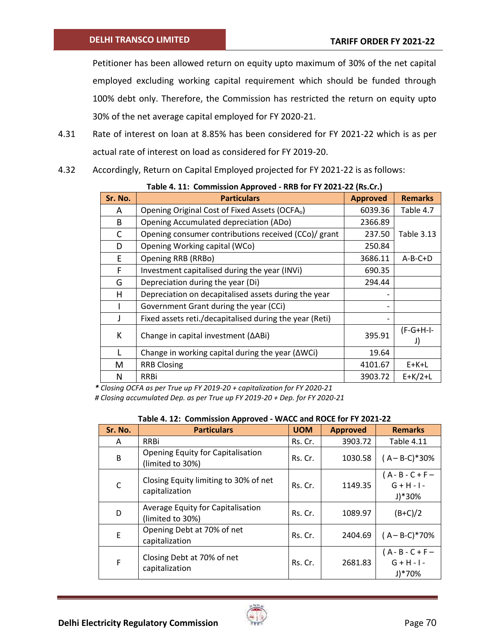Petitioner has been allowed return on equity upto maximum of 30% of the net capital employed excluding working capital requirement which should be funded through 100% debt only. Therefore, the Commission has restricted the return on equity upto 30% of the net average capital employed for FY 2020-21.

- 4.31 Rate of interest on loan at 8.85% has been considered for FY 2021-22 which is as per actual rate of interest on load as considered for FY 2019-20.
- 4.32 Accordingly, Return on Capital Employed projected for FY 2021-22 is as follows:

| Sr. No. | <b>Particulars</b>                                         | <b>Approved</b> | <b>Remarks</b>    |
|---------|------------------------------------------------------------|-----------------|-------------------|
| A       | Opening Original Cost of Fixed Assets (OCFA <sub>o</sub> ) | 6039.36         | Table 4.7         |
| B       | Opening Accumulated depreciation (ADo)                     | 2366.89         |                   |
| C       | Opening consumer contributions received (CCo)/ grant       | 237.50          | <b>Table 3.13</b> |
| D       | Opening Working capital (WCo)                              | 250.84          |                   |
| E.      | Opening RRB (RRBo)                                         | 3686.11         | $A-B-C+D$         |
| F.      | Investment capitalised during the year (INVi)              | 690.35          |                   |
| G       | Depreciation during the year (Di)                          | 294.44          |                   |
| н       | Depreciation on decapitalised assets during the year       |                 |                   |
|         | Government Grant during the year (CCi)                     |                 |                   |
|         | Fixed assets reti./decapitalised during the year (Reti)    |                 |                   |
| К       | Change in capital investment ( $\triangle$ ABi)            | 395.91          | $(F-G+H-I-$<br>J) |
|         | Change in working capital during the year ( $\Delta W$ Ci) | 19.64           |                   |
| M       | <b>RRB Closing</b>                                         | 4101.67         | $E+K+L$           |
| N       | <b>RRBi</b>                                                | 3903.72         | $E+K/2+L$         |

|  | Table 4. 11: Commission Approved - RRB for FY 2021-22 (Rs.Cr.) |  |  |  |  |
|--|----------------------------------------------------------------|--|--|--|--|
|--|----------------------------------------------------------------|--|--|--|--|

*\* Closing OCFA as per True up FY 2019-20 + capitalization for FY 2020-21*

*# Closing accumulated Dep. as per True up FY 2019-20 + Dep. for FY 2020-21*

| Sr. No.      | <b>Particulars</b>                                      | <b>UOM</b> | <b>Approved</b> | <b>Remarks</b>                                             |
|--------------|---------------------------------------------------------|------------|-----------------|------------------------------------------------------------|
| A            | <b>RRBi</b>                                             | Rs. Cr.    | 3903.72         | <b>Table 4.11</b>                                          |
| B            | Opening Equity for Capitalisation<br>(limited to 30%)   | Rs. Cr.    | 1030.58         | $(A - B-C)*30%$                                            |
| $\mathsf{C}$ | Closing Equity limiting to 30% of net<br>capitalization | Rs. Cr.    | 1149.35         | $(A - B - C + F -$<br>$G + H - I -$<br>$J$ <sup>*30%</sup> |
| D            | Average Equity for Capitalisation<br>(limited to 30%)   | Rs. Cr.    | 1089.97         | $(B+C)/2$                                                  |
| E            | Opening Debt at 70% of net<br>capitalization            | Rs. Cr.    | 2404.69         | $(A - B-C)*70%$                                            |
| F            | Closing Debt at 70% of net<br>capitalization            | Rs. Cr.    | 2681.83         | $(A - B - C + F -$<br>$G + H - I -$<br>$J$ <sup>*70%</sup> |

**Table 4. 12: Commission Approved - WACC and ROCE for FY 2021-22**

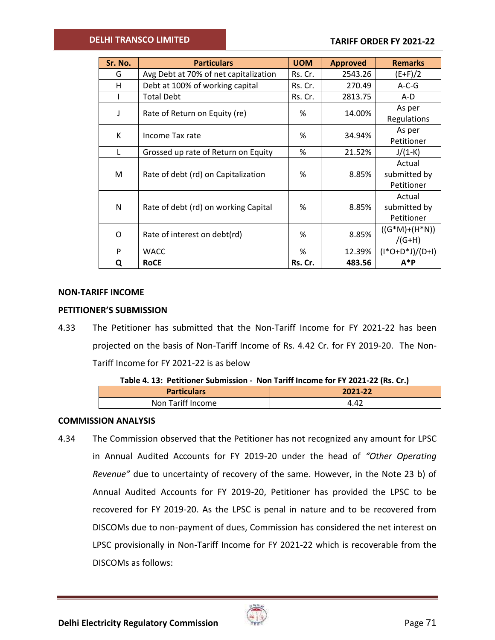## **DELHI TRANSCO LIMITED**

| Sr. No. | <b>Particulars</b>                    | <b>UOM</b> | <b>Approved</b> | <b>Remarks</b>      |
|---------|---------------------------------------|------------|-----------------|---------------------|
| G       | Avg Debt at 70% of net capitalization | Rs. Cr.    | 2543.26         | $(E+F)/2$           |
| н       | Debt at 100% of working capital       | Rs. Cr.    | 270.49          | $A-C-G$             |
|         | <b>Total Debt</b>                     | Rs. Cr.    | 2813.75         | A-D                 |
| J       | Rate of Return on Equity (re)         | %          | 14.00%          | As per              |
|         |                                       |            |                 | Regulations         |
| К       | Income Tax rate                       | %          | 34.94%          | As per              |
|         |                                       |            |                 | Petitioner          |
| L       | Grossed up rate of Return on Equity   | %          | 21.52%          | $J/(1-K)$           |
|         |                                       |            |                 | Actual              |
| M       | Rate of debt (rd) on Capitalization   | %          | 8.85%           | submitted by        |
|         |                                       |            |                 | Petitioner          |
|         |                                       |            |                 | Actual              |
| N       | Rate of debt (rd) on working Capital  | %          | 8.85%           | submitted by        |
|         |                                       |            |                 | Petitioner          |
| O       | Rate of interest on debt(rd)          | %          | 8.85%           | $((G^*M)+(H^*N))$   |
|         |                                       |            |                 | $/(G+H)$            |
| P       | <b>WACC</b>                           | %          | 12.39%          | $(I^*O+D^*J)/(D+I)$ |
| Q       | <b>RoCE</b>                           | Rs. Cr.    | 483.56          | $A^*P$              |

### **NON-TARIFF INCOME**

### **PETITIONER'S SUBMISSION**

4.33 The Petitioner has submitted that the Non-Tariff Income for FY 2021-22 has been projected on the basis of Non-Tariff Income of Rs. 4.42 Cr. for FY 2019-20. The Non-Tariff Income for FY 2021-22 is as below

|  | Table 4. 13: Petitioner Submission - Non Tariff Income for FY 2021-22 (Rs. Cr.) |
|--|---------------------------------------------------------------------------------|
|--|---------------------------------------------------------------------------------|

| <b>Particulars</b> | 2021-22 |
|--------------------|---------|
| Non Tariff Income  | 4.42    |

### **COMMISSION ANALYSIS**

4.34 The Commission observed that the Petitioner has not recognized any amount for LPSC in Annual Audited Accounts for FY 2019-20 under the head of *"Other Operating Revenue"* due to uncertainty of recovery of the same. However, in the Note 23 b) of Annual Audited Accounts for FY 2019-20, Petitioner has provided the LPSC to be recovered for FY 2019-20. As the LPSC is penal in nature and to be recovered from DISCOMs due to non-payment of dues, Commission has considered the net interest on LPSC provisionally in Non-Tariff Income for FY 2021-22 which is recoverable from the DISCOMs as follows:

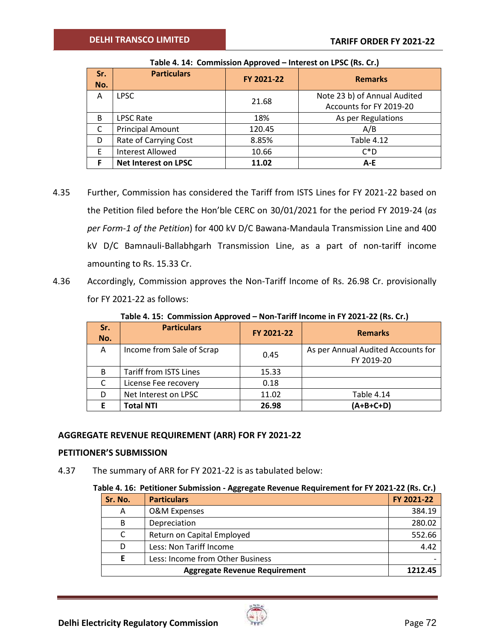| Sr.<br>No. | <b>Particulars</b>          | FY 2021-22 | <b>Remarks</b>                                          |  |  |
|------------|-----------------------------|------------|---------------------------------------------------------|--|--|
| A          | <b>LPSC</b>                 | 21.68      | Note 23 b) of Annual Audited<br>Accounts for FY 2019-20 |  |  |
| B          | <b>LPSC Rate</b>            | 18%        | As per Regulations                                      |  |  |
| C          | <b>Principal Amount</b>     | 120.45     | A/B                                                     |  |  |
| D          | Rate of Carrying Cost       | 8.85%      | <b>Table 4.12</b>                                       |  |  |
| F          | Interest Allowed            | 10.66      | $C^*D$                                                  |  |  |
|            | <b>Net Interest on LPSC</b> | 11.02      | A-E                                                     |  |  |

**Table 4. 14: Commission Approved – Interest on LPSC (Rs. Cr.)**

- 4.35 Further, Commission has considered the Tariff from ISTS Lines for FY 2021-22 based on the Petition filed before the Hon'ble CERC on 30/01/2021 for the period FY 2019-24 (*as per Form-1 of the Petition*) for 400 kV D/C Bawana-Mandaula Transmission Line and 400 kV D/C Bamnauli-Ballabhgarh Transmission Line, as a part of non-tariff income amounting to Rs. 15.33 Cr.
- 4.36 Accordingly, Commission approves the Non-Tariff Income of Rs. 26.98 Cr. provisionally for FY 2021-22 as follows:

**Table 4. 15: Commission Approved – Non-Tariff Income in FY 2021-22 (Rs. Cr.)**

| Sr.<br>No. | <b>Particulars</b>            | FY 2021-22 | <b>Remarks</b>                                   |
|------------|-------------------------------|------------|--------------------------------------------------|
| A          | Income from Sale of Scrap     | 0.45       | As per Annual Audited Accounts for<br>FY 2019-20 |
| B          | <b>Tariff from ISTS Lines</b> | 15.33      |                                                  |
|            | License Fee recovery          | 0.18       |                                                  |
| D          | Net Interest on LPSC          | 11.02      | Table 4.14                                       |
|            | <b>Total NTI</b>              | 26.98      | $(A+B+C+D)$                                      |

# **AGGREGATE REVENUE REQUIREMENT (ARR) FOR FY 2021-22**

## **PETITIONER'S SUBMISSION**

4.37 The summary of ARR for FY 2021-22 is as tabulated below:

|  | Table 4. 16: Petitioner Submission - Aggregate Revenue Requirement for FY 2021-22 (Rs. Cr.) |  |  |  |  |  |
|--|---------------------------------------------------------------------------------------------|--|--|--|--|--|
|--|---------------------------------------------------------------------------------------------|--|--|--|--|--|

| Sr. No. | <b>Particulars</b>               | FY 2021-22 |
|---------|----------------------------------|------------|
| A       | O&M Expenses                     | 384.19     |
| B       | Depreciation                     | 280.02     |
| C       | Return on Capital Employed       | 552.66     |
| D       | Less: Non Tariff Income          | 4.42       |
| E       | Less: Income from Other Business |            |
|         | 1212.45                          |            |

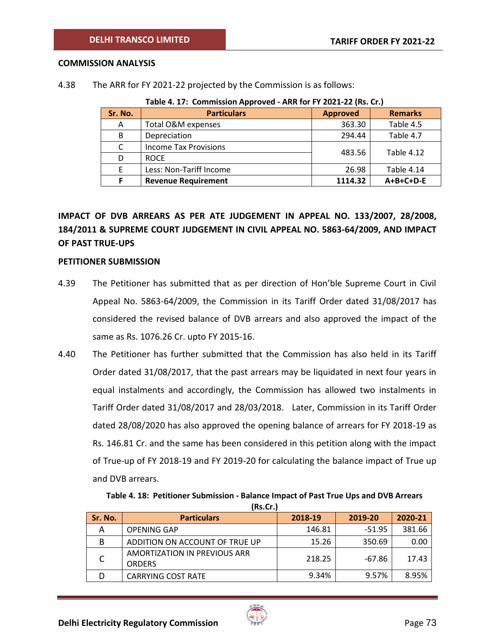#### **COMMISSION ANALYSIS**

4.38 The ARR for FY 2021-22 projected by the Commission is as follows:

|         | <b>TWICH.</b> IT'S COMMISSION APPROVED. AND TOLL I LOLL LE THOSE ON J |                 |                   |  |  |  |  |
|---------|-----------------------------------------------------------------------|-----------------|-------------------|--|--|--|--|
| Sr. No. | <b>Particulars</b>                                                    | <b>Approved</b> | <b>Remarks</b>    |  |  |  |  |
| A       | Total O&M expenses                                                    | 363.30          | Table 4.5         |  |  |  |  |
| B       | Depreciation                                                          | 294.44          | Table 4.7         |  |  |  |  |
| C       | <b>Income Tax Provisions</b>                                          | 483.56          | <b>Table 4.12</b> |  |  |  |  |
| D       | <b>ROCE</b>                                                           |                 |                   |  |  |  |  |
| E       | Less: Non-Tariff Income                                               | 26.98           | Table 4.14        |  |  |  |  |
|         | <b>Revenue Requirement</b>                                            | 1114.32         | A+B+C+D-E         |  |  |  |  |

**Table 4. 17: Commission Approved - ARR for FY 2021-22 (Rs. Cr.)**

# **IMPACT OF DVB ARREARS AS PER ATE JUDGEMENT IN APPEAL NO. 133/2007, 28/2008, 184/2011 & SUPREME COURT JUDGEMENT IN CIVIL APPEAL NO. 5863-64/2009, AND IMPACT OF PAST TRUE-UPS**

#### **PETITIONER SUBMISSION**

- 4.39 The Petitioner has submitted that as per direction of Hon'ble Supreme Court in Civil Appeal No. 5863-64/2009, the Commission in its Tariff Order dated 31/08/2017 has considered the revised balance of DVB arrears and also approved the impact of the same as Rs. 1076.26 Cr. upto FY 2015-16.
- 4.40 The Petitioner has further submitted that the Commission has also held in its Tariff Order dated 31/08/2017, that the past arrears may be liquidated in next four years in equal instalments and accordingly, the Commission has allowed two instalments in Tariff Order dated 31/08/2017 and 28/03/2018. Later, Commission in its Tariff Order dated 28/08/2020 has also approved the opening balance of arrears for FY 2018-19 as Rs. 146.81 Cr. and the same has been considered in this petition along with the impact of True-up of FY 2018-19 and FY 2019-20 for calculating the balance impact of True up and DVB arrears.

**Table 4. 18: Petitioner Submission - Balance Impact of Past True Ups and DVB Arrears (Rs.Cr.)**

| Sr. No. | <b>Particulars</b>                            | 2018-19 | 2019-20  | 2020-21 |
|---------|-----------------------------------------------|---------|----------|---------|
| А       | <b>OPENING GAP</b>                            | 146.81  | $-51.95$ | 381.66  |
| B       | ADDITION ON ACCOUNT OF TRUE UP                | 15.26   | 350.69   | 0.00    |
|         | AMORTIZATION IN PREVIOUS ARR<br><b>ORDERS</b> | 218.25  | $-67.86$ | 17.43   |
|         | <b>CARRYING COST RATE</b>                     | 9.34%   | 9.57%    | 8.95%   |

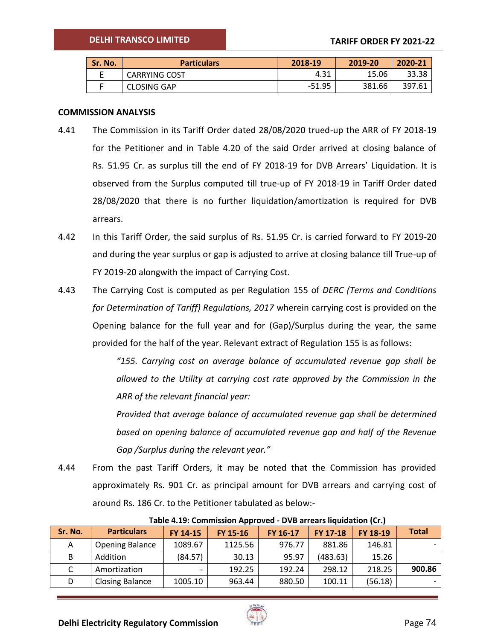| Sr. No. | <b>Particulars</b>   | 2018-19  | 2019-20 | 2020-21 |
|---------|----------------------|----------|---------|---------|
|         | <b>CARRYING COST</b> | 4.31     | 15.06   | 33.38   |
|         | CLOSING GAP          | $-51.95$ | 381.66  | 397.61  |

#### **COMMISSION ANALYSIS**

- 4.41 The Commission in its Tariff Order dated 28/08/2020 trued-up the ARR of FY 2018-19 for the Petitioner and in Table 4.20 of the said Order arrived at closing balance of Rs. 51.95 Cr. as surplus till the end of FY 2018-19 for DVB Arrears' Liquidation. It is observed from the Surplus computed till true-up of FY 2018-19 in Tariff Order dated 28/08/2020 that there is no further liquidation/amortization is required for DVB arrears.
- 4.42 In this Tariff Order, the said surplus of Rs. 51.95 Cr. is carried forward to FY 2019-20 and during the year surplus or gap is adjusted to arrive at closing balance till True-up of FY 2019-20 alongwith the impact of Carrying Cost.
- 4.43 The Carrying Cost is computed as per Regulation 155 of *DERC (Terms and Conditions for Determination of Tariff) Regulations, 2017* wherein carrying cost is provided on the Opening balance for the full year and for (Gap)/Surplus during the year, the same provided for the half of the year. Relevant extract of Regulation 155 is as follows:

*"155. Carrying cost on average balance of accumulated revenue gap shall be allowed to the Utility at carrying cost rate approved by the Commission in the ARR of the relevant financial year:*

*Provided that average balance of accumulated revenue gap shall be determined based on opening balance of accumulated revenue gap and half of the Revenue Gap /Surplus during the relevant year."*

4.44 From the past Tariff Orders, it may be noted that the Commission has provided approximately Rs. 901 Cr. as principal amount for DVB arrears and carrying cost of around Rs. 186 Cr. to the Petitioner tabulated as below:-

| Sr. No. | <b>Particulars</b>     | FY 14-15 | FY 15-16 | FY 16-17 | <b>FY 17-18</b> | FY 18-19 | <b>Total</b> |
|---------|------------------------|----------|----------|----------|-----------------|----------|--------------|
| Α       | <b>Opening Balance</b> | 1089.67  | 1125.56  | 976.77   | 881.86          | 146.81   |              |
| В       | Addition               | (84.57)  | 30.13    | 95.97    | (483.63)        | 15.26    |              |
|         | Amortization           |          | 192.25   | 192.24   | 298.12          | 218.25   | 900.86       |
| D       | <b>Closing Balance</b> | 1005.10  | 963.44   | 880.50   | 100.11          | (56.18)  |              |

**Table 4.19: Commission Approved - DVB arrears liquidation (Cr.)**

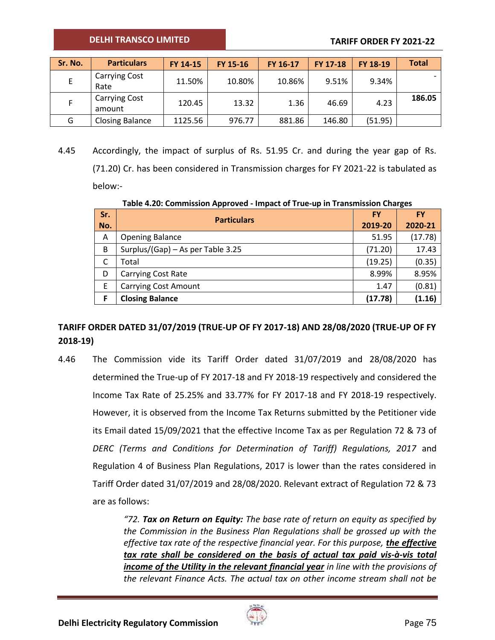| Sr. No. | <b>Particulars</b>             | FY 14-15 | FY 15-16 | FY 16-17 | <b>FY 17-18</b> | <b>FY 18-19</b> | <b>Total</b> |
|---------|--------------------------------|----------|----------|----------|-----------------|-----------------|--------------|
|         | <b>Carrying Cost</b><br>Rate   | 11.50%   | 10.80%   | 10.86%   | 9.51%           | 9.34%           |              |
|         | <b>Carrying Cost</b><br>amount | 120.45   | 13.32    | 1.36     | 46.69           | 4.23            | 186.05       |
| G       | <b>Closing Balance</b>         | 1125.56  | 976.77   | 881.86   | 146.80          | (51.95)         |              |

4.45 Accordingly, the impact of surplus of Rs. 51.95 Cr. and during the year gap of Rs. (71.20) Cr. has been considered in Transmission charges for FY 2021-22 is tabulated as below:-

**Table 4.20: Commission Approved - Impact of True-up in Transmission Charges**

| Sr. | <b>Particulars</b>                |         | <b>FY</b> |
|-----|-----------------------------------|---------|-----------|
| No. |                                   |         | 2020-21   |
| A   | <b>Opening Balance</b>            | 51.95   | (17.78)   |
| B   | Surplus/(Gap) - As per Table 3.25 | (71.20) | 17.43     |
|     | Total                             | (19.25) | (0.35)    |
| D   | <b>Carrying Cost Rate</b>         | 8.99%   | 8.95%     |
| E   | <b>Carrying Cost Amount</b>       | 1.47    | (0.81)    |
| F   | <b>Closing Balance</b>            | (17.78) | (1.16)    |

# **TARIFF ORDER DATED 31/07/2019 (TRUE-UP OF FY 2017-18) AND 28/08/2020 (TRUE-UP OF FY 2018-19)**

4.46 The Commission vide its Tariff Order dated 31/07/2019 and 28/08/2020 has determined the True-up of FY 2017-18 and FY 2018-19 respectively and considered the Income Tax Rate of 25.25% and 33.77% for FY 2017-18 and FY 2018-19 respectively. However, it is observed from the Income Tax Returns submitted by the Petitioner vide its Email dated 15/09/2021 that the effective Income Tax as per Regulation 72 & 73 of *DERC (Terms and Conditions for Determination of Tariff) Regulations, 2017* and Regulation 4 of Business Plan Regulations, 2017 is lower than the rates considered in Tariff Order dated 31/07/2019 and 28/08/2020. Relevant extract of Regulation 72 & 73 are as follows:

> *"72. Tax on Return on Equity: The base rate of return on equity as specified by the Commission in the Business Plan Regulations shall be grossed up with the effective tax rate of the respective financial year. For this purpose, the effective tax rate shall be considered on the basis of actual tax paid vis-à-vis total income of the Utility in the relevant financial year in line with the provisions of the relevant Finance Acts. The actual tax on other income stream shall not be*

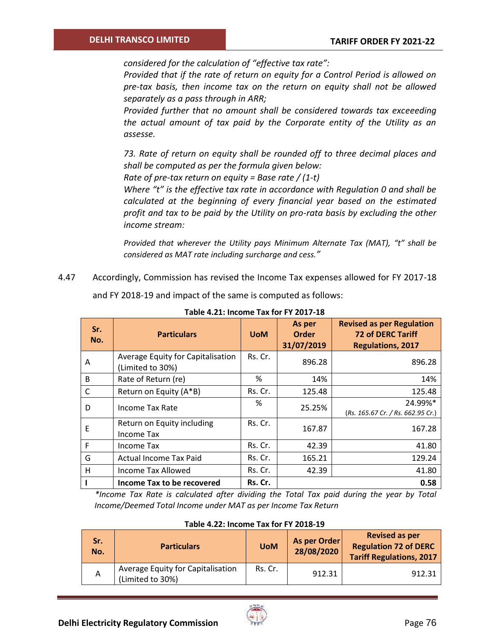*considered for the calculation of "effective tax rate":*

*Provided that if the rate of return on equity for a Control Period is allowed on pre-tax basis, then income tax on the return on equity shall not be allowed separately as a pass through in ARR;*

*Provided further that no amount shall be considered towards tax exceeeding the actual amount of tax paid by the Corporate entity of the Utility as an assesse.*

*73. Rate of return on equity shall be rounded off to three decimal places and shall be computed as per the formula given below:*

*Rate of pre-tax return on equity = Base rate / (1-t)*

*Where "t" is the effective tax rate in accordance with Regulation 0 and shall be calculated at the beginning of every financial year based on the estimated profit and tax to be paid by the Utility on pro-rata basis by excluding the other income stream:*

*Provided that wherever the Utility pays Minimum Alternate Tax (MAT), "t" shall be considered as MAT rate including surcharge and cess."*

4.47 Accordingly, Commission has revised the Income Tax expenses allowed for FY 2017-18

and FY 2018-19 and impact of the same is computed as follows:

| Sr.<br>No. | <b>Particulars</b>                                    | <b>UoM</b> | As per<br><b>Order</b><br>31/07/2019 | <b>Revised as per Regulation</b><br><b>72 of DERC Tariff</b><br><b>Regulations, 2017</b> |
|------------|-------------------------------------------------------|------------|--------------------------------------|------------------------------------------------------------------------------------------|
| A          | Average Equity for Capitalisation<br>(Limited to 30%) | Rs. Cr.    | 896.28                               | 896.28                                                                                   |
| B          | Rate of Return (re)                                   | %          | 14%                                  | 14%                                                                                      |
| C          | Return on Equity (A*B)                                | Rs. Cr.    | 125.48                               | 125.48                                                                                   |
| D          | Income Tax Rate                                       | ℅          | 25.25%                               | 24.99%*<br>(Rs. 165.67 Cr. / Rs. 662.95 Cr.)                                             |
| E          | Return on Equity including<br>Income Tax              | Rs. Cr.    | 167.87                               | 167.28                                                                                   |
| F          | Income Tax                                            | Rs. Cr.    | 42.39                                | 41.80                                                                                    |
| G          | <b>Actual Income Tax Paid</b>                         | Rs. Cr.    | 165.21                               | 129.24                                                                                   |
| H          | Income Tax Allowed                                    | Rs. Cr.    | 42.39                                | 41.80                                                                                    |
|            | Income Tax to be recovered                            | Rs. Cr.    |                                      | 0.58                                                                                     |

**Table 4.21: Income Tax for FY 2017-18**

*\*Income Tax Rate is calculated after dividing the Total Tax paid during the year by Total Income/Deemed Total Income under MAT as per Income Tax Return*

| Sr.<br>No. | <b>Particulars</b>                                    | <b>UoM</b> | As per Order<br>28/08/2020 | <b>Revised as per</b><br><b>Regulation 72 of DERC</b><br><b>Tariff Regulations, 2017</b> |
|------------|-------------------------------------------------------|------------|----------------------------|------------------------------------------------------------------------------------------|
| А          | Average Equity for Capitalisation<br>(Limited to 30%) | Rs. Cr.    | 912.31                     | 912.31                                                                                   |

**Table 4.22: Income Tax for FY 2018-19**

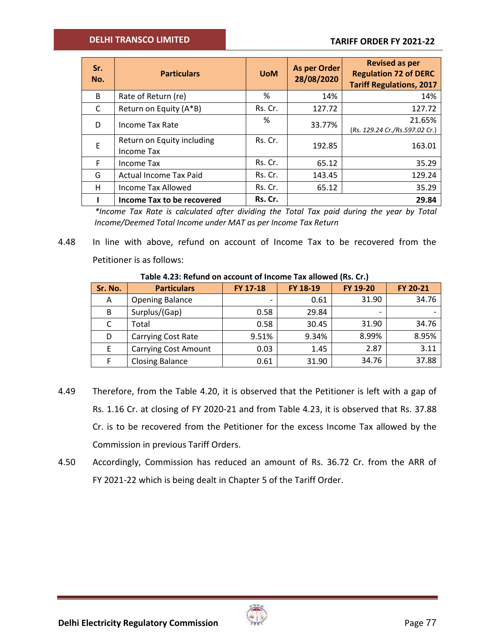| Sr.<br>No. | <b>Particulars</b>                       | <b>UoM</b> | As per Order<br>28/08/2020 | <b>Revised as per</b><br><b>Regulation 72 of DERC</b><br><b>Tariff Regulations, 2017</b> |
|------------|------------------------------------------|------------|----------------------------|------------------------------------------------------------------------------------------|
| B          | Rate of Return (re)                      | %          | 14%                        | 14%                                                                                      |
| C          | Return on Equity (A*B)                   | Rs. Cr.    | 127.72                     | 127.72                                                                                   |
| D          | Income Tax Rate                          | %          | 33.77%                     | 21.65%<br>(Rs. 129.24 Cr./Rs.597.02 Cr.)                                                 |
| E          | Return on Equity including<br>Income Tax | Rs. Cr.    | 192.85                     | 163.01                                                                                   |
| F          | Income Tax                               | Rs. Cr.    | 65.12                      | 35.29                                                                                    |
| G          | <b>Actual Income Tax Paid</b>            | Rs. Cr.    | 143.45                     | 129.24                                                                                   |
| H          | Income Tax Allowed                       | Rs. Cr.    | 65.12                      | 35.29                                                                                    |
|            | Income Tax to be recovered               | Rs. Cr.    |                            | 29.84                                                                                    |

*\*Income Tax Rate is calculated after dividing the Total Tax paid during the year by Total Income/Deemed Total Income under MAT as per Income Tax Return*

4.48 In line with above, refund on account of Income Tax to be recovered from the Petitioner is as follows:

| Sr. No. | <b>Particulars</b>          | FY 17-18 | FY 18-19 | FY 19-20 | FY 20-21 |  |  |
|---------|-----------------------------|----------|----------|----------|----------|--|--|
| Α       | <b>Opening Balance</b>      |          | 0.61     | 31.90    | 34.76    |  |  |
| B       | Surplus/(Gap)               | 0.58     | 29.84    |          |          |  |  |
| C       | Total                       | 0.58     | 30.45    | 31.90    | 34.76    |  |  |
| D       | <b>Carrying Cost Rate</b>   | 9.51%    | 9.34%    | 8.99%    | 8.95%    |  |  |
| E       | <b>Carrying Cost Amount</b> | 0.03     | 1.45     | 2.87     | 3.11     |  |  |
| F       | <b>Closing Balance</b>      | 0.61     | 31.90    | 34.76    | 37.88    |  |  |

### **Table 4.23: Refund on account of Income Tax allowed (Rs. Cr.)**

- 4.49 Therefore, from the Table 4.20, it is observed that the Petitioner is left with a gap of Rs. 1.16 Cr. at closing of FY 2020-21 and from Table 4.23, it is observed that Rs. 37.88 Cr. is to be recovered from the Petitioner for the excess Income Tax allowed by the Commission in previous Tariff Orders.
- 4.50 Accordingly, Commission has reduced an amount of Rs. 36.72 Cr. from the ARR of FY 2021-22 which is being dealt in Chapter 5 of the Tariff Order.

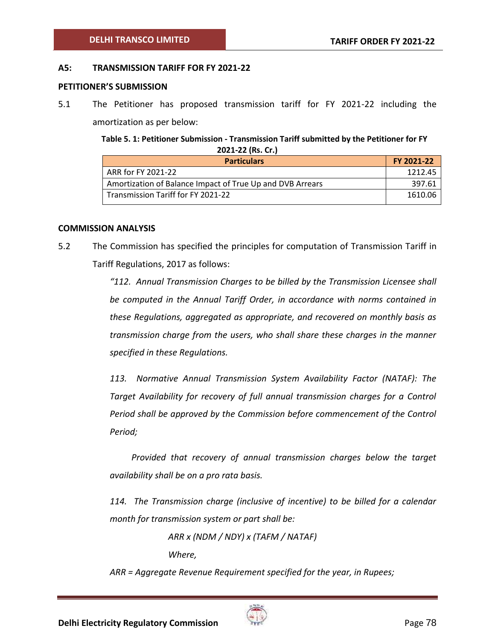#### **A5: TRANSMISSION TARIFF FOR FY 2021-22**

#### **PETITIONER'S SUBMISSION**

5.1 The Petitioner has proposed transmission tariff for FY 2021-22 including the amortization as per below:

> **Table 5. 1: Petitioner Submission - Transmission Tariff submitted by the Petitioner for FY 2021-22 (Rs. Cr.)**

| <b>Particulars</b>                                        | FY 2021-22 |
|-----------------------------------------------------------|------------|
| ARR for FY 2021-22                                        | 1212.45    |
| Amortization of Balance Impact of True Up and DVB Arrears | 397.61     |
| Transmission Tariff for FY 2021-22                        | 1610.06    |

#### **COMMISSION ANALYSIS**

5.2 The Commission has specified the principles for computation of Transmission Tariff in Tariff Regulations, 2017 as follows:

> *"112. Annual Transmission Charges to be billed by the Transmission Licensee shall be computed in the Annual Tariff Order, in accordance with norms contained in these Regulations, aggregated as appropriate, and recovered on monthly basis as transmission charge from the users, who shall share these charges in the manner specified in these Regulations.*

> *113. Normative Annual Transmission System Availability Factor (NATAF): The Target Availability for recovery of full annual transmission charges for a Control Period shall be approved by the Commission before commencement of the Control Period;*

> *Provided that recovery of annual transmission charges below the target availability shall be on a pro rata basis.*

> *114. The Transmission charge (inclusive of incentive) to be billed for a calendar month for transmission system or part shall be:*

> > *ARR x (NDM / NDY) x (TAFM / NATAF) Where,*

*ARR = Aggregate Revenue Requirement specified for the year, in Rupees;*

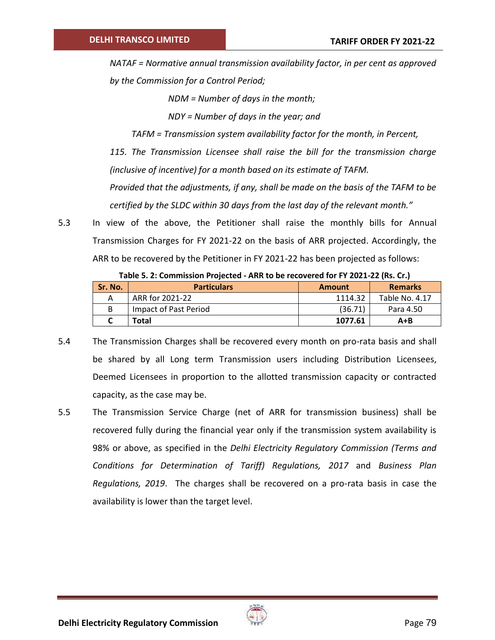*NATAF = Normative annual transmission availability factor, in per cent as approved by the Commission for a Control Period;* 

*NDM = Number of days in the month;*

*NDY = Number of days in the year; and*

*TAFM = Transmission system availability factor for the month, in Percent,* 

*115. The Transmission Licensee shall raise the bill for the transmission charge (inclusive of incentive) for a month based on its estimate of TAFM.* 

*Provided that the adjustments, if any, shall be made on the basis of the TAFM to be certified by the SLDC within 30 days from the last day of the relevant month."*

5.3 In view of the above, the Petitioner shall raise the monthly bills for Annual Transmission Charges for FY 2021-22 on the basis of ARR projected. Accordingly, the ARR to be recovered by the Petitioner in FY 2021-22 has been projected as follows:

| <b>Sr. No.</b> | <b>Particulars</b>    | <b>Amount</b> | <b>Remarks</b> |  |  |  |
|----------------|-----------------------|---------------|----------------|--|--|--|
|                | ARR for 2021-22       | 1114.32       | Table No. 4.17 |  |  |  |
|                | Impact of Past Period | (36.71)       | Para 4.50      |  |  |  |
|                | Total                 | 1077.61       | A+B            |  |  |  |

**Table 5. 2: Commission Projected - ARR to be recovered for FY 2021-22 (Rs. Cr.)**

- 5.4 The Transmission Charges shall be recovered every month on pro-rata basis and shall be shared by all Long term Transmission users including Distribution Licensees, Deemed Licensees in proportion to the allotted transmission capacity or contracted capacity, as the case may be.
- 5.5 The Transmission Service Charge (net of ARR for transmission business) shall be recovered fully during the financial year only if the transmission system availability is 98% or above, as specified in the *Delhi Electricity Regulatory Commission (Terms and Conditions for Determination of Tariff) Regulations, 2017* and *Business Plan Regulations, 2019*. The charges shall be recovered on a pro-rata basis in case the availability is lower than the target level.

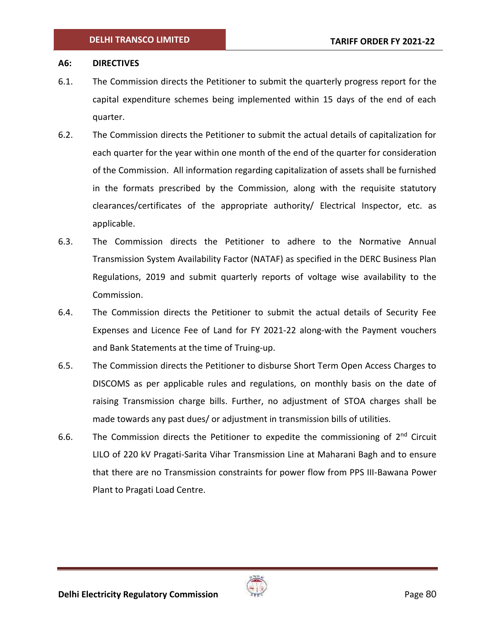#### **A6: DIRECTIVES**

- 6.1. The Commission directs the Petitioner to submit the quarterly progress report for the capital expenditure schemes being implemented within 15 days of the end of each quarter.
- 6.2. The Commission directs the Petitioner to submit the actual details of capitalization for each quarter for the year within one month of the end of the quarter for consideration of the Commission. All information regarding capitalization of assets shall be furnished in the formats prescribed by the Commission, along with the requisite statutory clearances/certificates of the appropriate authority/ Electrical Inspector, etc. as applicable.
- 6.3. The Commission directs the Petitioner to adhere to the Normative Annual Transmission System Availability Factor (NATAF) as specified in the DERC Business Plan Regulations, 2019 and submit quarterly reports of voltage wise availability to the Commission.
- 6.4. The Commission directs the Petitioner to submit the actual details of Security Fee Expenses and Licence Fee of Land for FY 2021-22 along-with the Payment vouchers and Bank Statements at the time of Truing-up.
- 6.5. The Commission directs the Petitioner to disburse Short Term Open Access Charges to DISCOMS as per applicable rules and regulations, on monthly basis on the date of raising Transmission charge bills. Further, no adjustment of STOA charges shall be made towards any past dues/ or adjustment in transmission bills of utilities.
- 6.6. The Commission directs the Petitioner to expedite the commissioning of  $2^{nd}$  Circuit LILO of 220 kV Pragati-Sarita Vihar Transmission Line at Maharani Bagh and to ensure that there are no Transmission constraints for power flow from PPS III-Bawana Power Plant to Pragati Load Centre.

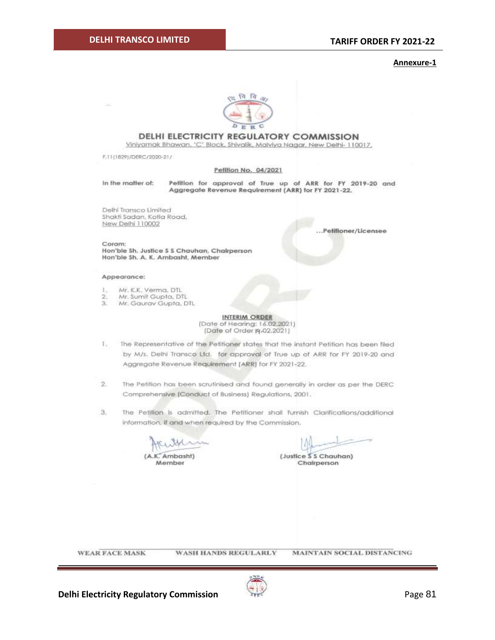#### **Annexure-1**



#### **DELHI ELECTRICITY REGULATORY COMMISSION**

Viniyamak Bhawan, 'C' Block, Shivalik, Malviya Nagar, New Delhi- 110017,

F.11(1829)/DERC/2020-21/

#### Petition No. 04/2021

In the matter of:

Petition for approval of True up of ARR for FY 2019-20 and Aggregate Revenue Requirement (ARR) for FY 2021-22.

Delhi Transco Limited Shakti Sadan, Kotla Road, New Delhi 110002

...Pelifioner/Licensee

Coram: Hon'ble Sh. Justice S S Chauhan, Chairperson Hon'ble Sh. A. K. Ambasht, Member

#### Appearance:

- Mr. K.K. Verma, DTL 1.
- Mr. Sumit Gupta, DTL  $\overline{2}$
- Mr. Gaurav Gupta, DTL 3.

**INTERIM ORDER** (Date of Hearing: 16.02.2021) (Date of Order 19.02.2021)

- 1. The Representative of the Petitioner states that the instant Petition has been filed by M/s. Delhi Transco Ltd. for approval of True up of ARR for FY 2019-20 and Aggregate Revenue Requirement (ARR) for FY 2021-22.
- $2.$ The Petition has been scrutinised and found generally in order as per the DERC Comprehensive (Conduct of Business) Regulations, 2001.
- 3. The Petition is admitted, The Petitioner shall furnish Clarifications/additional information, if and when required by the Commission.

(A.K. Ambasht)

Member

(Justice S S Chauhan) Chairperson

**WEAR FACE MASK** 

**WASH HANDS REGULARLY MAINTAIN SOCIAL DISTANCING** 



**Delhi Electricity Regulatory Commission Page 81**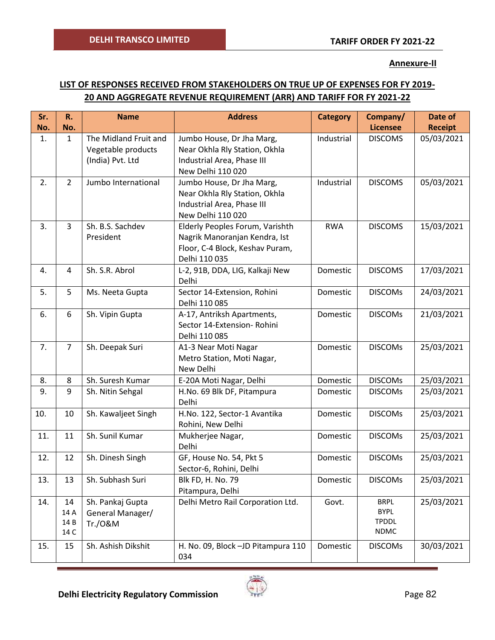### **Annexure-II**

# **LIST OF RESPONSES RECEIVED FROM STAKEHOLDERS ON TRUE UP OF EXPENSES FOR FY 2019- 20 AND AGGREGATE REVENUE REQUIREMENT (ARR) AND TARIFF FOR FY 2021-22**

| Sr.<br>No. | R.<br>No.                  | <b>Name</b>                                                     | <b>Address</b>                                                                                                       | <b>Category</b> | Company/<br><b>Licensee</b>                               | Date of<br><b>Receipt</b> |
|------------|----------------------------|-----------------------------------------------------------------|----------------------------------------------------------------------------------------------------------------------|-----------------|-----------------------------------------------------------|---------------------------|
| 1.         | $\mathbf{1}$               | The Midland Fruit and<br>Vegetable products<br>(India) Pvt. Ltd | Jumbo House, Dr Jha Marg,<br>Near Okhla Rly Station, Okhla<br>Industrial Area, Phase III<br>New Delhi 110 020        | Industrial      | <b>DISCOMS</b>                                            | 05/03/2021                |
| 2.         | $\overline{2}$             | Jumbo International                                             | Jumbo House, Dr Jha Marg,<br>Near Okhla Rly Station, Okhla<br>Industrial Area, Phase III<br>New Delhi 110 020        | Industrial      | <b>DISCOMS</b>                                            | 05/03/2021                |
| 3.         | $\overline{3}$             | Sh. B.S. Sachdev<br>President                                   | Elderly Peoples Forum, Varishth<br>Nagrik Manoranjan Kendra, Ist<br>Floor, C-4 Block, Keshav Puram,<br>Delhi 110 035 | <b>RWA</b>      | <b>DISCOMS</b>                                            | 15/03/2021                |
| 4.         | 4                          | Sh. S.R. Abrol                                                  | L-2, 91B, DDA, LIG, Kalkaji New<br>Delhi                                                                             | Domestic        | <b>DISCOMS</b>                                            | 17/03/2021                |
| 5.         | 5                          | Ms. Neeta Gupta                                                 | Sector 14-Extension, Rohini<br>Delhi 110 085                                                                         | Domestic        | <b>DISCOMs</b>                                            | 24/03/2021                |
| 6.         | 6                          | Sh. Vipin Gupta                                                 | A-17, Antriksh Apartments,<br>Sector 14-Extension- Rohini<br>Delhi 110 085                                           | Domestic        | <b>DISCOMs</b>                                            | 21/03/2021                |
| 7.         | $\overline{7}$             | Sh. Deepak Suri                                                 | A1-3 Near Moti Nagar<br>Metro Station, Moti Nagar,<br>New Delhi                                                      | Domestic        | <b>DISCOMs</b>                                            | 25/03/2021                |
| 8.         | 8                          | Sh. Suresh Kumar                                                | E-20A Moti Nagar, Delhi                                                                                              | Domestic        | <b>DISCOMs</b>                                            | 25/03/2021                |
| 9.         | 9                          | Sh. Nitin Sehgal                                                | H.No. 69 Blk DF, Pitampura<br>Delhi                                                                                  | Domestic        | <b>DISCOMS</b>                                            | 25/03/2021                |
| 10.        | 10                         | Sh. Kawaljeet Singh                                             | H.No. 122, Sector-1 Avantika<br>Rohini, New Delhi                                                                    | Domestic        | <b>DISCOMs</b>                                            | 25/03/2021                |
| 11.        | 11                         | Sh. Sunil Kumar                                                 | Mukherjee Nagar,<br>Delhi                                                                                            | Domestic        | <b>DISCOMs</b>                                            | 25/03/2021                |
| 12.        | 12                         | Sh. Dinesh Singh                                                | GF, House No. 54, Pkt 5<br>Sector-6, Rohini, Delhi                                                                   | Domestic        | <b>DISCOMS</b>                                            | 25/03/2021                |
| 13.        | 13                         | Sh. Subhash Suri                                                | Blk FD, H. No. 79<br>Pitampura, Delhi                                                                                | Domestic        | <b>DISCOMs</b>                                            | 25/03/2021                |
| 14.        | 14<br>14 A<br>14 B<br>14 C | Sh. Pankaj Gupta<br>General Manager/<br>Tr./0&M                 | Delhi Metro Rail Corporation Ltd.                                                                                    | Govt.           | <b>BRPL</b><br><b>BYPL</b><br><b>TPDDL</b><br><b>NDMC</b> | 25/03/2021                |
| 15.        | 15                         | Sh. Ashish Dikshit                                              | H. No. 09, Block -JD Pitampura 110<br>034                                                                            | Domestic        | <b>DISCOMS</b>                                            | 30/03/2021                |

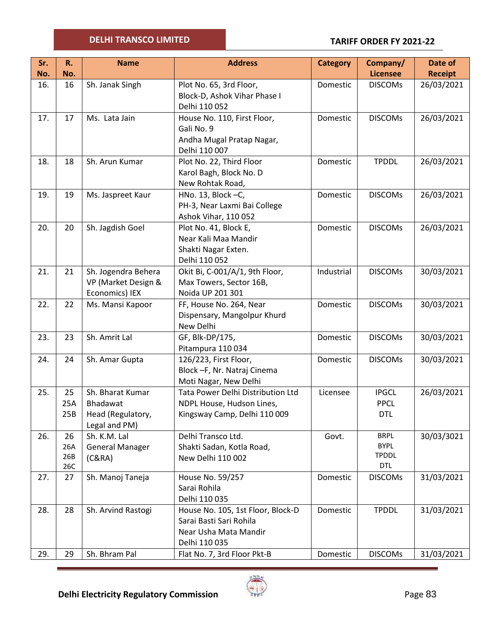### **TARIFF ORDER FY 2021-22**

| Sr. | R.  | <b>Name</b>                   | <b>Address</b>                    | <b>Category</b> | Company/        | Date of        |
|-----|-----|-------------------------------|-----------------------------------|-----------------|-----------------|----------------|
| No. | No. |                               |                                   |                 | <b>Licensee</b> | <b>Receipt</b> |
| 16. | 16  | Sh. Janak Singh               | Plot No. 65, 3rd Floor,           | Domestic        | <b>DISCOMS</b>  | 26/03/2021     |
|     |     |                               | Block-D, Ashok Vihar Phase I      |                 |                 |                |
|     |     |                               | Delhi 110 052                     |                 |                 |                |
| 17. | 17  | Ms. Lata Jain                 | House No. 110, First Floor,       | Domestic        | <b>DISCOMs</b>  | 26/03/2021     |
|     |     |                               | Gali No. 9                        |                 |                 |                |
|     |     |                               | Andha Mugal Pratap Nagar,         |                 |                 |                |
|     |     |                               | Delhi 110 007                     |                 |                 |                |
| 18. | 18  | Sh. Arun Kumar                | Plot No. 22, Third Floor          | Domestic        | <b>TPDDL</b>    | 26/03/2021     |
|     |     |                               | Karol Bagh, Block No. D           |                 |                 |                |
|     |     |                               | New Rohtak Road,                  |                 |                 |                |
| 19. | 19  | Ms. Jaspreet Kaur             | HNo. 13, Block -C,                | Domestic        | <b>DISCOMS</b>  | 26/03/2021     |
|     |     |                               | PH-3, Near Laxmi Bai College      |                 |                 |                |
|     |     |                               | Ashok Vihar, 110 052              |                 |                 |                |
| 20. | 20  | Sh. Jagdish Goel              | Plot No. 41, Block E,             | Domestic        | <b>DISCOMS</b>  | 26/03/2021     |
|     |     |                               | Near Kali Maa Mandir              |                 |                 |                |
|     |     |                               | Shakti Nagar Exten.               |                 |                 |                |
|     |     |                               | Delhi 110 052                     |                 |                 |                |
| 21. | 21  | Sh. Jogendra Behera           | Okit Bi, C-001/A/1, 9th Floor,    | Industrial      | <b>DISCOMS</b>  | 30/03/2021     |
|     |     | VP (Market Design &           | Max Towers, Sector 16B,           |                 |                 |                |
|     |     | Economics) IEX                | Noida UP 201 301                  |                 |                 |                |
| 22. | 22  | Ms. Mansi Kapoor              | FF, House No. 264, Near           | Domestic        | <b>DISCOMS</b>  | 30/03/2021     |
|     |     |                               | Dispensary, Mangolpur Khurd       |                 |                 |                |
|     |     |                               | New Delhi                         |                 |                 |                |
| 23. | 23  | Sh. Amrit Lal                 | GF, Blk-DP/175,                   | Domestic        | <b>DISCOMS</b>  | 30/03/2021     |
|     |     | Pitampura 110 034             |                                   |                 |                 |                |
| 24. | 24  | Sh. Amar Gupta                | 126/223, First Floor,             | Domestic        | <b>DISCOMS</b>  | 30/03/2021     |
|     |     |                               | Block -F, Nr. Natraj Cinema       |                 |                 |                |
|     |     |                               | Moti Nagar, New Delhi             |                 |                 |                |
| 25. | 25  | Sh. Bharat Kumar              | Tata Power Delhi Distribution Ltd | Licensee        | <b>IPGCL</b>    | 26/03/2021     |
|     | 25A | Bhadawat                      | NDPL House, Hudson Lines,         |                 | <b>PPCL</b>     |                |
|     | 25B | Head (Regulatory,             | Kingsway Camp, Delhi 110 009      |                 | <b>DTL</b>      |                |
| 26. | 26  | Legal and PM)<br>Sh. K.M. Lal | Delhi Transco Ltd.                | Govt.           | <b>BRPL</b>     | 30/03/3021     |
|     | 26A | <b>General Manager</b>        | Shakti Sadan, Kotla Road,         |                 | <b>BYPL</b>     |                |
|     | 26B | (C&RA)                        | New Delhi 110 002                 |                 | <b>TPDDL</b>    |                |
|     | 26C |                               |                                   |                 | <b>DTL</b>      |                |
| 27. | 27  | Sh. Manoj Taneja              | House No. 59/257                  | Domestic        | <b>DISCOMs</b>  | 31/03/2021     |
|     |     |                               | Sarai Rohila                      |                 |                 |                |
|     |     |                               | Delhi 110 035                     |                 |                 |                |
| 28. | 28  | Sh. Arvind Rastogi            | House No. 105, 1st Floor, Block-D | Domestic        | <b>TPDDL</b>    | 31/03/2021     |
|     |     |                               | Sarai Basti Sari Rohila           |                 |                 |                |
|     |     |                               | Near Usha Mata Mandir             |                 |                 |                |
|     |     |                               | Delhi 110 035                     |                 |                 |                |
| 29. | 29  | Sh. Bhram Pal                 | Flat No. 7, 3rd Floor Pkt-B       | Domestic        | <b>DISCOMs</b>  | 31/03/2021     |



 $\sim$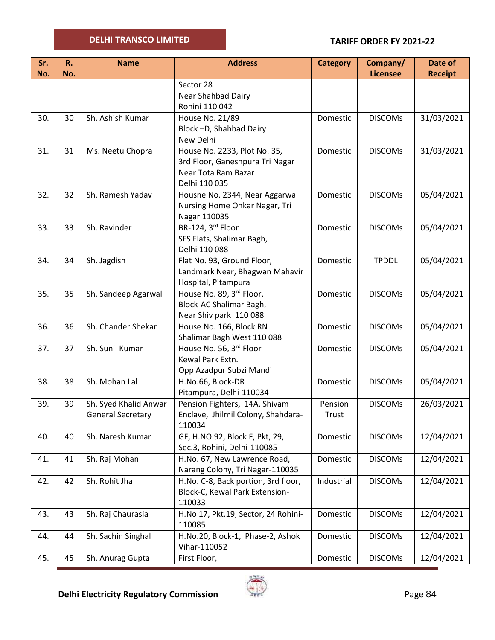| Sr. | R.  | <b>Name</b>              | <b>Address</b>                                         | <b>Category</b> | Company/        | Date of        |
|-----|-----|--------------------------|--------------------------------------------------------|-----------------|-----------------|----------------|
| No. | No. |                          |                                                        |                 | <b>Licensee</b> | <b>Receipt</b> |
|     |     |                          | Sector 28                                              |                 |                 |                |
|     |     |                          | Near Shahbad Dairy                                     |                 |                 |                |
|     |     |                          | Rohini 110 042                                         |                 |                 |                |
| 30. | 30  | Sh. Ashish Kumar         | House No. 21/89                                        | Domestic        | <b>DISCOMS</b>  | 31/03/2021     |
|     |     |                          | Block-D, Shahbad Dairy<br>New Delhi                    |                 |                 |                |
|     |     |                          |                                                        |                 |                 |                |
| 31. | 31  | Ms. Neetu Chopra         | House No. 2233, Plot No. 35,                           | Domestic        | <b>DISCOMS</b>  | 31/03/2021     |
|     |     |                          | 3rd Floor, Ganeshpura Tri Nagar<br>Near Tota Ram Bazar |                 |                 |                |
|     |     |                          | Delhi 110 035                                          |                 |                 |                |
| 32. | 32  | Sh. Ramesh Yadav         | Housne No. 2344, Near Aggarwal                         | Domestic        | <b>DISCOMs</b>  | 05/04/2021     |
|     |     |                          | Nursing Home Onkar Nagar, Tri                          |                 |                 |                |
|     |     |                          | Nagar 110035                                           |                 |                 |                |
| 33. | 33  | Sh. Ravinder             | BR-124, 3rd Floor                                      | Domestic        | <b>DISCOMS</b>  | 05/04/2021     |
|     |     |                          | SFS Flats, Shalimar Bagh,                              |                 |                 |                |
|     |     |                          | Delhi 110 088                                          |                 |                 |                |
| 34. | 34  | Sh. Jagdish              | Flat No. 93, Ground Floor,                             | Domestic        | <b>TPDDL</b>    | 05/04/2021     |
|     |     |                          | Landmark Near, Bhagwan Mahavir                         |                 |                 |                |
|     |     |                          | Hospital, Pitampura                                    |                 |                 |                |
| 35. | 35  | Sh. Sandeep Agarwal      | House No. 89, 3rd Floor,                               | Domestic        | <b>DISCOMS</b>  | 05/04/2021     |
|     |     |                          | Block-AC Shalimar Bagh,                                |                 |                 |                |
|     |     |                          | Near Shiv park 110 088                                 |                 |                 |                |
| 36. | 36  | Sh. Chander Shekar       | House No. 166, Block RN                                | Domestic        | <b>DISCOMs</b>  | 05/04/2021     |
|     |     |                          | Shalimar Bagh West 110 088                             |                 |                 |                |
| 37. | 37  | Sh. Sunil Kumar          | House No. 56, 3rd Floor                                | Domestic        | <b>DISCOMS</b>  | 05/04/2021     |
|     |     |                          | Kewal Park Extn.                                       |                 |                 |                |
|     |     |                          | Opp Azadpur Subzi Mandi                                |                 |                 |                |
| 38. | 38  | Sh. Mohan Lal            | H.No.66, Block-DR                                      | Domestic        | <b>DISCOMS</b>  | 05/04/2021     |
|     |     |                          | Pitampura, Delhi-110034                                |                 |                 |                |
| 39. | 39  | Sh. Syed Khalid Anwar    | Pension Fighters, 14A, Shivam                          | Pension         | <b>DISCOMS</b>  | 26/03/2021     |
|     |     | <b>General Secretary</b> | Enclave, Jhilmil Colony, Shahdara-                     | Trust           |                 |                |
|     |     |                          | 110034                                                 |                 |                 |                |
| 40. | 40  | Sh. Naresh Kumar         | GF, H.NO.92, Block F, Pkt, 29,                         | Domestic        | <b>DISCOMS</b>  | 12/04/2021     |
|     |     |                          | Sec.3, Rohini, Delhi-110085                            |                 |                 |                |
| 41. | 41  | Sh. Raj Mohan            | H.No. 67, New Lawrence Road,                           | Domestic        | <b>DISCOMS</b>  | 12/04/2021     |
|     |     |                          | Narang Colony, Tri Nagar-110035                        |                 |                 |                |
| 42. | 42  | Sh. Rohit Jha            | H.No. C-8, Back portion, 3rd floor,                    | Industrial      | <b>DISCOMS</b>  | 12/04/2021     |
|     |     |                          | Block-C, Kewal Park Extension-                         |                 |                 |                |
|     |     |                          | 110033                                                 |                 |                 |                |
| 43. | 43  | Sh. Raj Chaurasia        | H.No 17, Pkt.19, Sector, 24 Rohini-                    | Domestic        | <b>DISCOMS</b>  | 12/04/2021     |
|     |     |                          | 110085                                                 |                 |                 |                |
| 44. | 44  | Sh. Sachin Singhal       | H.No.20, Block-1, Phase-2, Ashok                       | Domestic        | <b>DISCOMS</b>  | 12/04/2021     |
|     |     |                          | Vihar-110052                                           |                 |                 |                |
| 45. | 45  | Sh. Anurag Gupta         | First Floor,                                           | Domestic        | <b>DISCOMS</b>  | 12/04/2021     |

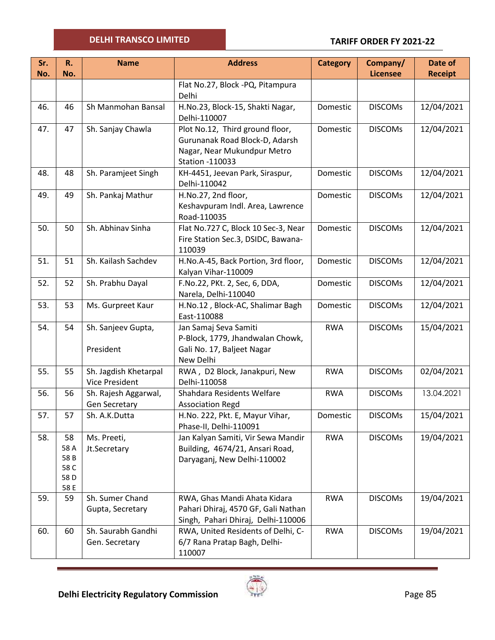#### **TARIFF ORDER FY 2021-22**

| Sr.<br>No. | R.<br>No.                                 | <b>Name</b>                                    | <b>Address</b>                                                                                                             | <b>Category</b> | Company/<br><b>Licensee</b> | Date of        |
|------------|-------------------------------------------|------------------------------------------------|----------------------------------------------------------------------------------------------------------------------------|-----------------|-----------------------------|----------------|
|            |                                           |                                                | Flat No.27, Block -PQ, Pitampura                                                                                           |                 |                             | <b>Receipt</b> |
|            |                                           |                                                | Delhi                                                                                                                      |                 |                             |                |
| 46.        | 46                                        | Sh Manmohan Bansal                             | H.No.23, Block-15, Shakti Nagar,<br>Delhi-110007                                                                           | Domestic        | <b>DISCOMs</b>              | 12/04/2021     |
| 47.        | 47                                        | Sh. Sanjay Chawla                              | Plot No.12, Third ground floor,<br>Gurunanak Road Block-D, Adarsh<br>Nagar, Near Mukundpur Metro<br><b>Station -110033</b> | Domestic        | <b>DISCOMS</b>              | 12/04/2021     |
| 48.        | 48                                        | Sh. Paramjeet Singh                            | KH-4451, Jeevan Park, Siraspur,<br>Delhi-110042                                                                            | Domestic        | <b>DISCOMs</b>              | 12/04/2021     |
| 49.        | 49                                        | Sh. Pankaj Mathur                              | H.No.27, 2nd floor,<br>Keshavpuram Indl. Area, Lawrence<br>Road-110035                                                     | Domestic        | <b>DISCOMS</b>              | 12/04/2021     |
| 50.        | 50                                        | Sh. Abhinav Sinha                              | Flat No.727 C, Block 10 Sec-3, Near<br>Fire Station Sec.3, DSIDC, Bawana-<br>110039                                        | Domestic        | <b>DISCOMS</b>              | 12/04/2021     |
| 51.        | 51                                        | Sh. Kailash Sachdev                            | H.No.A-45, Back Portion, 3rd floor,<br>Kalyan Vihar-110009                                                                 | Domestic        | <b>DISCOMs</b>              | 12/04/2021     |
| 52.        | 52                                        | Sh. Prabhu Dayal                               | F.No.22, PKt. 2, Sec, 6, DDA,<br>Narela, Delhi-110040                                                                      | Domestic        | <b>DISCOMs</b>              | 12/04/2021     |
| 53.        | 53                                        | Ms. Gurpreet Kaur                              | H.No.12, Block-AC, Shalimar Bagh<br>East-110088                                                                            | Domestic        | <b>DISCOMS</b>              | 12/04/2021     |
| 54.        | 54                                        | Sh. Sanjeev Gupta,<br>President                | Jan Samaj Seva Samiti<br>P-Block, 1779, Jhandwalan Chowk,<br>Gali No. 17, Baljeet Nagar<br>New Delhi                       | <b>RWA</b>      | <b>DISCOMS</b>              | 15/04/2021     |
| 55.        | 55                                        | Sh. Jagdish Khetarpal<br><b>Vice President</b> | RWA, D2 Block, Janakpuri, New<br>Delhi-110058                                                                              | <b>RWA</b>      | <b>DISCOMs</b>              | 02/04/2021     |
| 56.        | 56                                        | Sh. Rajesh Aggarwal,<br>Gen Secretary          | Shahdara Residents Welfare<br><b>Association Regd</b>                                                                      | <b>RWA</b>      | <b>DISCOMS</b>              | 13.04.2021     |
| 57.        | 57                                        | Sh. A.K.Dutta                                  | H.No. 222, Pkt. E, Mayur Vihar,<br>Phase-II, Delhi-110091                                                                  | Domestic        | <b>DISCOMs</b>              | 15/04/2021     |
| 58.        | 58<br>58 A<br>58B<br>58 C<br>58 D<br>58 E | Ms. Preeti,<br>Jt.Secretary                    | Jan Kalyan Samiti, Vir Sewa Mandir<br>Building, 4674/21, Ansari Road,<br>Daryaganj, New Delhi-110002                       | <b>RWA</b>      | <b>DISCOMs</b>              | 19/04/2021     |
| 59.        | 59                                        | Sh. Sumer Chand<br>Gupta, Secretary            | RWA, Ghas Mandi Ahata Kidara<br>Pahari Dhiraj, 4570 GF, Gali Nathan<br>Singh, Pahari Dhiraj, Delhi-110006                  | <b>RWA</b>      | <b>DISCOMs</b>              | 19/04/2021     |
| 60.        | 60                                        | Sh. Saurabh Gandhi<br>Gen. Secretary           | RWA, United Residents of Delhi, C-<br>6/7 Rana Pratap Bagh, Delhi-<br>110007                                               | <b>RWA</b>      | <b>DISCOMS</b>              | 19/04/2021     |

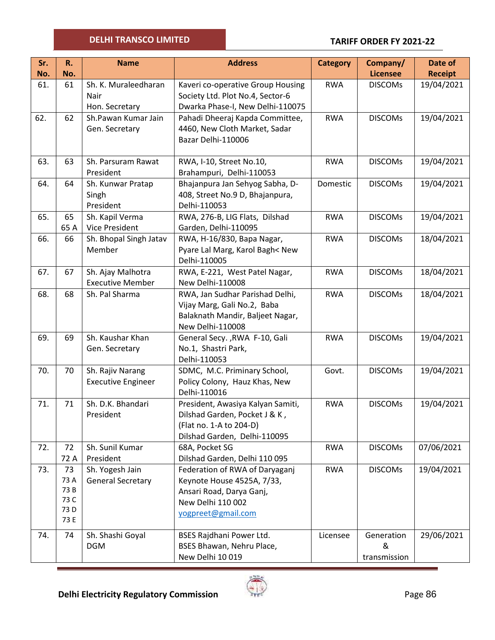## **TARIFF ORDER FY 2021-22**

| R.   | <b>Name</b>                                                                | <b>Address</b>                                                                                                                                                                                                                                                                                                                      | <b>Category</b>                                                                                                                                                                                                                                                                                                                                                                                                                                                                                                                                                                                                                                                                                                                                                                                            | Company/                                                                                                   | Date of                                                                                                                     |
|------|----------------------------------------------------------------------------|-------------------------------------------------------------------------------------------------------------------------------------------------------------------------------------------------------------------------------------------------------------------------------------------------------------------------------------|------------------------------------------------------------------------------------------------------------------------------------------------------------------------------------------------------------------------------------------------------------------------------------------------------------------------------------------------------------------------------------------------------------------------------------------------------------------------------------------------------------------------------------------------------------------------------------------------------------------------------------------------------------------------------------------------------------------------------------------------------------------------------------------------------------|------------------------------------------------------------------------------------------------------------|-----------------------------------------------------------------------------------------------------------------------------|
| No.  |                                                                            |                                                                                                                                                                                                                                                                                                                                     |                                                                                                                                                                                                                                                                                                                                                                                                                                                                                                                                                                                                                                                                                                                                                                                                            | <b>Licensee</b>                                                                                            | <b>Receipt</b>                                                                                                              |
| 61   | Sh. K. Muraleedharan                                                       | Kaveri co-operative Group Housing                                                                                                                                                                                                                                                                                                   | <b>RWA</b>                                                                                                                                                                                                                                                                                                                                                                                                                                                                                                                                                                                                                                                                                                                                                                                                 | <b>DISCOMS</b>                                                                                             | 19/04/2021                                                                                                                  |
|      |                                                                            |                                                                                                                                                                                                                                                                                                                                     |                                                                                                                                                                                                                                                                                                                                                                                                                                                                                                                                                                                                                                                                                                                                                                                                            |                                                                                                            |                                                                                                                             |
|      |                                                                            |                                                                                                                                                                                                                                                                                                                                     |                                                                                                                                                                                                                                                                                                                                                                                                                                                                                                                                                                                                                                                                                                                                                                                                            |                                                                                                            |                                                                                                                             |
|      |                                                                            |                                                                                                                                                                                                                                                                                                                                     |                                                                                                                                                                                                                                                                                                                                                                                                                                                                                                                                                                                                                                                                                                                                                                                                            |                                                                                                            | 19/04/2021                                                                                                                  |
|      |                                                                            |                                                                                                                                                                                                                                                                                                                                     |                                                                                                                                                                                                                                                                                                                                                                                                                                                                                                                                                                                                                                                                                                                                                                                                            |                                                                                                            |                                                                                                                             |
|      |                                                                            |                                                                                                                                                                                                                                                                                                                                     |                                                                                                                                                                                                                                                                                                                                                                                                                                                                                                                                                                                                                                                                                                                                                                                                            |                                                                                                            |                                                                                                                             |
|      |                                                                            |                                                                                                                                                                                                                                                                                                                                     |                                                                                                                                                                                                                                                                                                                                                                                                                                                                                                                                                                                                                                                                                                                                                                                                            |                                                                                                            | 19/04/2021                                                                                                                  |
|      | President                                                                  |                                                                                                                                                                                                                                                                                                                                     |                                                                                                                                                                                                                                                                                                                                                                                                                                                                                                                                                                                                                                                                                                                                                                                                            |                                                                                                            |                                                                                                                             |
| 64   | Sh. Kunwar Pratap                                                          | Bhajanpura Jan Sehyog Sabha, D-                                                                                                                                                                                                                                                                                                     | Domestic                                                                                                                                                                                                                                                                                                                                                                                                                                                                                                                                                                                                                                                                                                                                                                                                   | <b>DISCOMS</b>                                                                                             | 19/04/2021                                                                                                                  |
|      | Singh                                                                      | 408, Street No.9 D, Bhajanpura,                                                                                                                                                                                                                                                                                                     |                                                                                                                                                                                                                                                                                                                                                                                                                                                                                                                                                                                                                                                                                                                                                                                                            |                                                                                                            |                                                                                                                             |
|      | President                                                                  | Delhi-110053                                                                                                                                                                                                                                                                                                                        |                                                                                                                                                                                                                                                                                                                                                                                                                                                                                                                                                                                                                                                                                                                                                                                                            |                                                                                                            |                                                                                                                             |
| 65   | Sh. Kapil Verma                                                            | RWA, 276-B, LIG Flats, Dilshad                                                                                                                                                                                                                                                                                                      | <b>RWA</b>                                                                                                                                                                                                                                                                                                                                                                                                                                                                                                                                                                                                                                                                                                                                                                                                 | <b>DISCOMS</b>                                                                                             | 19/04/2021                                                                                                                  |
| 65 A | <b>Vice President</b>                                                      | Garden, Delhi-110095                                                                                                                                                                                                                                                                                                                |                                                                                                                                                                                                                                                                                                                                                                                                                                                                                                                                                                                                                                                                                                                                                                                                            |                                                                                                            |                                                                                                                             |
|      |                                                                            |                                                                                                                                                                                                                                                                                                                                     |                                                                                                                                                                                                                                                                                                                                                                                                                                                                                                                                                                                                                                                                                                                                                                                                            |                                                                                                            | 18/04/2021                                                                                                                  |
|      |                                                                            |                                                                                                                                                                                                                                                                                                                                     |                                                                                                                                                                                                                                                                                                                                                                                                                                                                                                                                                                                                                                                                                                                                                                                                            |                                                                                                            |                                                                                                                             |
|      |                                                                            |                                                                                                                                                                                                                                                                                                                                     |                                                                                                                                                                                                                                                                                                                                                                                                                                                                                                                                                                                                                                                                                                                                                                                                            |                                                                                                            |                                                                                                                             |
|      |                                                                            |                                                                                                                                                                                                                                                                                                                                     |                                                                                                                                                                                                                                                                                                                                                                                                                                                                                                                                                                                                                                                                                                                                                                                                            |                                                                                                            | 18/04/2021                                                                                                                  |
|      |                                                                            |                                                                                                                                                                                                                                                                                                                                     |                                                                                                                                                                                                                                                                                                                                                                                                                                                                                                                                                                                                                                                                                                                                                                                                            |                                                                                                            | 18/04/2021                                                                                                                  |
|      |                                                                            |                                                                                                                                                                                                                                                                                                                                     |                                                                                                                                                                                                                                                                                                                                                                                                                                                                                                                                                                                                                                                                                                                                                                                                            |                                                                                                            |                                                                                                                             |
|      |                                                                            |                                                                                                                                                                                                                                                                                                                                     |                                                                                                                                                                                                                                                                                                                                                                                                                                                                                                                                                                                                                                                                                                                                                                                                            |                                                                                                            |                                                                                                                             |
|      |                                                                            | New Delhi-110008                                                                                                                                                                                                                                                                                                                    |                                                                                                                                                                                                                                                                                                                                                                                                                                                                                                                                                                                                                                                                                                                                                                                                            |                                                                                                            |                                                                                                                             |
| 69   | Sh. Kaushar Khan                                                           | General Secy., RWA F-10, Gali                                                                                                                                                                                                                                                                                                       | <b>RWA</b>                                                                                                                                                                                                                                                                                                                                                                                                                                                                                                                                                                                                                                                                                                                                                                                                 | <b>DISCOMS</b>                                                                                             | 19/04/2021                                                                                                                  |
|      | Gen. Secretary                                                             | No.1, Shastri Park,                                                                                                                                                                                                                                                                                                                 |                                                                                                                                                                                                                                                                                                                                                                                                                                                                                                                                                                                                                                                                                                                                                                                                            |                                                                                                            |                                                                                                                             |
|      |                                                                            | Delhi-110053                                                                                                                                                                                                                                                                                                                        |                                                                                                                                                                                                                                                                                                                                                                                                                                                                                                                                                                                                                                                                                                                                                                                                            |                                                                                                            |                                                                                                                             |
|      |                                                                            |                                                                                                                                                                                                                                                                                                                                     | Govt.                                                                                                                                                                                                                                                                                                                                                                                                                                                                                                                                                                                                                                                                                                                                                                                                      | <b>DISCOMS</b>                                                                                             | 19/04/2021                                                                                                                  |
|      |                                                                            |                                                                                                                                                                                                                                                                                                                                     |                                                                                                                                                                                                                                                                                                                                                                                                                                                                                                                                                                                                                                                                                                                                                                                                            |                                                                                                            |                                                                                                                             |
|      |                                                                            |                                                                                                                                                                                                                                                                                                                                     |                                                                                                                                                                                                                                                                                                                                                                                                                                                                                                                                                                                                                                                                                                                                                                                                            |                                                                                                            |                                                                                                                             |
|      |                                                                            |                                                                                                                                                                                                                                                                                                                                     |                                                                                                                                                                                                                                                                                                                                                                                                                                                                                                                                                                                                                                                                                                                                                                                                            |                                                                                                            | 19/04/2021                                                                                                                  |
|      |                                                                            |                                                                                                                                                                                                                                                                                                                                     |                                                                                                                                                                                                                                                                                                                                                                                                                                                                                                                                                                                                                                                                                                                                                                                                            |                                                                                                            |                                                                                                                             |
|      |                                                                            |                                                                                                                                                                                                                                                                                                                                     |                                                                                                                                                                                                                                                                                                                                                                                                                                                                                                                                                                                                                                                                                                                                                                                                            |                                                                                                            |                                                                                                                             |
|      |                                                                            |                                                                                                                                                                                                                                                                                                                                     |                                                                                                                                                                                                                                                                                                                                                                                                                                                                                                                                                                                                                                                                                                                                                                                                            | <b>DISCOMS</b>                                                                                             | 07/06/2021                                                                                                                  |
| 72 A | President                                                                  | Dilshad Garden, Delhi 110 095                                                                                                                                                                                                                                                                                                       |                                                                                                                                                                                                                                                                                                                                                                                                                                                                                                                                                                                                                                                                                                                                                                                                            |                                                                                                            |                                                                                                                             |
| 73   | Sh. Yogesh Jain                                                            | Federation of RWA of Daryaganj                                                                                                                                                                                                                                                                                                      | <b>RWA</b>                                                                                                                                                                                                                                                                                                                                                                                                                                                                                                                                                                                                                                                                                                                                                                                                 | <b>DISCOMs</b>                                                                                             | 19/04/2021                                                                                                                  |
| 73 A | <b>General Secretary</b>                                                   | Keynote House 4525A, 7/33,                                                                                                                                                                                                                                                                                                          |                                                                                                                                                                                                                                                                                                                                                                                                                                                                                                                                                                                                                                                                                                                                                                                                            |                                                                                                            |                                                                                                                             |
|      |                                                                            | Ansari Road, Darya Ganj,                                                                                                                                                                                                                                                                                                            |                                                                                                                                                                                                                                                                                                                                                                                                                                                                                                                                                                                                                                                                                                                                                                                                            |                                                                                                            |                                                                                                                             |
|      |                                                                            |                                                                                                                                                                                                                                                                                                                                     |                                                                                                                                                                                                                                                                                                                                                                                                                                                                                                                                                                                                                                                                                                                                                                                                            |                                                                                                            |                                                                                                                             |
| 73 E |                                                                            |                                                                                                                                                                                                                                                                                                                                     |                                                                                                                                                                                                                                                                                                                                                                                                                                                                                                                                                                                                                                                                                                                                                                                                            |                                                                                                            |                                                                                                                             |
|      |                                                                            |                                                                                                                                                                                                                                                                                                                                     |                                                                                                                                                                                                                                                                                                                                                                                                                                                                                                                                                                                                                                                                                                                                                                                                            |                                                                                                            | 29/06/2021                                                                                                                  |
|      |                                                                            |                                                                                                                                                                                                                                                                                                                                     |                                                                                                                                                                                                                                                                                                                                                                                                                                                                                                                                                                                                                                                                                                                                                                                                            |                                                                                                            |                                                                                                                             |
|      |                                                                            | New Delhi 10 019                                                                                                                                                                                                                                                                                                                    |                                                                                                                                                                                                                                                                                                                                                                                                                                                                                                                                                                                                                                                                                                                                                                                                            | transmission                                                                                               |                                                                                                                             |
|      | 62<br>63<br>66<br>67<br>68<br>70<br>71<br>72<br>73 B<br>73 C<br>73 D<br>74 | Nair<br>Hon. Secretary<br>Sh.Pawan Kumar Jain<br>Gen. Secretary<br>Sh. Parsuram Rawat<br>Sh. Bhopal Singh Jatav<br>Member<br>Sh. Ajay Malhotra<br><b>Executive Member</b><br>Sh. Pal Sharma<br>Sh. Rajiv Narang<br><b>Executive Engineer</b><br>Sh. D.K. Bhandari<br>President<br>Sh. Sunil Kumar<br>Sh. Shashi Goyal<br><b>DGM</b> | Society Ltd. Plot No.4, Sector-6<br>Dwarka Phase-I, New Delhi-110075<br>Pahadi Dheeraj Kapda Committee,<br>4460, New Cloth Market, Sadar<br>Bazar Delhi-110006<br>RWA, I-10, Street No.10,<br>Brahampuri, Delhi-110053<br>RWA, H-16/830, Bapa Nagar,<br>Pyare Lal Marg, Karol Bagh< New<br>Delhi-110005<br>RWA, E-221, West Patel Nagar,<br>New Delhi-110008<br>RWA, Jan Sudhar Parishad Delhi,<br>Vijay Marg, Gali No.2, Baba<br>Balaknath Mandir, Baljeet Nagar,<br>SDMC, M.C. Priminary School,<br>Policy Colony, Hauz Khas, New<br>Delhi-110016<br>President, Awasiya Kalyan Samiti,<br>Dilshad Garden, Pocket J & K,<br>(Flat no. 1-A to 204-D)<br>Dilshad Garden, Delhi-110095<br>68A, Pocket SG<br>New Delhi 110 002<br>yogpreet@gmail.com<br>BSES Rajdhani Power Ltd.<br>BSES Bhawan, Nehru Place, | <b>RWA</b><br><b>RWA</b><br><b>RWA</b><br><b>RWA</b><br><b>RWA</b><br><b>RWA</b><br><b>RWA</b><br>Licensee | <b>DISCOMs</b><br><b>DISCOMs</b><br><b>DISCOMs</b><br><b>DISCOMS</b><br><b>DISCOMS</b><br><b>DISCOMs</b><br>Generation<br>& |

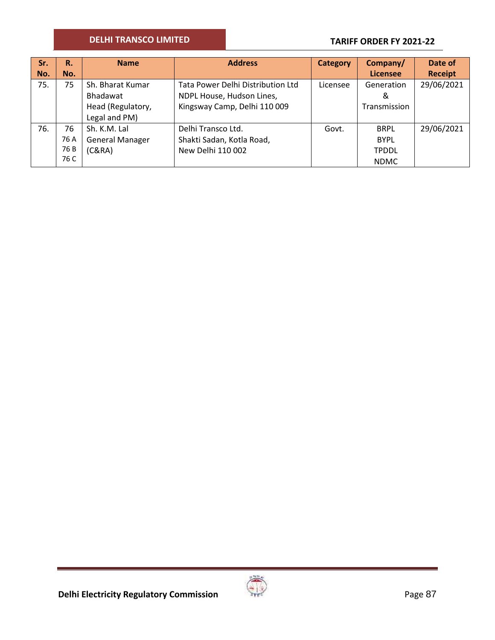## **TARIFF ORDER FY 2021-22**

| Sr. | R.   | <b>Name</b>            | <b>Address</b>                    | <b>Category</b> | Company/        | Date of        |
|-----|------|------------------------|-----------------------------------|-----------------|-----------------|----------------|
| No. | No.  |                        |                                   |                 | <b>Licensee</b> | <b>Receipt</b> |
| 75. | 75   | Sh. Bharat Kumar       | Tata Power Delhi Distribution Ltd | Licensee        | Generation      | 29/06/2021     |
|     |      | Bhadawat               | NDPL House, Hudson Lines,         |                 | &               |                |
|     |      | Head (Regulatory,      | Kingsway Camp, Delhi 110 009      |                 | Transmission    |                |
|     |      | Legal and PM)          |                                   |                 |                 |                |
| 76. | 76   | Sh. K.M. Lal           | Delhi Transco Ltd.                | Govt.           | <b>BRPL</b>     | 29/06/2021     |
|     | 76 A | <b>General Manager</b> | Shakti Sadan, Kotla Road,         |                 | <b>BYPL</b>     |                |
|     | 76 B | (C&RA)                 | New Delhi 110 002                 |                 | <b>TPDDL</b>    |                |
|     | 76 C |                        |                                   |                 | <b>NDMC</b>     |                |



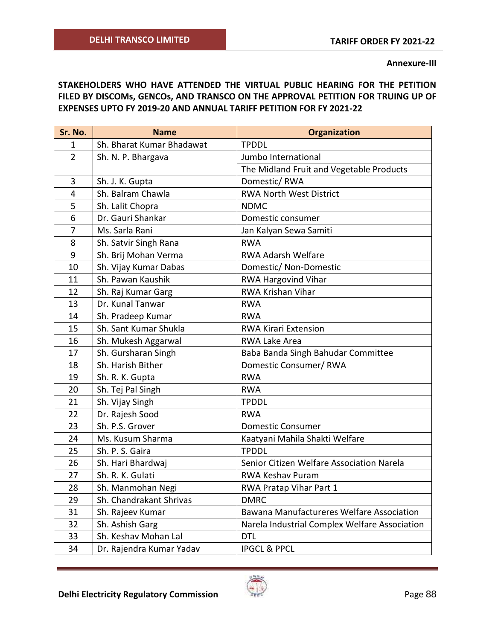**Annexure-III**

**STAKEHOLDERS WHO HAVE ATTENDED THE VIRTUAL PUBLIC HEARING FOR THE PETITION FILED BY DISCOMs, GENCOs, AND TRANSCO ON THE APPROVAL PETITION FOR TRUING UP OF EXPENSES UPTO FY 2019-20 AND ANNUAL TARIFF PETITION FOR FY 2021-22**

| Sr. No.        | <b>Name</b>               | <b>Organization</b>                           |
|----------------|---------------------------|-----------------------------------------------|
| $\mathbf{1}$   | Sh. Bharat Kumar Bhadawat | <b>TPDDL</b>                                  |
| $\overline{2}$ | Sh. N. P. Bhargava        | Jumbo International                           |
|                |                           | The Midland Fruit and Vegetable Products      |
| 3              | Sh. J. K. Gupta           | Domestic/RWA                                  |
| $\overline{4}$ | Sh. Balram Chawla         | <b>RWA North West District</b>                |
| 5              | Sh. Lalit Chopra          | <b>NDMC</b>                                   |
| 6              | Dr. Gauri Shankar         | Domestic consumer                             |
| $\overline{7}$ | Ms. Sarla Rani            | Jan Kalyan Sewa Samiti                        |
| 8              | Sh. Satvir Singh Rana     | <b>RWA</b>                                    |
| 9              | Sh. Brij Mohan Verma      | RWA Adarsh Welfare                            |
| 10             | Sh. Vijay Kumar Dabas     | Domestic/ Non-Domestic                        |
| 11             | Sh. Pawan Kaushik         | RWA Hargovind Vihar                           |
| 12             | Sh. Raj Kumar Garg        | <b>RWA Krishan Vihar</b>                      |
| 13             | Dr. Kunal Tanwar          | <b>RWA</b>                                    |
| 14             | Sh. Pradeep Kumar         | <b>RWA</b>                                    |
| 15             | Sh. Sant Kumar Shukla     | <b>RWA Kirari Extension</b>                   |
| 16             | Sh. Mukesh Aggarwal       | <b>RWA Lake Area</b>                          |
| 17             | Sh. Gursharan Singh       | Baba Banda Singh Bahudar Committee            |
| 18             | Sh. Harish Bither         | Domestic Consumer/RWA                         |
| 19             | Sh. R. K. Gupta           | <b>RWA</b>                                    |
| 20             | Sh. Tej Pal Singh         | <b>RWA</b>                                    |
| 21             | Sh. Vijay Singh           | <b>TPDDL</b>                                  |
| 22             | Dr. Rajesh Sood           | <b>RWA</b>                                    |
| 23             | Sh. P.S. Grover           | <b>Domestic Consumer</b>                      |
| 24             | Ms. Kusum Sharma          | Kaatyani Mahila Shakti Welfare                |
| 25             | Sh. P. S. Gaira           | <b>TPDDL</b>                                  |
| 26             | Sh. Hari Bhardwaj         | Senior Citizen Welfare Association Narela     |
| 27             | Sh. R. K. Gulati          | <b>RWA Keshav Puram</b>                       |
| 28             | Sh. Manmohan Negi         | RWA Pratap Vihar Part 1                       |
| 29             | Sh. Chandrakant Shrivas   | <b>DMRC</b>                                   |
| 31             | Sh. Rajeev Kumar          | Bawana Manufactureres Welfare Association     |
| 32             | Sh. Ashish Garg           | Narela Industrial Complex Welfare Association |
| 33             | Sh. Keshav Mohan Lal      | <b>DTL</b>                                    |
| 34             | Dr. Rajendra Kumar Yadav  | <b>IPGCL &amp; PPCL</b>                       |

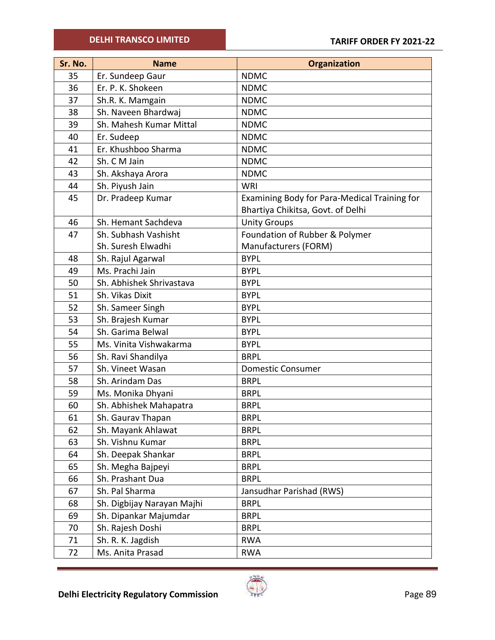| Sr. No. | <b>Name</b>                | <b>Organization</b>                          |
|---------|----------------------------|----------------------------------------------|
| 35      | Er. Sundeep Gaur           | <b>NDMC</b>                                  |
| 36      | Er. P. K. Shokeen          | <b>NDMC</b>                                  |
| 37      | Sh.R. K. Mamgain           | <b>NDMC</b>                                  |
| 38      | Sh. Naveen Bhardwaj        | <b>NDMC</b>                                  |
| 39      | Sh. Mahesh Kumar Mittal    | <b>NDMC</b>                                  |
| 40      | Er. Sudeep                 | <b>NDMC</b>                                  |
| 41      | Er. Khushboo Sharma        | <b>NDMC</b>                                  |
| 42      | Sh. C M Jain               | <b>NDMC</b>                                  |
| 43      | Sh. Akshaya Arora          | <b>NDMC</b>                                  |
| 44      | Sh. Piyush Jain            | <b>WRI</b>                                   |
| 45      | Dr. Pradeep Kumar          | Examining Body for Para-Medical Training for |
|         |                            | Bhartiya Chikitsa, Govt. of Delhi            |
| 46      | Sh. Hemant Sachdeva        | <b>Unity Groups</b>                          |
| 47      | Sh. Subhash Vashisht       | Foundation of Rubber & Polymer               |
|         | Sh. Suresh Elwadhi         | Manufacturers (FORM)                         |
| 48      | Sh. Rajul Agarwal          | <b>BYPL</b>                                  |
| 49      | Ms. Prachi Jain            | <b>BYPL</b>                                  |
| 50      | Sh. Abhishek Shrivastava   | <b>BYPL</b>                                  |
| 51      | Sh. Vikas Dixit            | <b>BYPL</b>                                  |
| 52      | Sh. Sameer Singh           | <b>BYPL</b>                                  |
| 53      | Sh. Brajesh Kumar          | <b>BYPL</b>                                  |
| 54      | Sh. Garima Belwal          | <b>BYPL</b>                                  |
| 55      | Ms. Vinita Vishwakarma     | <b>BYPL</b>                                  |
| 56      | Sh. Ravi Shandilya         | <b>BRPL</b>                                  |
| 57      | Sh. Vineet Wasan           | <b>Domestic Consumer</b>                     |
| 58      | Sh. Arindam Das            | <b>BRPL</b>                                  |
| 59      | Ms. Monika Dhyani          | <b>BRPL</b>                                  |
| 60      | Sh. Abhishek Mahapatra     | <b>BRPL</b>                                  |
| 61      | Sh. Gaurav Thapan          | <b>BRPL</b>                                  |
| 62      | Sh. Mayank Ahlawat         | <b>BRPL</b>                                  |
| 63      | Sh. Vishnu Kumar           | <b>BRPL</b>                                  |
| 64      | Sh. Deepak Shankar         | <b>BRPL</b>                                  |
| 65      | Sh. Megha Bajpeyi          | <b>BRPL</b>                                  |
| 66      | Sh. Prashant Dua           | <b>BRPL</b>                                  |
| 67      | Sh. Pal Sharma             | Jansudhar Parishad (RWS)                     |
| 68      | Sh. Digbijay Narayan Majhi | <b>BRPL</b>                                  |
| 69      | Sh. Dipankar Majumdar      | <b>BRPL</b>                                  |
| 70      | Sh. Rajesh Doshi           | <b>BRPL</b>                                  |
| 71      | Sh. R. K. Jagdish          | <b>RWA</b>                                   |
| 72      | Ms. Anita Prasad           | <b>RWA</b>                                   |